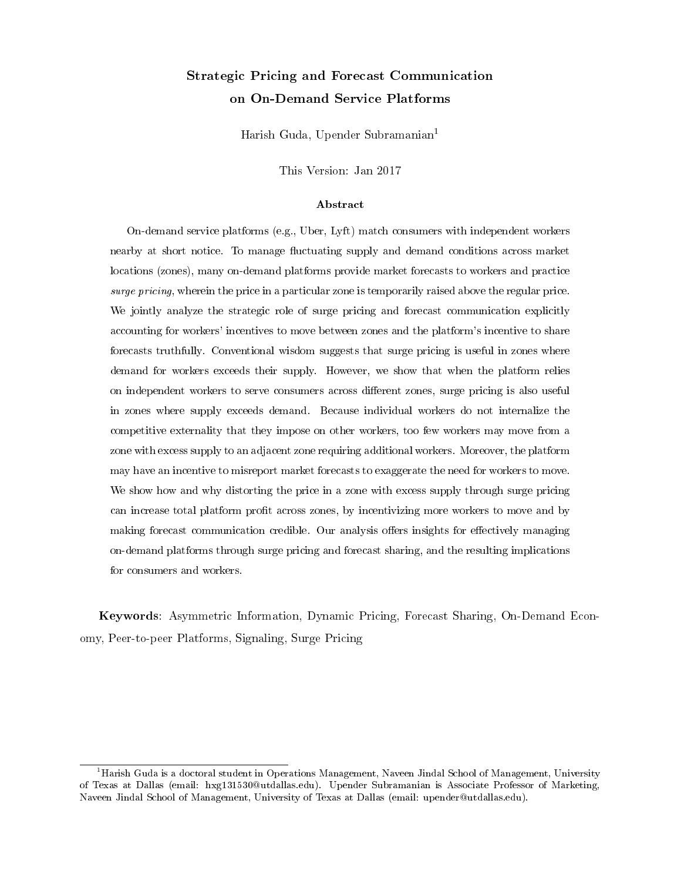# Strategic Pricing and Forecast Communication on On-Demand Service Platforms

Harish Guda, Upender Subramanian<sup>1</sup>

This Version: Jan 2017

#### Abstract

On-demand service platforms (e.g., Uber, Lyft) match consumers with independent workers nearby at short notice. To manage fluctuating supply and demand conditions across market locations (zones), many on-demand platforms provide market forecasts to workers and practice surge pricing, wherein the price in a particular zone is temporarily raised above the regular price. We jointly analyze the strategic role of surge pricing and forecast communication explicitly accounting for workers' incentives to move between zones and the platform's incentive to share forecasts truthfully. Conventional wisdom suggests that surge pricing is useful in zones where demand for workers exceeds their supply. However, we show that when the platform relies on independent workers to serve consumers across different zones, surge pricing is also useful in zones where supply exceeds demand. Because individual workers do not internalize the competitive externality that they impose on other workers, too few workers may move from a zone with excess supply to an adjacent zone requiring additional workers. Moreover, the platform may have an incentive to misreport market forecasts to exaggerate the need for workers to move. We show how and why distorting the price in a zone with excess supply through surge pricing can increase total platform profit across zones, by incentivizing more workers to move and by making forecast communication credible. Our analysis offers insights for effectively managing on-demand platforms through surge pricing and forecast sharing, and the resulting implications for consumers and workers.

Keywords: Asymmetric Information, Dynamic Pricing, Forecast Sharing, On-Demand Economy, Peer-to-peer Platforms, Signaling, Surge Pricing

 $^1\rm H$ arish Guda is a doctoral student in Operations Management, Naveen Jindal School of Management, University of Texas at Dallas (email: hxg131530@utdallas.edu). Upender Subramanian is Associate Professor of Marketing, Naveen Jindal School of Management, University of Texas at Dallas (email: upender@utdallas.edu).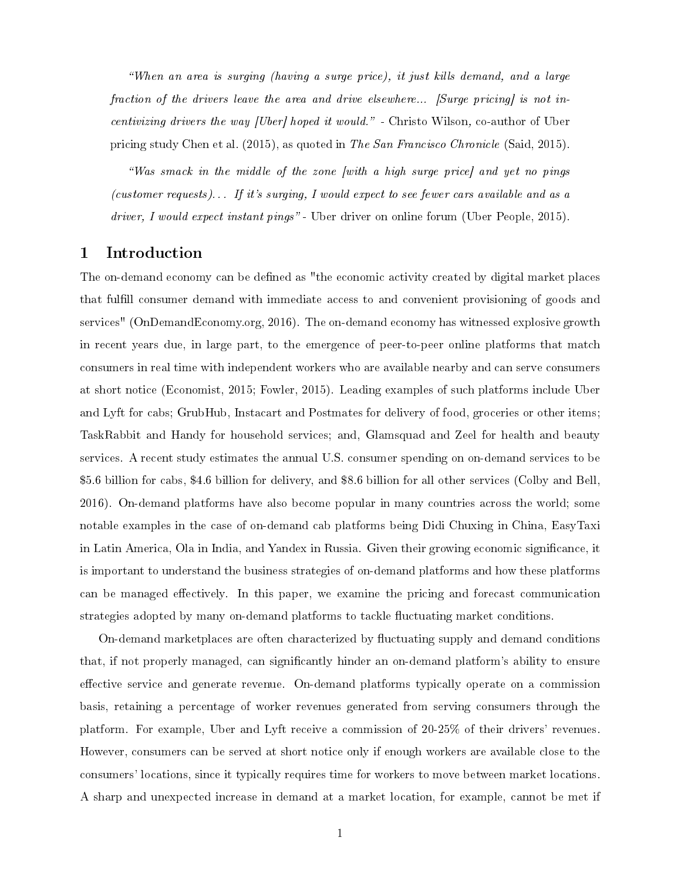When an area is surging (having a surge price), it just kills demand, and a large fraction of the drivers leave the area and drive elsewhere... [Surge pricing] is not incentivizing drivers the way [Uber] hoped it would." - Christo Wilson, co-author of Uber pricing study [Chen et al.](#page-29-0) [\(2015\)](#page-29-0), as quoted in The San Francisco Chronicle [\(Said, 2015\)](#page-31-0).

Was smack in the middle of the zone [with a high surge price] and yet no pings (customer requests). . . If it's surging, I would expect to see fewer cars available and as a driver, I would expect instant pings" - Uber driver on online forum [\(Uber People, 2015\)](#page-32-0).

# <span id="page-1-0"></span>1 Introduction

The on-demand economy can be defined as "the economic activity created by digital market places that fulll consumer demand with immediate access to and convenient provisioning of goods and services" [\(OnDemandEconomy.org, 2016\)](#page-31-1). The on-demand economy has witnessed explosive growth in recent years due, in large part, to the emergence of peer-to-peer online platforms that match consumers in real time with independent workers who are available nearby and can serve consumers at short notice [\(Economist, 2015;](#page-29-1) [Fowler, 2015\)](#page-30-0). Leading examples of such platforms include Uber and Lyft for cabs; GrubHub, Instacart and Postmates for delivery of food, groceries or other items; TaskRabbit and Handy for household services; and, Glamsquad and Zeel for health and beauty services. A recent study estimates the annual U.S. consumer spending on on-demand services to be \$5.6 billion for cabs, \$4.6 billion for delivery, and \$8.6 billion for all other services [\(Colby and Bell,](#page-29-2) [2016\)](#page-29-2). On-demand platforms have also become popular in many countries across the world; some notable examples in the case of on-demand cab platforms being Didi Chuxing in China, EasyTaxi in Latin America, Ola in India, and Yandex in Russia. Given their growing economic signicance, it is important to understand the business strategies of on-demand platforms and how these platforms can be managed effectively. In this paper, we examine the pricing and forecast communication strategies adopted by many on-demand platforms to tackle fluctuating market conditions.

On-demand marketplaces are often characterized by fluctuating supply and demand conditions that, if not properly managed, can signicantly hinder an on-demand platform's ability to ensure effective service and generate revenue. On-demand platforms typically operate on a commission basis, retaining a percentage of worker revenues generated from serving consumers through the platform. For example, Uber and Lyft receive a commission of 20-25% of their drivers' revenues. However, consumers can be served at short notice only if enough workers are available close to the consumers' locations, since it typically requires time for workers to move between market locations. A sharp and unexpected increase in demand at a market location, for example, cannot be met if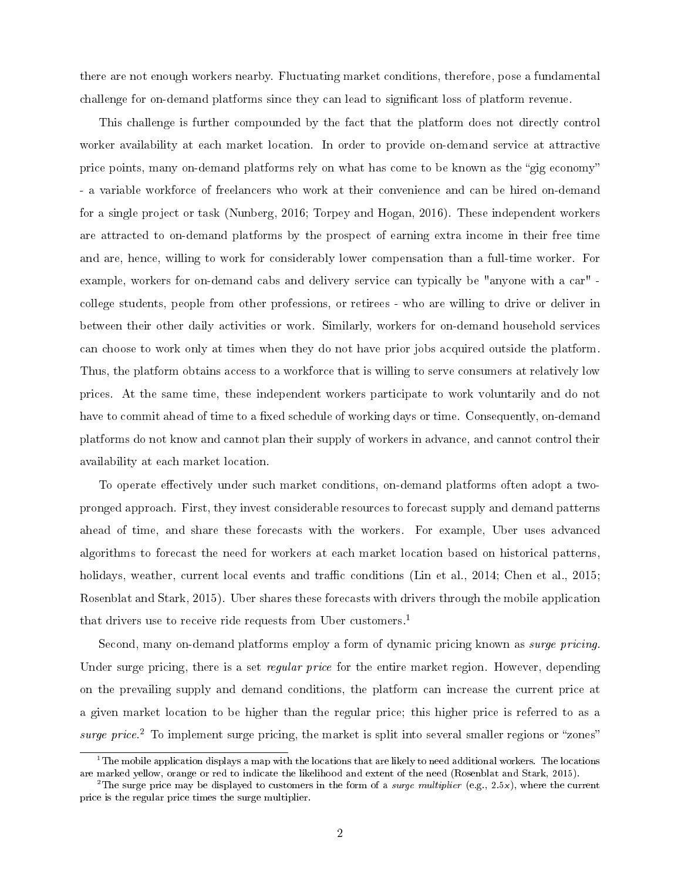there are not enough workers nearby. Fluctuating market conditions, therefore, pose a fundamental challenge for on-demand platforms since they can lead to significant loss of platform revenue.

This challenge is further compounded by the fact that the platform does not directly control worker availability at each market location. In order to provide on-demand service at attractive price points, many on-demand platforms rely on what has come to be known as the "gig economy" - a variable workforce of freelancers who work at their convenience and can be hired on-demand for a single project or task [\(Nunberg, 2016;](#page-31-2) [Torpey and Hogan, 2016\)](#page-32-1). These independent workers are attracted to on-demand platforms by the prospect of earning extra income in their free time and are, hence, willing to work for considerably lower compensation than a full-time worker. For example, workers for on-demand cabs and delivery service can typically be "anyone with a car" college students, people from other professions, or retirees - who are willing to drive or deliver in between their other daily activities or work. Similarly, workers for on-demand household services can choose to work only at times when they do not have prior jobs acquired outside the platform. Thus, the platform obtains access to a workforce that is willing to serve consumers at relatively low prices. At the same time, these independent workers participate to work voluntarily and do not have to commit ahead of time to a fixed schedule of working days or time. Consequently, on-demand platforms do not know and cannot plan their supply of workers in advance, and cannot control their availability at each market location.

To operate effectively under such market conditions, on-demand platforms often adopt a twopronged approach. First, they invest considerable resources to forecast supply and demand patterns ahead of time, and share these forecasts with the workers. For example, Uber uses advanced algorithms to forecast the need for workers at each market location based on historical patterns, holidays, weather, current local events and traffic conditions [\(Lin et al., 2014;](#page-30-1) [Chen et al., 2015;](#page-29-0) [Rosenblat and Stark, 2015\)](#page-31-3). Uber shares these forecasts with drivers through the mobile application that drivers use to receive ride requests from Uber customers.<sup>1</sup>

Second, many on-demand platforms employ a form of dynamic pricing known as *surge pricing*. Under surge pricing, there is a set regular price for the entire market region. However, depending on the prevailing supply and demand conditions, the platform can increase the current price at a given market location to be higher than the regular price; this higher price is referred to as a surge price.<sup>2</sup> To implement surge pricing, the market is split into several smaller regions or "zones"

 $^{\rm I}$ The mobile application displays a map with the locations that are likely to need additional workers. The locations are marked yellow, orange or red to indicate the likelihood and extent of the need [\(Rosenblat and Stark, 2015\)](#page-31-3).

<sup>&</sup>lt;sup>2</sup>The surge price may be displayed to customers in the form of a *surge multiplier* (e.g., 2.5x), where the current price is the regular price times the surge multiplier.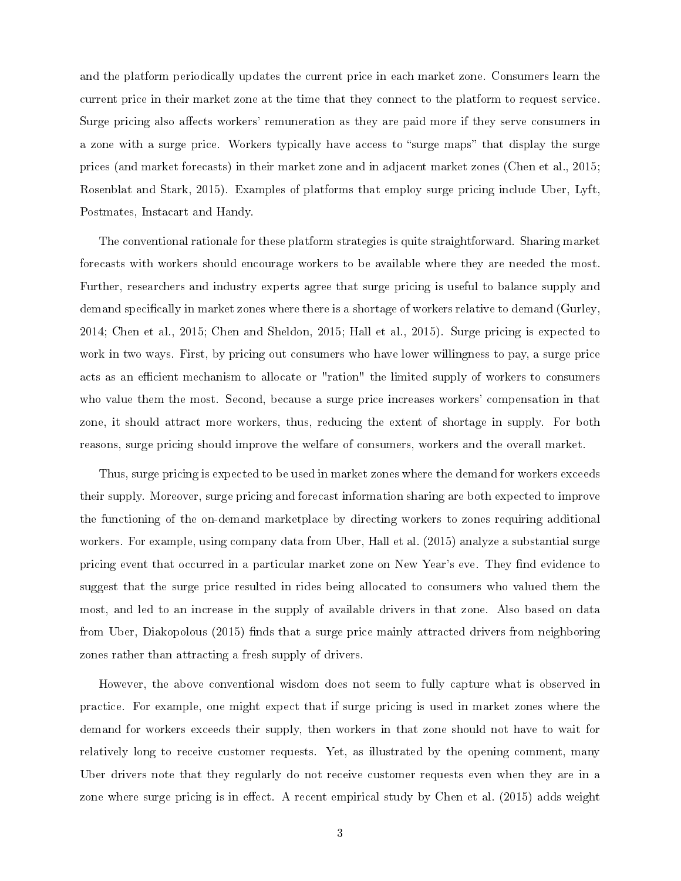and the platform periodically updates the current price in each market zone. Consumers learn the current price in their market zone at the time that they connect to the platform to request service. Surge pricing also affects workers' remuneration as they are paid more if they serve consumers in a zone with a surge price. Workers typically have access to "surge maps" that display the surge prices (and market forecasts) in their market zone and in adjacent market zones [\(Chen et al., 2015;](#page-29-0) [Rosenblat and Stark, 2015\)](#page-31-3). Examples of platforms that employ surge pricing include Uber, Lyft, Postmates, Instacart and Handy.

The conventional rationale for these platform strategies is quite straightforward. Sharing market forecasts with workers should encourage workers to be available where they are needed the most. Further, researchers and industry experts agree that surge pricing is useful to balance supply and demand specifically in market zones where there is a shortage of workers relative to demand [\(Gurley,](#page-30-2) [2014;](#page-30-2) [Chen et al., 2015;](#page-29-0) [Chen and Sheldon, 2015;](#page-29-3) [Hall et al., 2015\)](#page-30-3). Surge pricing is expected to work in two ways. First, by pricing out consumers who have lower willingness to pay, a surge price acts as an efficient mechanism to allocate or "ration" the limited supply of workers to consumers who value them the most. Second, because a surge price increases workers' compensation in that zone, it should attract more workers, thus, reducing the extent of shortage in supply. For both reasons, surge pricing should improve the welfare of consumers, workers and the overall market.

Thus, surge pricing is expected to be used in market zones where the demand for workers exceeds their supply. Moreover, surge pricing and forecast information sharing are both expected to improve the functioning of the on-demand marketplace by directing workers to zones requiring additional workers. For example, using company data from Uber, [Hall et al.](#page-30-3) [\(2015\)](#page-30-3) analyze a substantial surge pricing event that occurred in a particular market zone on New Year's eve. They find evidence to suggest that the surge price resulted in rides being allocated to consumers who valued them the most, and led to an increase in the supply of available drivers in that zone. Also based on data from Uber, [Diakopolous](#page-29-4) [\(2015\)](#page-29-4) finds that a surge price mainly attracted drivers from neighboring zones rather than attracting a fresh supply of drivers.

However, the above conventional wisdom does not seem to fully capture what is observed in practice. For example, one might expect that if surge pricing is used in market zones where the demand for workers exceeds their supply, then workers in that zone should not have to wait for relatively long to receive customer requests. Yet, as illustrated by the opening comment, many Uber drivers note that they regularly do not receive customer requests even when they are in a zone where surge pricing is in effect. A recent empirical study by [Chen et al.](#page-29-0)  $(2015)$  adds weight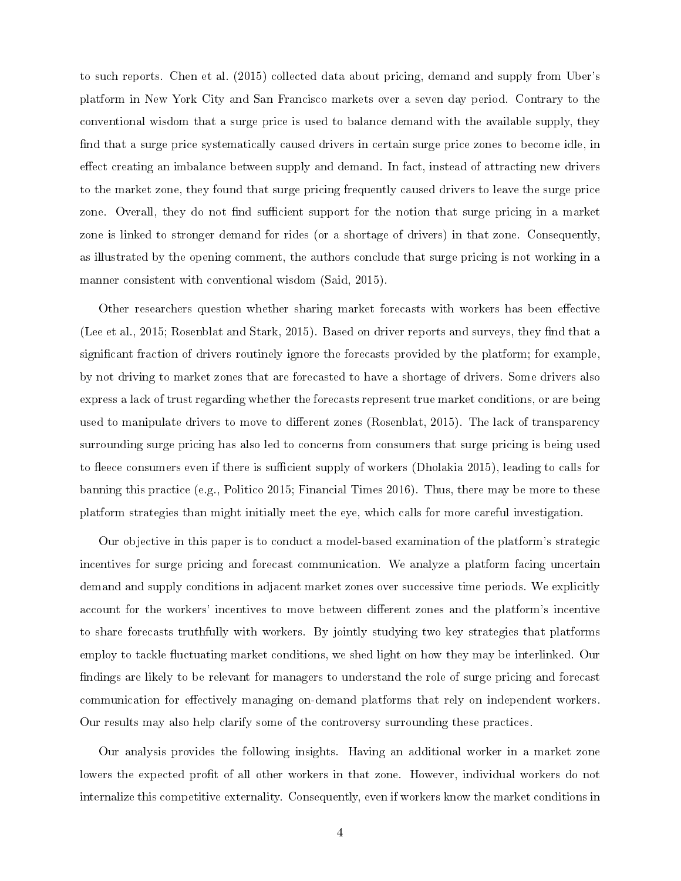to such reports. [Chen et al.](#page-29-0) [\(2015\)](#page-29-0) collected data about pricing, demand and supply from Uber's platform in New York City and San Francisco markets over a seven day period. Contrary to the conventional wisdom that a surge price is used to balance demand with the available supply, they find that a surge price systematically caused drivers in certain surge price zones to become idle, in effect creating an imbalance between supply and demand. In fact, instead of attracting new drivers to the market zone, they found that surge pricing frequently caused drivers to leave the surge price zone. Overall, they do not find sufficient support for the notion that surge pricing in a market zone is linked to stronger demand for rides (or a shortage of drivers) in that zone. Consequently, as illustrated by the opening comment, the authors conclude that surge pricing is not working in a manner consistent with conventional wisdom [\(Said, 2015\)](#page-31-0).

Other researchers question whether sharing market forecasts with workers has been effective (Lee et al.,  $2015$ ; Rosenblat and Stark,  $2015$ ). Based on driver reports and surveys, they find that a significant fraction of drivers routinely ignore the forecasts provided by the platform; for example, by not driving to market zones that are forecasted to have a shortage of drivers. Some drivers also express a lack of trust regarding whether the forecasts represent true market conditions, or are being used to manipulate drivers to move to different zones [\(Rosenblat, 2015\)](#page-31-4). The lack of transparency surrounding surge pricing has also led to concerns from consumers that surge pricing is being used to fleece consumers even if there is sufficient supply of workers [\(Dholakia 2015\)](#page-29-5), leading to calls for banning this practice (e.g., [Politico 2015;](#page-31-5) [Financial Times 2016\)](#page-30-5). Thus, there may be more to these platform strategies than might initially meet the eye, which calls for more careful investigation.

Our objective in this paper is to conduct a model-based examination of the platform's strategic incentives for surge pricing and forecast communication. We analyze a platform facing uncertain demand and supply conditions in adjacent market zones over successive time periods. We explicitly account for the workers' incentives to move between different zones and the platform's incentive to share forecasts truthfully with workers. By jointly studying two key strategies that platforms employ to tackle fluctuating market conditions, we shed light on how they may be interlinked. Our findings are likely to be relevant for managers to understand the role of surge pricing and forecast communication for effectively managing on-demand platforms that rely on independent workers. Our results may also help clarify some of the controversy surrounding these practices.

Our analysis provides the following insights. Having an additional worker in a market zone lowers the expected profit of all other workers in that zone. However, individual workers do not internalize this competitive externality. Consequently, even if workers know the market conditions in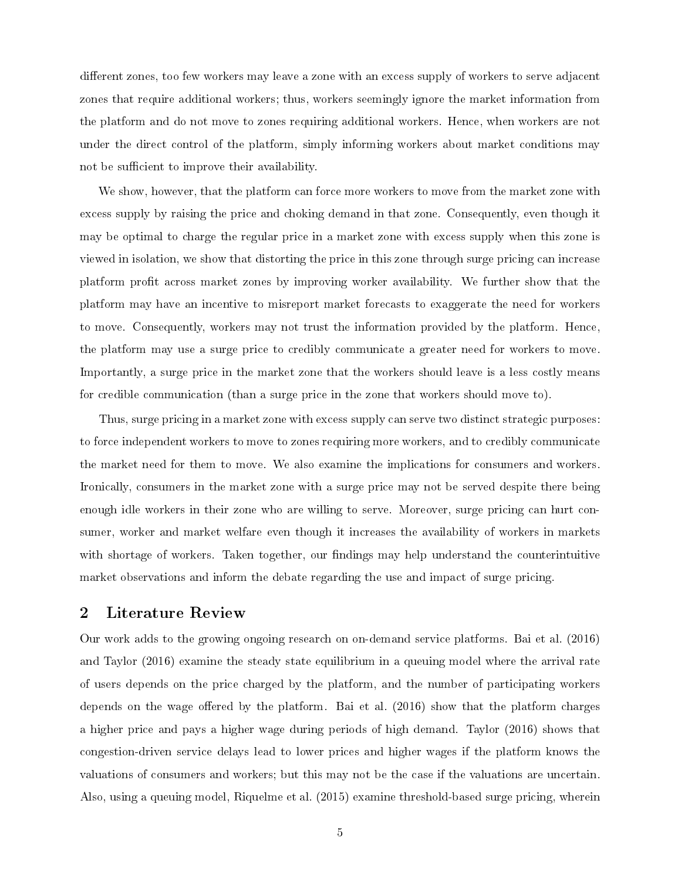different zones, too few workers may leave a zone with an excess supply of workers to serve adjacent zones that require additional workers; thus, workers seemingly ignore the market information from the platform and do not move to zones requiring additional workers. Hence, when workers are not under the direct control of the platform, simply informing workers about market conditions may not be sufficient to improve their availability.

We show, however, that the platform can force more workers to move from the market zone with excess supply by raising the price and choking demand in that zone. Consequently, even though it may be optimal to charge the regular price in a market zone with excess supply when this zone is viewed in isolation, we show that distorting the price in this zone through surge pricing can increase platform profit across market zones by improving worker availability. We further show that the platform may have an incentive to misreport market forecasts to exaggerate the need for workers to move. Consequently, workers may not trust the information provided by the platform. Hence, the platform may use a surge price to credibly communicate a greater need for workers to move. Importantly, a surge price in the market zone that the workers should leave is a less costly means for credible communication (than a surge price in the zone that workers should move to).

Thus, surge pricing in a market zone with excess supply can serve two distinct strategic purposes: to force independent workers to move to zones requiring more workers, and to credibly communicate the market need for them to move. We also examine the implications for consumers and workers. Ironically, consumers in the market zone with a surge price may not be served despite there being enough idle workers in their zone who are willing to serve. Moreover, surge pricing can hurt consumer, worker and market welfare even though it increases the availability of workers in markets with shortage of workers. Taken together, our findings may help understand the counterintuitive market observations and inform the debate regarding the use and impact of surge pricing.

### 2 Literature Review

Our work adds to the growing ongoing research on on-demand service platforms. [Bai et al.](#page-28-0) [\(2016\)](#page-28-0) and [Taylor](#page-32-2) [\(2016\)](#page-32-2) examine the steady state equilibrium in a queuing model where the arrival rate of users depends on the price charged by the platform, and the number of participating workers depends on the wage offered by the platform. [Bai et al.](#page-28-0)  $(2016)$  show that the platform charges a higher price and pays a higher wage during periods of high demand. [Taylor](#page-32-2) [\(2016\)](#page-32-2) shows that congestion-driven service delays lead to lower prices and higher wages if the platform knows the valuations of consumers and workers; but this may not be the case if the valuations are uncertain. Also, using a queuing model, [Riquelme et al.](#page-31-6) [\(2015\)](#page-31-6) examine threshold-based surge pricing, wherein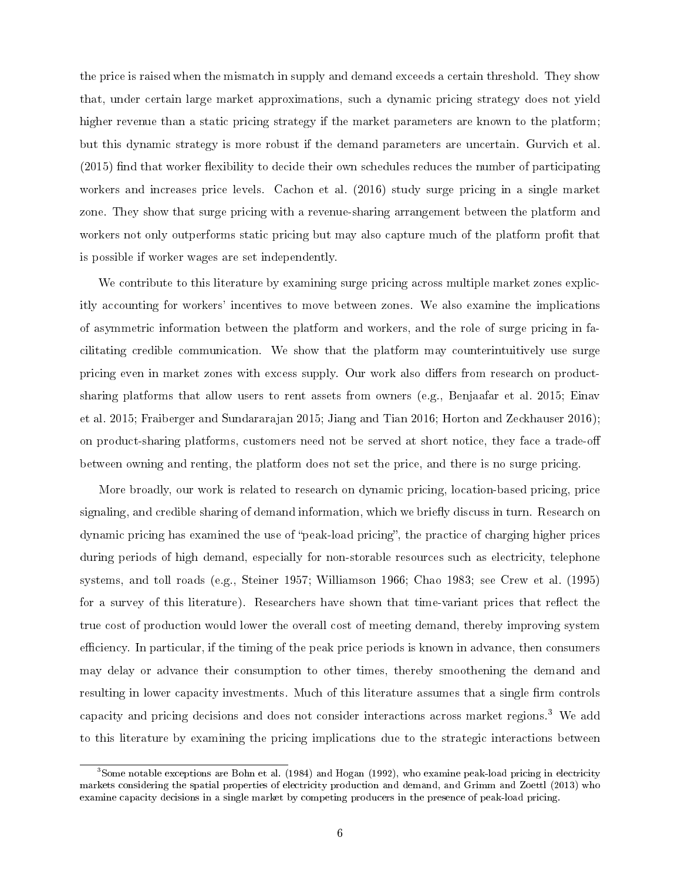the price is raised when the mismatch in supply and demand exceeds a certain threshold. They show that, under certain large market approximations, such a dynamic pricing strategy does not yield higher revenue than a static pricing strategy if the market parameters are known to the platform; but this dynamic strategy is more robust if the demand parameters are uncertain. [Gurvich et al.](#page-30-6)  $(2015)$  find that worker flexibility to decide their own schedules reduces the number of participating workers and increases price levels. [Cachon et al.](#page-29-6) [\(2016\)](#page-29-6) study surge pricing in a single market zone. They show that surge pricing with a revenue-sharing arrangement between the platform and workers not only outperforms static pricing but may also capture much of the platform profit that is possible if worker wages are set independently.

We contribute to this literature by examining surge pricing across multiple market zones explicitly accounting for workers' incentives to move between zones. We also examine the implications of asymmetric information between the platform and workers, and the role of surge pricing in facilitating credible communication. We show that the platform may counterintuitively use surge pricing even in market zones with excess supply. Our work also differs from research on productsharing platforms that allow users to rent assets from owners (e.g., [Benjaafar et al. 2015;](#page-28-1) [Einav](#page-30-7) [et al. 2015;](#page-30-7) [Fraiberger and Sundararajan 2015;](#page-30-8) [Jiang and Tian 2016;](#page-30-9) [Horton and Zeckhauser 2016\)](#page-30-10); on product-sharing platforms, customers need not be served at short notice, they face a trade-o between owning and renting, the platform does not set the price, and there is no surge pricing.

More broadly, our work is related to research on dynamic pricing, location-based pricing, price signaling, and credible sharing of demand information, which we briefly discuss in turn. Research on dynamic pricing has examined the use of "peak-load pricing", the practice of charging higher prices during periods of high demand, especially for non-storable resources such as electricity, telephone systems, and toll roads (e.g., [Steiner 1957;](#page-31-7) [Williamson 1966;](#page-32-3) [Chao 1983;](#page-29-7) see [Crew et al.](#page-29-8) [\(1995\)](#page-29-8) for a survey of this literature). Researchers have shown that time-variant prices that reflect the true cost of production would lower the overall cost of meeting demand, thereby improving system efficiency. In particular, if the timing of the peak price periods is known in advance, then consumers may delay or advance their consumption to other times, thereby smoothening the demand and resulting in lower capacity investments. Much of this literature assumes that a single firm controls capacity and pricing decisions and does not consider interactions across market regions.<sup>3</sup> We add to this literature by examining the pricing implications due to the strategic interactions between

<sup>&</sup>lt;sup>3</sup>Some notable exceptions are [Bohn et al.](#page-29-9) [\(1984\)](#page-29-9) and [Hogan](#page-30-11) [\(1992\)](#page-30-11), who examine peak-load pricing in electricity markets considering the spatial properties of electricity production and demand, and [Grimm and Zoettl](#page-30-12) [\(2013\)](#page-30-12) who examine capacity decisions in a single market by competing producers in the presence of peak-load pricing.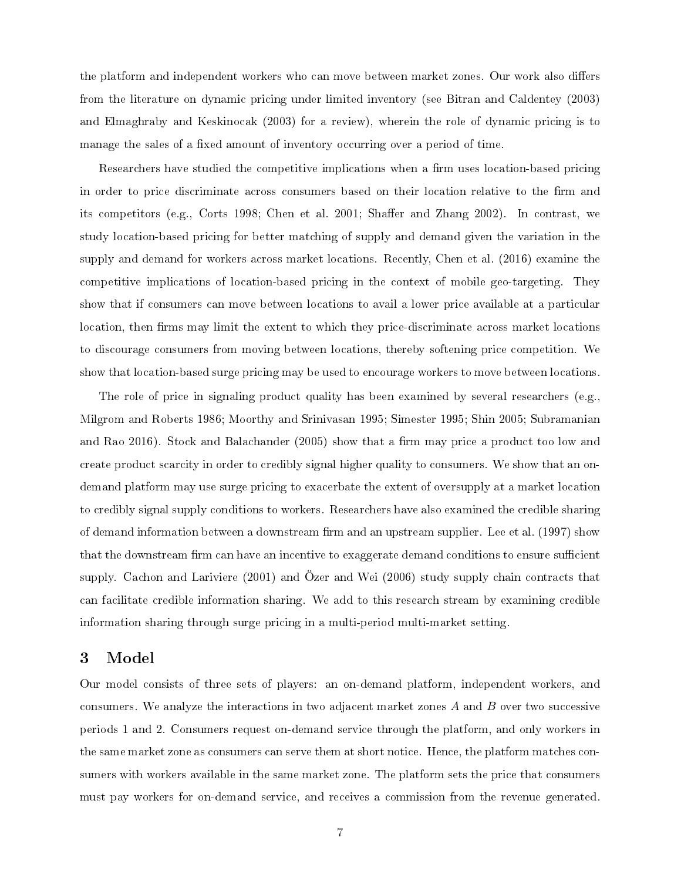the platform and independent workers who can move between market zones. Our work also differs from the literature on dynamic pricing under limited inventory (see [Bitran and Caldentey](#page-28-2) [\(2003\)](#page-28-2) and [Elmaghraby and Keskinocak](#page-30-13) [\(2003\)](#page-30-13) for a review), wherein the role of dynamic pricing is to manage the sales of a fixed amount of inventory occurring over a period of time.

Researchers have studied the competitive implications when a firm uses location-based pricing in order to price discriminate across consumers based on their location relative to the firm and its competitors (e.g., [Corts 1998;](#page-29-10) [Chen et al. 2001;](#page-29-11) Shaffer and Zhang 2002). In contrast, we study location-based pricing for better matching of supply and demand given the variation in the supply and demand for workers across market locations. Recently, [Chen et al.](#page-29-12) [\(2016\)](#page-29-12) examine the competitive implications of location-based pricing in the context of mobile geo-targeting. They show that if consumers can move between locations to avail a lower price available at a particular location, then firms may limit the extent to which they price-discriminate across market locations to discourage consumers from moving between locations, thereby softening price competition. We show that location-based surge pricing may be used to encourage workers to move between locations.

The role of price in signaling product quality has been examined by several researchers (e.g., [Milgrom and Roberts 1986;](#page-31-9) [Moorthy and Srinivasan 1995;](#page-31-10) [Simester 1995;](#page-31-11) [Shin 2005;](#page-31-12) [Subramanian](#page-31-13) and Rao  $2016$ ). [Stock and Balachander](#page-31-14) [\(2005\)](#page-31-14) show that a firm may price a product too low and create product scarcity in order to credibly signal higher quality to consumers. We show that an ondemand platform may use surge pricing to exacerbate the extent of oversupply at a market location to credibly signal supply conditions to workers. Researchers have also examined the credible sharing of demand information between a downstream firm and an upstream supplier. [Lee et al.](#page-30-14) [\(1997\)](#page-30-14) show that the downstream firm can have an incentive to exaggerate demand conditions to ensure sufficient supply. [Cachon and Lariviere](#page-29-13) [\(2001\)](#page-29-13) and [Özer and Wei](#page-31-15) [\(2006\)](#page-31-15) study supply chain contracts that can facilitate credible information sharing. We add to this research stream by examining credible information sharing through surge pricing in a multi-period multi-market setting.

### <span id="page-7-0"></span>3 Model

Our model consists of three sets of players: an on-demand platform, independent workers, and consumers. We analyze the interactions in two adjacent market zones  $A$  and  $B$  over two successive periods 1 and 2. Consumers request on-demand service through the platform, and only workers in the same market zone as consumers can serve them at short notice. Hence, the platform matches consumers with workers available in the same market zone. The platform sets the price that consumers must pay workers for on-demand service, and receives a commission from the revenue generated.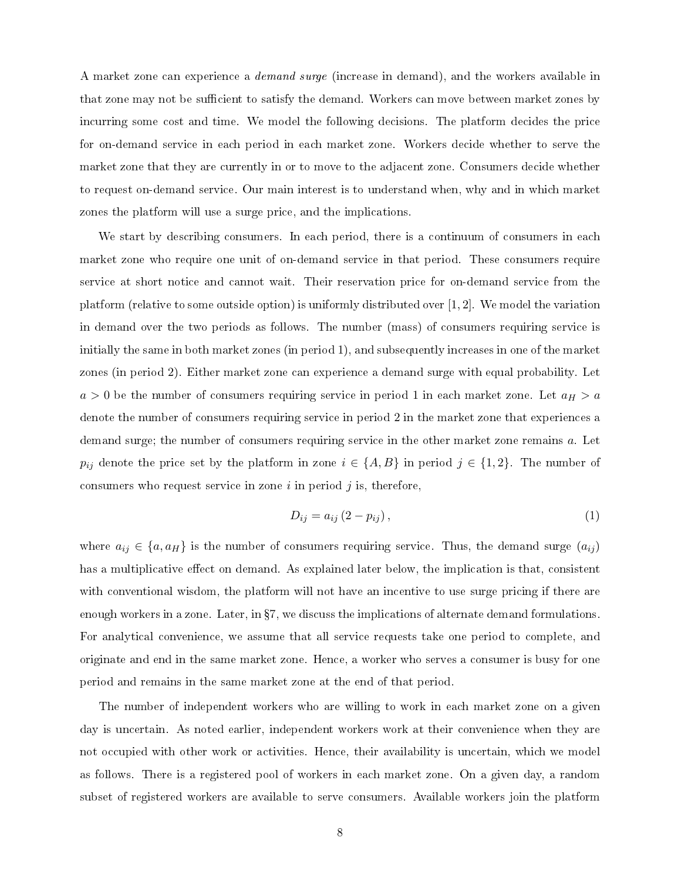A market zone can experience a demand surge (increase in demand), and the workers available in that zone may not be sufficient to satisfy the demand. Workers can move between market zones by incurring some cost and time. We model the following decisions. The platform decides the price for on-demand service in each period in each market zone. Workers decide whether to serve the market zone that they are currently in or to move to the adjacent zone. Consumers decide whether to request on-demand service. Our main interest is to understand when, why and in which market zones the platform will use a surge price, and the implications.

We start by describing consumers. In each period, there is a continuum of consumers in each market zone who require one unit of on-demand service in that period. These consumers require service at short notice and cannot wait. Their reservation price for on-demand service from the platform (relative to some outside option) is uniformly distributed over [1, 2]. We model the variation in demand over the two periods as follows. The number (mass) of consumers requiring service is initially the same in both market zones (in period 1), and subsequently increases in one of the market zones (in period 2). Either market zone can experience a demand surge with equal probability. Let  $a > 0$  be the number of consumers requiring service in period 1 in each market zone. Let  $a_H > a$ denote the number of consumers requiring service in period 2 in the market zone that experiences a demand surge; the number of consumers requiring service in the other market zone remains  $a$ . Let  $p_{ij}$  denote the price set by the platform in zone  $i \in \{A, B\}$  in period  $j \in \{1, 2\}$ . The number of consumers who request service in zone  $i$  in period  $j$  is, therefore,

$$
D_{ij} = a_{ij} \left( 2 - p_{ij} \right),\tag{1}
$$

where  $a_{ij} \in \{a, a_H\}$  is the number of consumers requiring service. Thus, the demand surge  $(a_{ij})$ has a multiplicative effect on demand. As explained later below, the implication is that, consistent with conventional wisdom, the platform will not have an incentive to use surge pricing if there are enough workers in a zone. Later, in  $\S7$ , we discuss the implications of alternate demand formulations. For analytical convenience, we assume that all service requests take one period to complete, and originate and end in the same market zone. Hence, a worker who serves a consumer is busy for one period and remains in the same market zone at the end of that period.

The number of independent workers who are willing to work in each market zone on a given day is uncertain. As noted earlier, independent workers work at their convenience when they are not occupied with other work or activities. Hence, their availability is uncertain, which we model as follows. There is a registered pool of workers in each market zone. On a given day, a random subset of registered workers are available to serve consumers. Available workers join the platform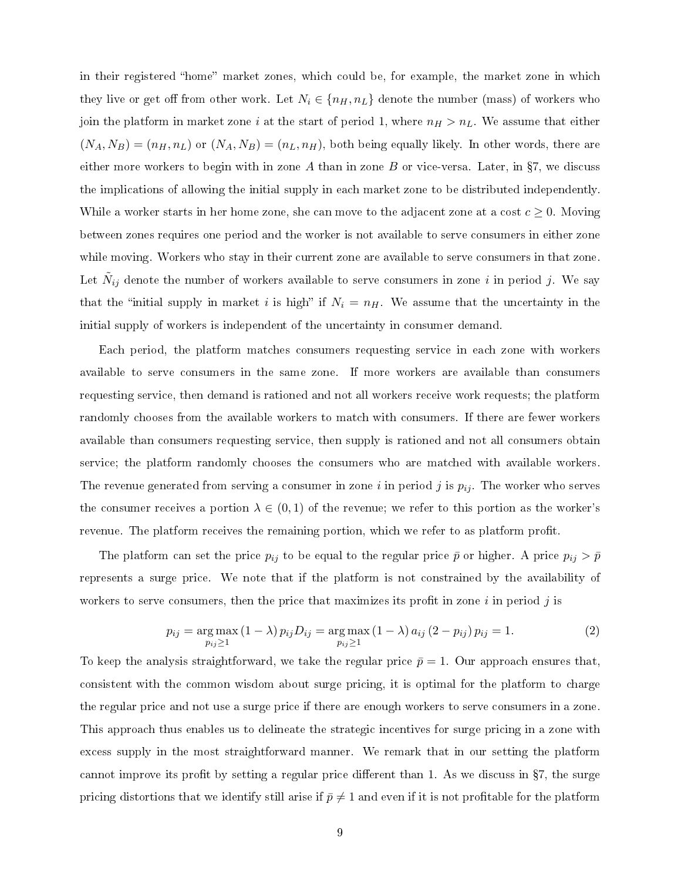in their registered "home" market zones, which could be, for example, the market zone in which they live or get off from other work. Let  $N_i \in \{n_H, n_L\}$  denote the number (mass) of workers who join the platform in market zone i at the start of period 1, where  $n_H > n_L$ . We assume that either  $(N_A, N_B) = (n_H, n_L)$  or  $(N_A, N_B) = (n_L, n_H)$ , both being equally likely. In other words, there are either more workers to begin with in zone A than in zone B or vice-versa. Later, in  $\S7$ , we discuss the implications of allowing the initial supply in each market zone to be distributed independently. While a worker starts in her home zone, she can move to the adjacent zone at a cost  $c \geq 0$ . Moving between zones requires one period and the worker is not available to serve consumers in either zone while moving. Workers who stay in their current zone are available to serve consumers in that zone. Let  $\tilde{N}_{ij}$  denote the number of workers available to serve consumers in zone  $i$  in period  $j$ . We say that the "initial supply in market i is high" if  $N_i = n_H$ . We assume that the uncertainty in the initial supply of workers is independent of the uncertainty in consumer demand.

Each period, the platform matches consumers requesting service in each zone with workers available to serve consumers in the same zone. If more workers are available than consumers requesting service, then demand is rationed and not all workers receive work requests; the platform randomly chooses from the available workers to match with consumers. If there are fewer workers available than consumers requesting service, then supply is rationed and not all consumers obtain service; the platform randomly chooses the consumers who are matched with available workers. The revenue generated from serving a consumer in zone i in period j is  $p_{ij}$ . The worker who serves the consumer receives a portion  $\lambda \in (0,1)$  of the revenue; we refer to this portion as the worker's revenue. The platform receives the remaining portion, which we refer to as platform profit.

The platform can set the price  $p_{ij}$  to be equal to the regular price  $\bar{p}$  or higher. A price  $p_{ij} > \bar{p}$ represents a surge price. We note that if the platform is not constrained by the availability of workers to serve consumers, then the price that maximizes its profit in zone  $i$  in period  $j$  is

<span id="page-9-0"></span>
$$
p_{ij} = \underset{p_{ij} \ge 1}{\arg \max} (1 - \lambda) p_{ij} D_{ij} = \underset{p_{ij} \ge 1}{\arg \max} (1 - \lambda) a_{ij} (2 - p_{ij}) p_{ij} = 1.
$$
 (2)

To keep the analysis straightforward, we take the regular price  $\bar{p}=1$ . Our approach ensures that, consistent with the common wisdom about surge pricing, it is optimal for the platform to charge the regular price and not use a surge price if there are enough workers to serve consumers in a zone. This approach thus enables us to delineate the strategic incentives for surge pricing in a zone with excess supply in the most straightforward manner. We remark that in our setting the platform cannot improve its profit by setting a regular price different than 1. As we discuss in  $\S7$ , the surge pricing distortions that we identify still arise if  $\bar{p} \neq 1$  and even if it is not profitable for the platform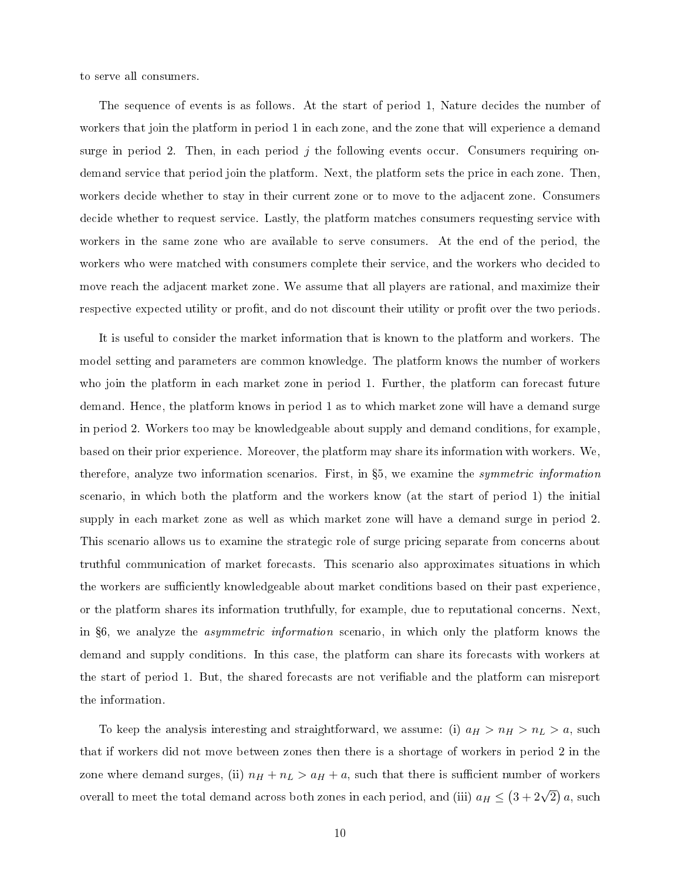to serve all consumers.

The sequence of events is as follows. At the start of period 1, Nature decides the number of workers that join the platform in period 1 in each zone, and the zone that will experience a demand surge in period 2. Then, in each period  $j$  the following events occur. Consumers requiring ondemand service that period join the platform. Next, the platform sets the price in each zone. Then, workers decide whether to stay in their current zone or to move to the adjacent zone. Consumers decide whether to request service. Lastly, the platform matches consumers requesting service with workers in the same zone who are available to serve consumers. At the end of the period, the workers who were matched with consumers complete their service, and the workers who decided to move reach the adjacent market zone. We assume that all players are rational, and maximize their respective expected utility or profit, and do not discount their utility or profit over the two periods.

It is useful to consider the market information that is known to the platform and workers. The model setting and parameters are common knowledge. The platform knows the number of workers who join the platform in each market zone in period 1. Further, the platform can forecast future demand. Hence, the platform knows in period 1 as to which market zone will have a demand surge in period 2. Workers too may be knowledgeable about supply and demand conditions, for example, based on their prior experience. Moreover, the platform may share its information with workers. We, therefore, analyze two information scenarios. First, in §[5,](#page-12-0) we examine the *symmetric information* scenario, in which both the platform and the workers know (at the start of period 1) the initial supply in each market zone as well as which market zone will have a demand surge in period 2. This scenario allows us to examine the strategic role of surge pricing separate from concerns about truthful communication of market forecasts. This scenario also approximates situations in which the workers are sufficiently knowledgeable about market conditions based on their past experience. or the platform shares its information truthfully, for example, due to reputational concerns. Next, in §[6,](#page-20-0) we analyze the *asymmetric information* scenario, in which only the platform knows the demand and supply conditions. In this case, the platform can share its forecasts with workers at the start of period 1. But, the shared forecasts are not veriable and the platform can misreport the information.

To keep the analysis interesting and straightforward, we assume: (i)  $a_H > n_H > n_L > a$ , such that if workers did not move between zones then there is a shortage of workers in period 2 in the zone where demand surges, (ii)  $n_H + n_L > a_H + a$ , such that there is sufficient number of workers overall to meet the total demand across both zones in each period, and (iii)  $a_H \leq (3 + 2\sqrt{2}) a$ , such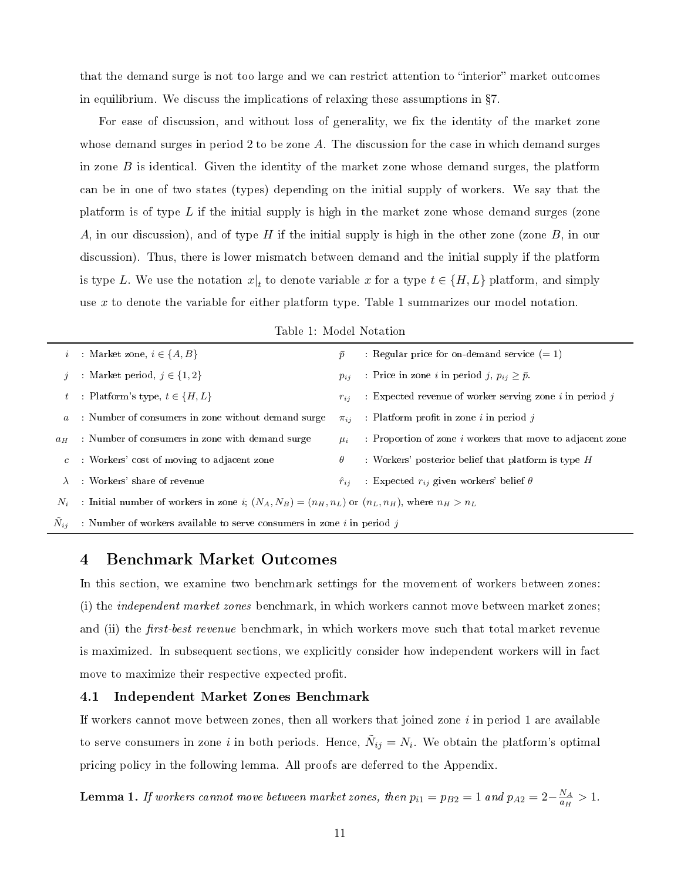that the demand surge is not too large and we can restrict attention to "interior" market outcomes in equilibrium. We discuss the implications of relaxing these assumptions in  $\S7$ .

For ease of discussion, and without loss of generality, we fix the identity of the market zone whose demand surges in period 2 to be zone A. The discussion for the case in which demand surges in zone  $B$  is identical. Given the identity of the market zone whose demand surges, the platform can be in one of two states (types) depending on the initial supply of workers. We say that the platform is of type  $L$  if the initial supply is high in the market zone whose demand surges (zone A, in our discussion), and of type H if the initial supply is high in the other zone (zone  $B$ , in our discussion). Thus, there is lower mismatch between demand and the initial supply if the platform is type L. We use the notation  $x|_t$  to denote variable x for a type  $t \in \{H, L\}$  platform, and simply use x to denote the variable for either platform type. Table [1](#page-11-0) summarizes our model notation.

|                         | <i>i</i> : Market zone, $i \in \{A, B\}$                                                             | $\bar{p}$      | : Regular price for on-demand service $(= 1)$                         |  |  |  |  |
|-------------------------|------------------------------------------------------------------------------------------------------|----------------|-----------------------------------------------------------------------|--|--|--|--|
| $\overline{\mathbf{r}}$ | : Market period, $j \in \{1,2\}$                                                                     | $p_{ij}$       | : Price in zone <i>i</i> in period <i>j</i> , $p_{ij} \geq \bar{p}$ . |  |  |  |  |
|                         | t : Platform's type, $t \in \{H, L\}$                                                                | $r_{ii}$       | : Expected revenue of worker serving zone i in period j               |  |  |  |  |
| $\alpha$                | : Number of consumers in zone without demand surge                                                   | $\pi_{ii}$     | : Platform profit in zone <i>i</i> in period $i$                      |  |  |  |  |
| $a_H$                   | : Number of consumers in zone with demand surge                                                      | $\mu_i$        | : Proportion of zone <i>i</i> workers that move to adjacent zone      |  |  |  |  |
| $\mathfrak{c}$          | Workers' cost of moving to adjacent zone                                                             | $\theta$       | : Workers' posterior belief that platform is type $H$                 |  |  |  |  |
| $\lambda$               | : Workers' share of revenue                                                                          | $\hat{r}_{ij}$ | : Expected $r_{ij}$ given workers' belief $\theta$                    |  |  |  |  |
| $N_i$                   | : Initial number of workers in zone i; $(N_A, N_B) = (n_H, n_L)$ or $(n_L, n_H)$ , where $n_H > n_L$ |                |                                                                       |  |  |  |  |
| $N_{i,i}$               | : Number of workers available to serve consumers in zone $i$ in period $j$                           |                |                                                                       |  |  |  |  |

<span id="page-11-0"></span>Table 1: Model Notation

### 4 Benchmark Market Outcomes

In this section, we examine two benchmark settings for the movement of workers between zones: (i) the independent market zones benchmark, in which workers cannot move between market zones; and (ii) the *first-best revenue* benchmark, in which workers move such that total market revenue is maximized. In subsequent sections, we explicitly consider how independent workers will in fact move to maximize their respective expected profit.

#### 4.1 Independent Market Zones Benchmark

If workers cannot move between zones, then all workers that joined zone  $i$  in period 1 are available to serve consumers in zone  $i$  in both periods. Hence,  $\tilde{N}_{ij} = N_i$ . We obtain the platform's optimal pricing policy in the following lemma. All proofs are deferred to the Appendix.

<span id="page-11-1"></span>**Lemma 1.** If workers cannot move between market zones, then  $p_{i1} = p_{B2} = 1$  and  $p_{A2} = 2 - \frac{N_A}{q_H}$  $\frac{N_A}{a_H} > 1.$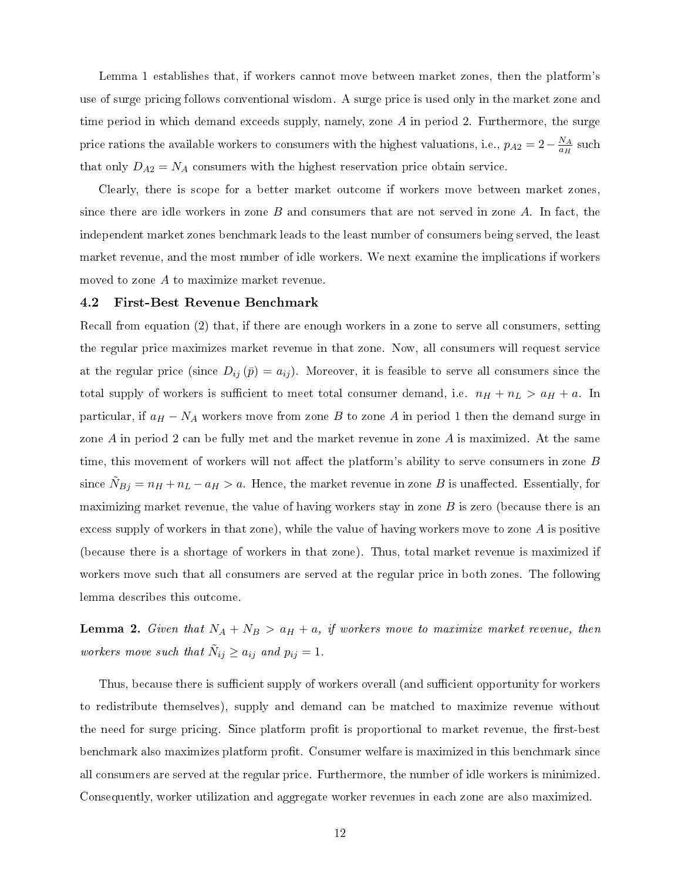Lemma [1](#page-11-1) establishes that, if workers cannot move between market zones, then the platform's use of surge pricing follows conventional wisdom. A surge price is used only in the market zone and time period in which demand exceeds supply, namely, zone A in period 2. Furthermore, the surge price rations the available workers to consumers with the highest valuations, i.e.,  $p_{A2} = 2 - \frac{N_A}{a_H}$  $\frac{N_A}{a_H}$  such that only  $D_{A2} = N_A$  consumers with the highest reservation price obtain service.

Clearly, there is scope for a better market outcome if workers move between market zones, since there are idle workers in zone  $B$  and consumers that are not served in zone  $A$ . In fact, the independent market zones benchmark leads to the least number of consumers being served, the least market revenue, and the most number of idle workers. We next examine the implications if workers moved to zone A to maximize market revenue.

#### 4.2 First-Best Revenue Benchmark

Recall from equation [\(2\)](#page-9-0) that, if there are enough workers in a zone to serve all consumers, setting the regular price maximizes market revenue in that zone. Now, all consumers will request service at the regular price (since  $D_{ij}(\bar{p}) = a_{ij}$ ). Moreover, it is feasible to serve all consumers since the total supply of workers is sufficient to meet total consumer demand, i.e.  $n_H + n_L > a_H + a$ . In particular, if  $a_H - N_A$  workers move from zone B to zone A in period 1 then the demand surge in zone A in period 2 can be fully met and the market revenue in zone A is maximized. At the same time, this movement of workers will not affect the platform's ability to serve consumers in zone  $B$ since  $N_{Bj} = n_H + n_L - a_H > a$ . Hence, the market revenue in zone B is unaffected. Essentially, for maximizing market revenue, the value of having workers stay in zone  $B$  is zero (because there is an excess supply of workers in that zone), while the value of having workers move to zone  $A$  is positive (because there is a shortage of workers in that zone). Thus, total market revenue is maximized if workers move such that all consumers are served at the regular price in both zones. The following lemma describes this outcome.

<span id="page-12-1"></span>**Lemma 2.** Given that  $N_A + N_B > a_H + a$ , if workers move to maximize market revenue, then workers move such that  $\tilde{N}_{ij} \ge a_{ij}$  and  $p_{ij} = 1$ .

<span id="page-12-0"></span>Thus, because there is sufficient supply of workers overall (and sufficient opportunity for workers to redistribute themselves), supply and demand can be matched to maximize revenue without the need for surge pricing. Since platform profit is proportional to market revenue, the first-best benchmark also maximizes platform profit. Consumer welfare is maximized in this benchmark since all consumers are served at the regular price. Furthermore, the number of idle workers is minimized. Consequently, worker utilization and aggregate worker revenues in each zone are also maximized.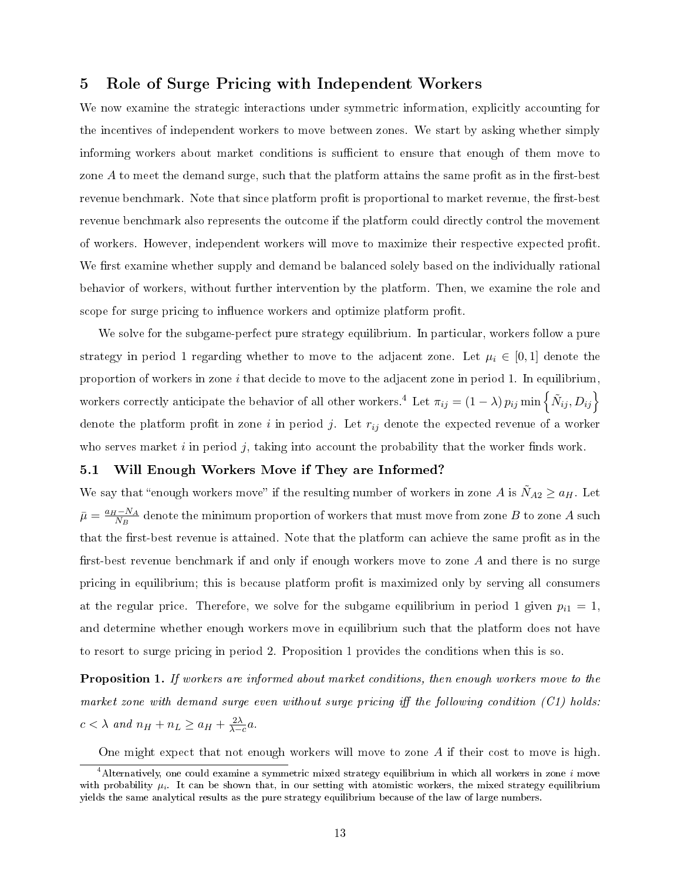## 5 Role of Surge Pricing with Independent Workers

We now examine the strategic interactions under symmetric information, explicitly accounting for the incentives of independent workers to move between zones. We start by asking whether simply informing workers about market conditions is sufficient to ensure that enough of them move to zone  $\tilde{A}$  to meet the demand surge, such that the platform attains the same profit as in the first-best revenue benchmark. Note that since platform profit is proportional to market revenue, the first-best revenue benchmark also represents the outcome if the platform could directly control the movement of workers. However, independent workers will move to maximize their respective expected prot. We first examine whether supply and demand be balanced solely based on the individually rational behavior of workers, without further intervention by the platform. Then, we examine the role and scope for surge pricing to influence workers and optimize platform profit.

We solve for the subgame-perfect pure strategy equilibrium. In particular, workers follow a pure strategy in period 1 regarding whether to move to the adjacent zone. Let  $\mu_i \in [0,1]$  denote the proportion of workers in zone  $i$  that decide to move to the adjacent zone in period 1. In equilibrium, workers correctly anticipate the behavior of all other workers.<sup>4</sup> Let  $\pi_{ij} = (1-\lambda) \, p_{ij} \min\left\{ \tilde{N}_{ij}, D_{ij} \right\}$ denote the platform profit in zone i in period j. Let  $r_{ij}$  denote the expected revenue of a worker who serves market  $i$  in period  $j$ , taking into account the probability that the worker finds work.

#### 5.1 Will Enough Workers Move if They are Informed?

We say that "enough workers move" if the resulting number of workers in zone A is  $\tilde{N}_{A2} \ge a_H$ . Let  $\bar{\mu} = \frac{a_H - N_A}{N_B}$  $\frac{N_B^{1-N_A}}{N_B}$  denote the minimum proportion of workers that must move from zone  $B$  to zone  $A$  such that the first-best revenue is attained. Note that the platform can achieve the same profit as in the first-best revenue benchmark if and only if enough workers move to zone  $A$  and there is no surge pricing in equilibrium; this is because platform profit is maximized only by serving all consumers at the regular price. Therefore, we solve for the subgame equilibrium in period 1 given  $p_{i1} = 1$ , and determine whether enough workers move in equilibrium such that the platform does not have to resort to surge pricing in period 2. Proposition [1](#page-13-0) provides the conditions when this is so.

<span id="page-13-0"></span>Proposition 1. If workers are informed about market conditions, then enough workers move to the market zone with demand surge even without surge pricing iff the following condition  $(C1)$  holds:  $c < \lambda$  and  $n_H + n_L \ge a_H + \frac{2\lambda}{\lambda - c}a$ .

One might expect that not enough workers will move to zone A if their cost to move is high.

<sup>&</sup>lt;sup>4</sup>Alternatively, one could examine a symmetric mixed strategy equilibrium in which all workers in zone  $i$  move with probability  $\mu_i$ . It can be shown that, in our setting with atomistic workers, the mixed strategy equilibrium yields the same analytical results as the pure strategy equilibrium because of the law of large numbers.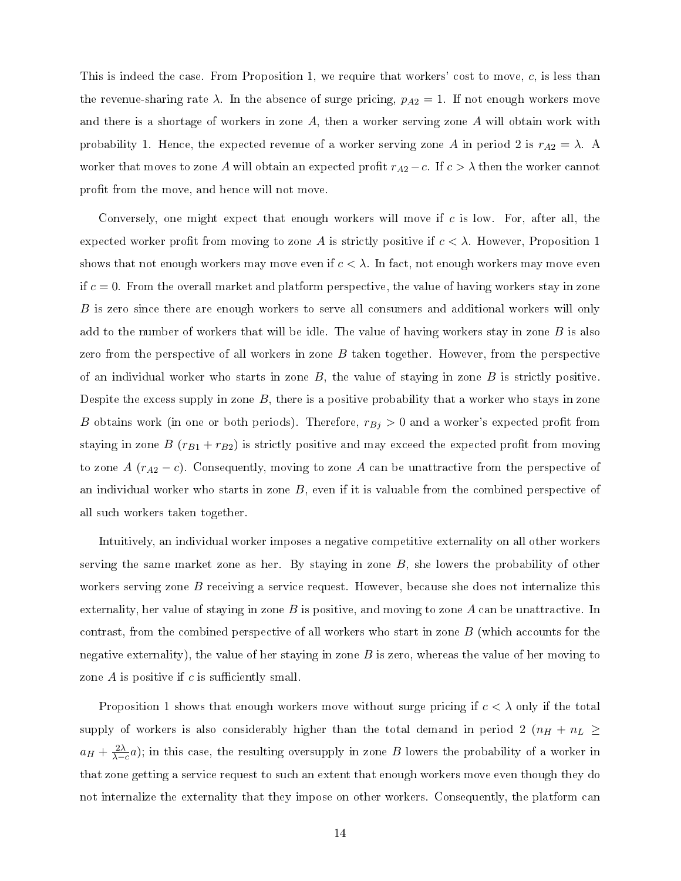This is indeed the case. From Proposition [1,](#page-13-0) we require that workers' cost to move, c, is less than the revenue-sharing rate  $\lambda$ . In the absence of surge pricing,  $p_{A2} = 1$ . If not enough workers move and there is a shortage of workers in zone  $A$ , then a worker serving zone  $A$  will obtain work with probability 1. Hence, the expected revenue of a worker serving zone A in period 2 is  $r_{A2} = \lambda$ . A worker that moves to zone A will obtain an expected profit  $r_{A2} - c$ . If  $c > \lambda$  then the worker cannot profit from the move, and hence will not move.

Conversely, one might expect that enough workers will move if  $c$  is low. For, after all, the expected worker profit from moving to zone A is strictly positive if  $c < \lambda$ . However, Proposition [1](#page-13-0) shows that not enough workers may move even if  $c < \lambda$ . In fact, not enough workers may move even if  $c = 0$ . From the overall market and platform perspective, the value of having workers stay in zone B is zero since there are enough workers to serve all consumers and additional workers will only add to the number of workers that will be idle. The value of having workers stay in zone  $B$  is also zero from the perspective of all workers in zone  $B$  taken together. However, from the perspective of an individual worker who starts in zone  $B$ , the value of staying in zone  $B$  is strictly positive. Despite the excess supply in zone  $B$ , there is a positive probability that a worker who stays in zone B obtains work (in one or both periods). Therefore,  $r_{Bj} > 0$  and a worker's expected profit from staying in zone B  $(r_{B1} + r_{B2})$  is strictly positive and may exceed the expected profit from moving to zone A  $(r_{A2}-c)$ . Consequently, moving to zone A can be unattractive from the perspective of an individual worker who starts in zone  $B$ , even if it is valuable from the combined perspective of all such workers taken together.

Intuitively, an individual worker imposes a negative competitive externality on all other workers serving the same market zone as her. By staying in zone B, she lowers the probability of other workers serving zone  $B$  receiving a service request. However, because she does not internalize this externality, her value of staying in zone  $B$  is positive, and moving to zone  $A$  can be unattractive. In contrast, from the combined perspective of all workers who start in zone B (which accounts for the negative externality), the value of her staying in zone  $B$  is zero, whereas the value of her moving to zone  $A$  is positive if  $c$  is sufficiently small.

Proposition [1](#page-13-0) shows that enough workers move without surge pricing if  $c < \lambda$  only if the total supply of workers is also considerably higher than the total demand in period 2  $(n_H + n_L \geq$  $a_H + \frac{2\lambda}{\lambda - c} a$ ; in this case, the resulting oversupply in zone B lowers the probability of a worker in that zone getting a service request to such an extent that enough workers move even though they do not internalize the externality that they impose on other workers. Consequently, the platform can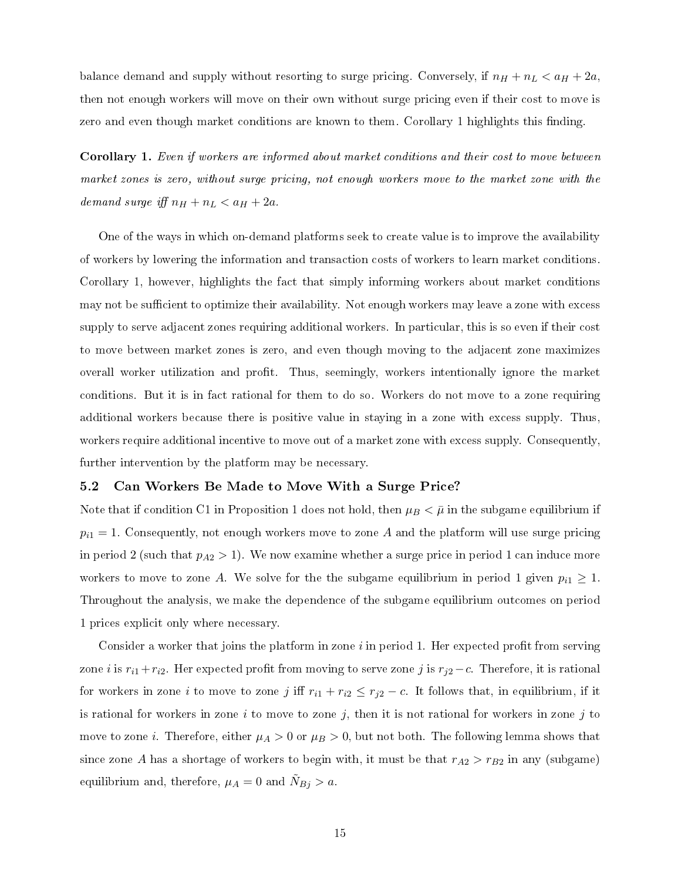balance demand and supply without resorting to surge pricing. Conversely, if  $n_H + n_L < a_H + 2a$ , then not enough workers will move on their own without surge pricing even if their cost to move is zero and even though market conditions are known to them. Corollary [1](#page-15-0) highlights this finding.

<span id="page-15-0"></span>Corollary 1. Even if workers are informed about market conditions and their cost to move between market zones is zero, without surge pricing, not enough workers move to the market zone with the demand surge iff  $n_H + n_L < a_H + 2a$ .

One of the ways in which on-demand platforms seek to create value is to improve the availability of workers by lowering the information and transaction costs of workers to learn market conditions. Corollary [1,](#page-15-0) however, highlights the fact that simply informing workers about market conditions may not be sufficient to optimize their availability. Not enough workers may leave a zone with excess supply to serve adjacent zones requiring additional workers. In particular, this is so even if their cost to move between market zones is zero, and even though moving to the adjacent zone maximizes overall worker utilization and profit. Thus, seemingly, workers intentionally ignore the market conditions. But it is in fact rational for them to do so. Workers do not move to a zone requiring additional workers because there is positive value in staying in a zone with excess supply. Thus, workers require additional incentive to move out of a market zone with excess supply. Consequently, further intervention by the platform may be necessary.

#### 5.2 Can Workers Be Made to Move With a Surge Price?

Note that if condition C1 in Proposition [1](#page-13-0) does not hold, then  $\mu_B < \bar{\mu}$  in the subgame equilibrium if  $p_{i1} = 1$ . Consequently, not enough workers move to zone A and the platform will use surge pricing in period 2 (such that  $p_{A2} > 1$ ). We now examine whether a surge price in period 1 can induce more workers to move to zone A. We solve for the the subgame equilibrium in period 1 given  $p_{i1} \geq 1$ . Throughout the analysis, we make the dependence of the subgame equilibrium outcomes on period 1 prices explicit only where necessary.

Consider a worker that joins the platform in zone  $i$  in period 1. Her expected profit from serving zone *i* is  $r_{i1}+r_{i2}$ . Her expected profit from moving to serve zone *j* is  $r_{j2}-c$ . Therefore, it is rational for workers in zone i to move to zone j iff  $r_{i1} + r_{i2} \leq r_{j2} - c$ . It follows that, in equilibrium, if it is rational for workers in zone  $i$  to move to zone  $j$ , then it is not rational for workers in zone  $j$  to move to zone *i*. Therefore, either  $\mu_A > 0$  or  $\mu_B > 0$ , but not both. The following lemma shows that since zone A has a shortage of workers to begin with, it must be that  $r_{A2} > r_{B2}$  in any (subgame) equilibrium and, therefore,  $\mu_A = 0$  and  $\tilde{N}_{Bj} > a$ .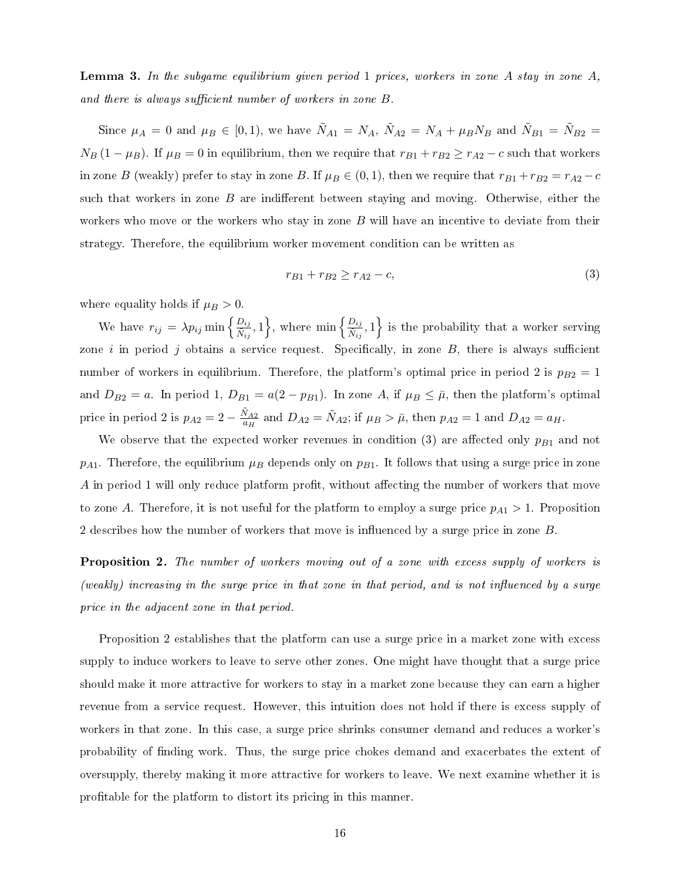<span id="page-16-2"></span>Lemma 3. In the subgame equilibrium given period 1 prices, workers in zone A stay in zone A, and there is always sufficient number of workers in zone  $B$ .

Since  $\mu_A = 0$  and  $\mu_B \in [0, 1)$ , we have  $\tilde{N}_{A1} = N_A$ ,  $\tilde{N}_{A2} = N_A + \mu_B N_B$  and  $\tilde{N}_{B1} = \tilde{N}_{B2} =$  $N_B$  (1 –  $\mu_B$ ). If  $\mu_B = 0$  in equilibrium, then we require that  $r_{B1} + r_{B2} \ge r_{A2} - c$  such that workers in zone B (weakly) prefer to stay in zone B. If  $\mu_B \in (0,1)$ , then we require that  $r_{B1} + r_{B2} = r_{A2} - c$ such that workers in zone  $B$  are indifferent between staying and moving. Otherwise, either the workers who move or the workers who stay in zone  $B$  will have an incentive to deviate from their strategy. Therefore, the equilibrium worker movement condition can be written as

<span id="page-16-0"></span>
$$
r_{B1} + r_{B2} \ge r_{A2} - c,\tag{3}
$$

where equality holds if  $\mu_B > 0$ .

We have  $r_{ij} = \lambda p_{ij} \min \left\{ \frac{D_{ij}}{\tilde{N}_{ij}} \right\}$  $\left\{\frac{D_{ij}}{\tilde{N}_{ij}},1\right\}$ , where  $\min\left\{\frac{D_{ij}}{\tilde{N}_{ij}}\right\}$  $\left\{\frac{D_{ij}}{\tilde{N}_{ij}},1\right\}$  is the probability that a worker serving zone i in period j obtains a service request. Specifically, in zone  $B$ , there is always sufficient number of workers in equilibrium. Therefore, the platform's optimal price in period 2 is  $p_{B2} = 1$ and  $D_{B2} = a$ . In period 1,  $D_{B1} = a(2 - p_{B1})$ . In zone A, if  $\mu_B \leq \bar{\mu}$ , then the platform's optimal price in period 2 is  $p_{A2} = 2 - \frac{\tilde{N}_{A2}}{a_H}$  $\frac{N_{A2}}{a_{H}}$  and  $D_{A2} = \tilde{N}_{A2}$ ; if  $\mu_B > \bar{\mu}$ , then  $p_{A2} = 1$  and  $D_{A2} = a_{H}$ .

We observe that the expected worker revenues in condition [\(3\)](#page-16-0) are affected only  $p_{B1}$  and not  $p_{A1}$ . Therefore, the equilibrium  $\mu_B$  depends only on  $p_{B1}$ . It follows that using a surge price in zone A in period 1 will only reduce platform profit, without affecting the number of workers that move to zone A. Therefore, it is not useful for the platform to employ a surge price  $p_{A1} > 1$ . Proposition [2](#page-16-1) describes how the number of workers that move is influenced by a surge price in zone  $B$ .

<span id="page-16-1"></span>Proposition 2. The number of workers moving out of a zone with excess supply of workers is (weakly) increasing in the surge price in that zone in that period, and is not influenced by a surge price in the adjacent zone in that period.

Proposition [2](#page-16-1) establishes that the platform can use a surge price in a market zone with excess supply to induce workers to leave to serve other zones. One might have thought that a surge price should make it more attractive for workers to stay in a market zone because they can earn a higher revenue from a service request. However, this intuition does not hold if there is excess supply of workers in that zone. In this case, a surge price shrinks consumer demand and reduces a worker's probability of nding work. Thus, the surge price chokes demand and exacerbates the extent of oversupply, thereby making it more attractive for workers to leave. We next examine whether it is profitable for the platform to distort its pricing in this manner.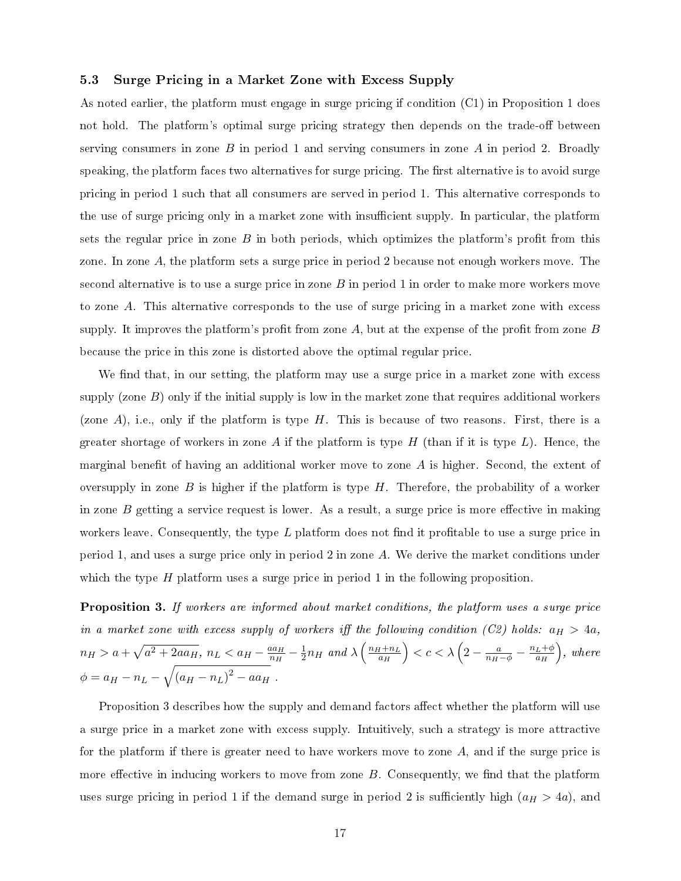#### 5.3 Surge Pricing in a Market Zone with Excess Supply

As noted earlier, the platform must engage in surge pricing if condition (C1) in Proposition [1](#page-13-0) does not hold. The platform's optimal surge pricing strategy then depends on the trade-off between serving consumers in zone  $B$  in period 1 and serving consumers in zone  $A$  in period 2. Broadly speaking, the platform faces two alternatives for surge pricing. The first alternative is to avoid surge pricing in period 1 such that all consumers are served in period 1. This alternative corresponds to the use of surge pricing only in a market zone with insufficient supply. In particular, the platform sets the regular price in zone  $B$  in both periods, which optimizes the platform's profit from this zone. In zone A, the platform sets a surge price in period 2 because not enough workers move. The second alternative is to use a surge price in zone  $B$  in period 1 in order to make more workers move to zone A. This alternative corresponds to the use of surge pricing in a market zone with excess supply. It improves the platform's profit from zone  $A$ , but at the expense of the profit from zone  $B$ because the price in this zone is distorted above the optimal regular price.

We find that, in our setting, the platform may use a surge price in a market zone with excess supply (zone  $B$ ) only if the initial supply is low in the market zone that requires additional workers (zone  $A$ ), i.e., only if the platform is type  $H$ . This is because of two reasons. First, there is a greater shortage of workers in zone A if the platform is type H (than if it is type  $L$ ). Hence, the marginal benefit of having an additional worker move to zone  $A$  is higher. Second, the extent of oversupply in zone  $B$  is higher if the platform is type  $H$ . Therefore, the probability of a worker in zone  $B$  getting a service request is lower. As a result, a surge price is more effective in making workers leave. Consequently, the type  $L$  platform does not find it profitable to use a surge price in period 1, and uses a surge price only in period 2 in zone A. We derive the market conditions under which the type  $H$  platform uses a surge price in period 1 in the following proposition.

<span id="page-17-0"></span>Proposition 3. If workers are informed about market conditions, the platform uses a surge price in a market zone with excess supply of workers iff the following condition (C2) holds:  $a_H > 4a$ ,  $n_H > a + \sqrt{a^2 + 2aa_H}$ ,  $n_L < a_H - \frac{aa_H}{n_H}$  $\frac{a a_H}{n_H} - \frac{1}{2}$  $\frac{1}{2}n_H$  and  $\lambda\left(\frac{n_H+n_L}{a_H}\right)$  $\overline{a_H}$  $\Big) < c < \lambda \left( 2 - \frac{a}{n_H - \phi} - \frac{n_L + \phi}{a_H} \right)$  $\overline{a_H}$  $\big)$ , where  $\phi = a_H - n_L - \sqrt{(a_H - n_L)^2 - a a_H}$ .

Proposition [3](#page-17-0) describes how the supply and demand factors affect whether the platform will use a surge price in a market zone with excess supply. Intuitively, such a strategy is more attractive for the platform if there is greater need to have workers move to zone  $A$ , and if the surge price is more effective in inducing workers to move from zone  $B$ . Consequently, we find that the platform uses surge pricing in period 1 if the demand surge in period 2 is sufficiently high  $(a_H > 4a)$ , and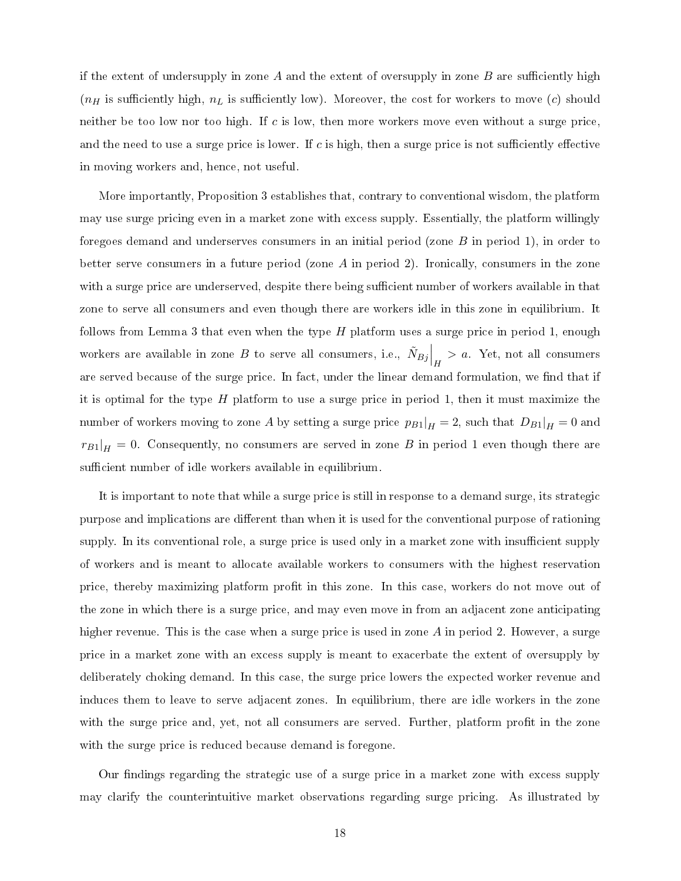if the extent of undersupply in zone A and the extent of oversupply in zone  $B$  are sufficiently high  $(n_H$  is sufficiently high,  $n_L$  is sufficiently low). Moreover, the cost for workers to move  $(c)$  should neither be too low nor too high. If c is low, then more workers move even without a surge price, and the need to use a surge price is lower. If c is high, then a surge price is not sufficiently effective in moving workers and, hence, not useful.

More importantly, Proposition [3](#page-17-0) establishes that, contrary to conventional wisdom, the platform may use surge pricing even in a market zone with excess supply. Essentially, the platform willingly foregoes demand and underserves consumers in an initial period (zone  $B$  in period 1), in order to better serve consumers in a future period (zone  $\tilde{A}$  in period 2). Ironically, consumers in the zone with a surge price are underserved, despite there being sufficient number of workers available in that zone to serve all consumers and even though there are workers idle in this zone in equilibrium. It follows from Lemma [3](#page-16-2) that even when the type H platform uses a surge price in period 1, enough workers are available in zone  $B$  to serve all consumers, i.e.,  $\tilde{N}_{Bj} \Big|_H > a$ . Yet, not all consumers are served because of the surge price. In fact, under the linear demand formulation, we find that if it is optimal for the type  $H$  platform to use a surge price in period 1, then it must maximize the number of workers moving to zone A by setting a surge price  $p_{B1}|_H = 2$ , such that  $D_{B1}|_H = 0$  and  $r_{B1}|_H = 0$ . Consequently, no consumers are served in zone B in period 1 even though there are sufficient number of idle workers available in equilibrium.

It is important to note that while a surge price is still in response to a demand surge, its strategic purpose and implications are different than when it is used for the conventional purpose of rationing supply. In its conventional role, a surge price is used only in a market zone with insufficient supply of workers and is meant to allocate available workers to consumers with the highest reservation price, thereby maximizing platform profit in this zone. In this case, workers do not move out of the zone in which there is a surge price, and may even move in from an adjacent zone anticipating higher revenue. This is the case when a surge price is used in zone  $\vec{A}$  in period 2. However, a surge price in a market zone with an excess supply is meant to exacerbate the extent of oversupply by deliberately choking demand. In this case, the surge price lowers the expected worker revenue and induces them to leave to serve adjacent zones. In equilibrium, there are idle workers in the zone with the surge price and, yet, not all consumers are served. Further, platform profit in the zone with the surge price is reduced because demand is foregone.

Our findings regarding the strategic use of a surge price in a market zone with excess supply may clarify the counterintuitive market observations regarding surge pricing. As illustrated by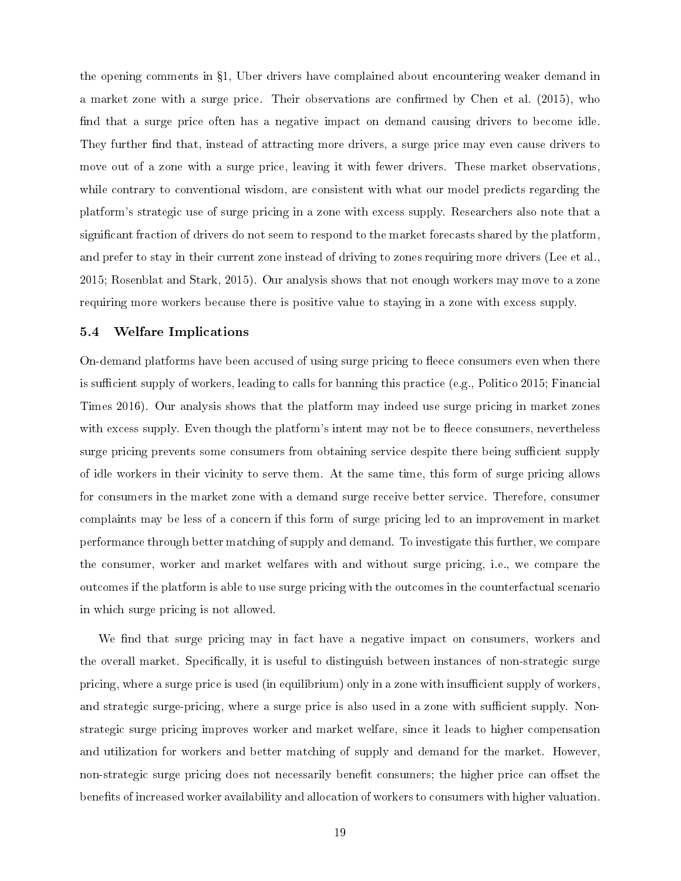the opening comments in  $\S1$ , Uber drivers have complained about encountering weaker demand in a market zone with a surge price. Their observations are confirmed by [Chen et al.](#page-29-0)  $(2015)$ , who find that a surge price often has a negative impact on demand causing drivers to become idle. They further find that, instead of attracting more drivers, a surge price may even cause drivers to move out of a zone with a surge price, leaving it with fewer drivers. These market observations, while contrary to conventional wisdom, are consistent with what our model predicts regarding the platform's strategic use of surge pricing in a zone with excess supply. Researchers also note that a significant fraction of drivers do not seem to respond to the market forecasts shared by the platform, and prefer to stay in their current zone instead of driving to zones requiring more drivers [\(Lee et al.,](#page-30-4) [2015;](#page-30-4) [Rosenblat and Stark, 2015\)](#page-31-3). Our analysis shows that not enough workers may move to a zone requiring more workers because there is positive value to staying in a zone with excess supply.

#### <span id="page-19-0"></span>5.4 Welfare Implications

On-demand platforms have been accused of using surge pricing to fleece consumers even when there is sufficient supply of workers, leading to calls for banning this practice (e.g., [Politico 2015;](#page-31-5) [Financial](#page-30-5) [Times 2016\)](#page-30-5). Our analysis shows that the platform may indeed use surge pricing in market zones with excess supply. Even though the platform's intent may not be to fleed consumers, nevertheless surge pricing prevents some consumers from obtaining service despite there being sufficient supply of idle workers in their vicinity to serve them. At the same time, this form of surge pricing allows for consumers in the market zone with a demand surge receive better service. Therefore, consumer complaints may be less of a concern if this form of surge pricing led to an improvement in market performance through better matching of supply and demand. To investigate this further, we compare the consumer, worker and market welfares with and without surge pricing, i.e., we compare the outcomes if the platform is able to use surge pricing with the outcomes in the counterfactual scenario in which surge pricing is not allowed.

We find that surge pricing may in fact have a negative impact on consumers, workers and the overall market. Specifically, it is useful to distinguish between instances of non-strategic surge pricing, where a surge price is used (in equilibrium) only in a zone with insufficient supply of workers, and strategic surge-pricing, where a surge price is also used in a zone with sufficient supply. Nonstrategic surge pricing improves worker and market welfare, since it leads to higher compensation and utilization for workers and better matching of supply and demand for the market. However, non-strategic surge pricing does not necessarily benefit consumers; the higher price can offset the benefits of increased worker availability and allocation of workers to consumers with higher valuation.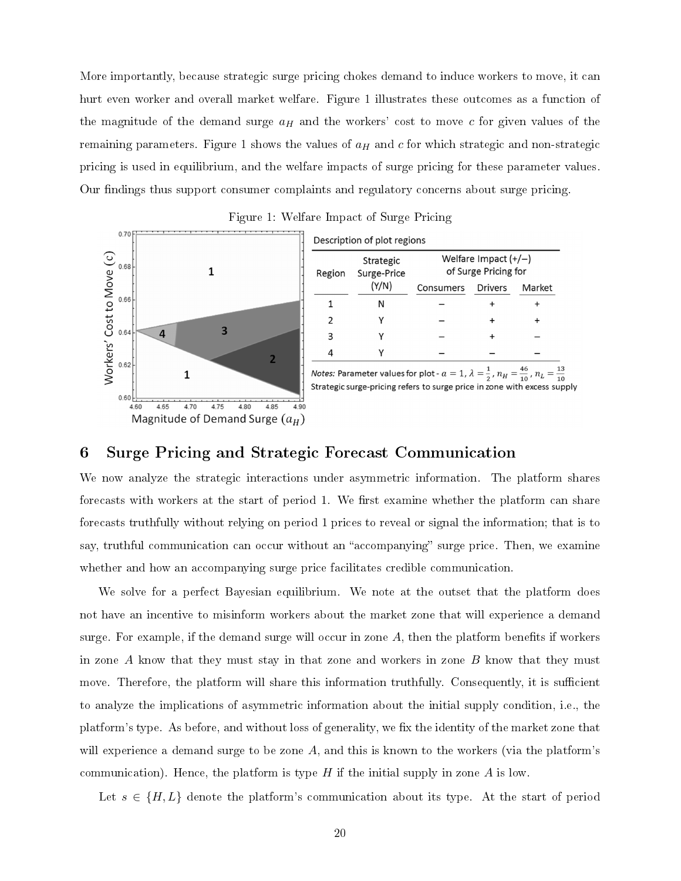More importantly, because strategic surge pricing chokes demand to induce workers to move, it can hurt even worker and overall market welfare. Figure [1](#page-20-1) illustrates these outcomes as a function of the magnitude of the demand surge  $a_H$  and the workers' cost to move c for given values of the remaining parameters. Figure [1](#page-20-1) shows the values of  $a_H$  and c for which strategic and non-strategic pricing is used in equilibrium, and the welfare impacts of surge pricing for these parameter values. Our findings thus support consumer complaints and regulatory concerns about surge pricing.



|  | Figure 1: Welfare Impact of Surge Pricing |  |  |
|--|-------------------------------------------|--|--|
|  |                                           |  |  |

<span id="page-20-1"></span>

| Region | Strategic<br>Surge-Price | Welfare Impact $(+/-)$<br>of Surge Pricing for |         |        |  |  |
|--------|--------------------------|------------------------------------------------|---------|--------|--|--|
|        | (Y/N)                    | Consumers                                      | Drivers | Market |  |  |
|        | Ν                        |                                                |         |        |  |  |
| 2      | Y                        |                                                |         |        |  |  |
| 3      |                          |                                                |         |        |  |  |
| 4      | v                        |                                                |         |        |  |  |

### <span id="page-20-0"></span>6 Surge Pricing and Strategic Forecast Communication

We now analyze the strategic interactions under asymmetric information. The platform shares forecasts with workers at the start of period 1. We first examine whether the platform can share forecasts truthfully without relying on period 1 prices to reveal or signal the information; that is to say, truthful communication can occur without an "accompanying" surge price. Then, we examine whether and how an accompanying surge price facilitates credible communication.

We solve for a perfect Bayesian equilibrium. We note at the outset that the platform does not have an incentive to misinform workers about the market zone that will experience a demand surge. For example, if the demand surge will occur in zone  $A$ , then the platform benefits if workers in zone  $A$  know that they must stay in that zone and workers in zone  $B$  know that they must move. Therefore, the platform will share this information truthfully. Consequently, it is sufficient to analyze the implications of asymmetric information about the initial supply condition, i.e., the platform's type. As before, and without loss of generality, we fix the identity of the market zone that will experience a demand surge to be zone  $A$ , and this is known to the workers (via the platform's communication). Hence, the platform is type  $H$  if the initial supply in zone  $A$  is low.

Let  $s \in \{H, L\}$  denote the platform's communication about its type. At the start of period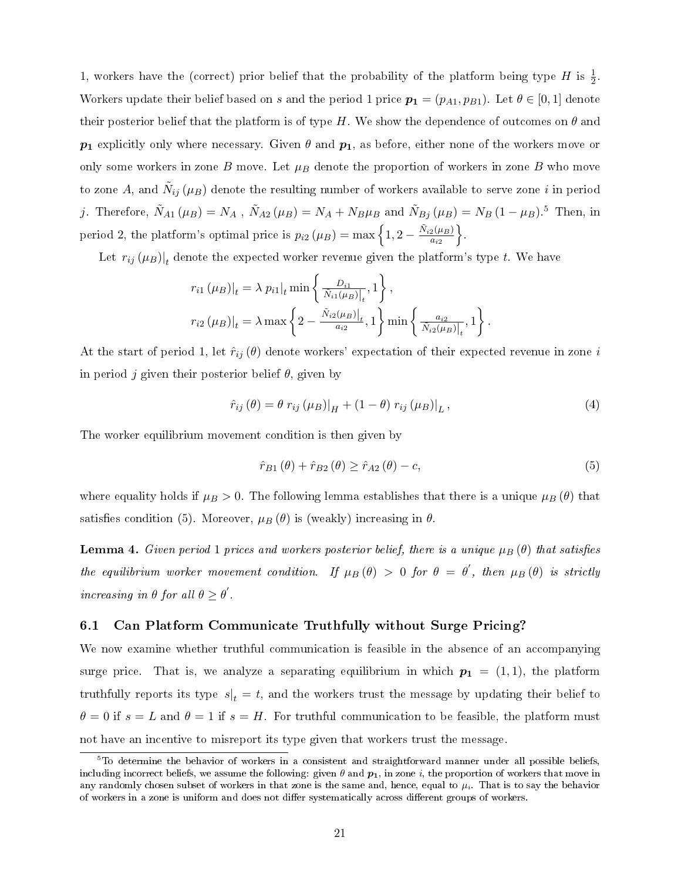1, workers have the (correct) prior belief that the probability of the platform being type H is  $\frac{1}{2}$ . Workers update their belief based on s and the period 1 price  $p_1 = (p_{A1}, p_{B1})$ . Let  $\theta \in [0, 1]$  denote their posterior belief that the platform is of type H. We show the dependence of outcomes on  $\theta$  and  $p_1$  explicitly only where necessary. Given  $\theta$  and  $p_1$ , as before, either none of the workers move or only some workers in zone B move. Let  $\mu_B$  denote the proportion of workers in zone B who move to zone A, and  $\tilde{N}_{ij}\left(\mu_B\right)$  denote the resulting number of workers available to serve zone  $i$  in period j. Therefore,  $\tilde{N}_{A1}(\mu_B)=N_A$  ,  $\tilde{N}_{A2}(\mu_B)=N_A+N_B\mu_B$  and  $\tilde{N}_{Bj}(\mu_B)=N_B\,(1-\mu_B)$ .<sup>5</sup> Then, in period 2, the platform's optimal price is  $p_{i2}(\mu) = \max\left\{1, 2 - \frac{\tilde{N}_{i2}(\mu)}{a_{i2}}\right\}$  $a_{i2}$  $\big\}$ .

Let  $\left. r_{ij}\left( \mu_{B}\right) \right| _{t}$  denote the expected worker revenue given the platform's type  $t.$  We have

$$
r_{i1} (\mu_B)|_t = \lambda p_{i1}|_t \min \left\{ \frac{D_{i1}}{\tilde{N}_{i1}(\mu_B)|_t}, 1 \right\},
$$
  

$$
r_{i2} (\mu_B)|_t = \lambda \max \left\{ 2 - \frac{\tilde{N}_{i2}(\mu_B)|_t}{a_{i2}}, 1 \right\} \min \left\{ \frac{a_{i2}}{\tilde{N}_{i2}(\mu_B)|_t}, 1 \right\}.
$$

At the start of period 1, let  $\hat{r}_{ij}(\theta)$  denote workers' expectation of their expected revenue in zone i in period *j* given their posterior belief  $\theta$ , given by

$$
\hat{r}_{ij}(\theta) = \theta r_{ij} (\mu_B)|_H + (1 - \theta) r_{ij} (\mu_B)|_L, \qquad (4)
$$

The worker equilibrium movement condition is then given by

<span id="page-21-0"></span>
$$
\hat{r}_{B1}(\theta) + \hat{r}_{B2}(\theta) \ge \hat{r}_{A2}(\theta) - c,\tag{5}
$$

where equality holds if  $\mu_B > 0$ . The following lemma establishes that there is a unique  $\mu_B(\theta)$  that satisfies condition [\(5\)](#page-21-0). Moreover,  $\mu_B(\theta)$  is (weakly) increasing in  $\theta$ .

<span id="page-21-1"></span>**Lemma 4.** Given period 1 prices and workers posterior belief, there is a unique  $\mu_B(\theta)$  that satisfies the equilibrium worker movement condition. If  $\mu_B(\theta) > 0$  for  $\theta = \theta'$ , then  $\mu_B(\theta)$  is strictly increasing in  $\theta$  for all  $\theta \geq \theta'$ .

#### 6.1 Can Platform Communicate Truthfully without Surge Pricing?

We now examine whether truthful communication is feasible in the absence of an accompanying surge price. That is, we analyze a separating equilibrium in which  $p_1 = (1, 1)$ , the platform truthfully reports its type  $s|_t = t$ , and the workers trust the message by updating their belief to  $\theta = 0$  if  $s = L$  and  $\theta = 1$  if  $s = H$ . For truthful communication to be feasible, the platform must not have an incentive to misreport its type given that workers trust the message.

 $^5$ To determine the behavior of workers in a consistent and straightforward manner under all possible beliefs, including incorrect beliefs, we assume the following: given  $\theta$  and  $p_1$ , in zone i, the proportion of workers that move in any randomly chosen subset of workers in that zone is the same and, hence, equal to  $\mu_i$ . That is to say the behavior of workers in a zone is uniform and does not differ systematically across different groups of workers.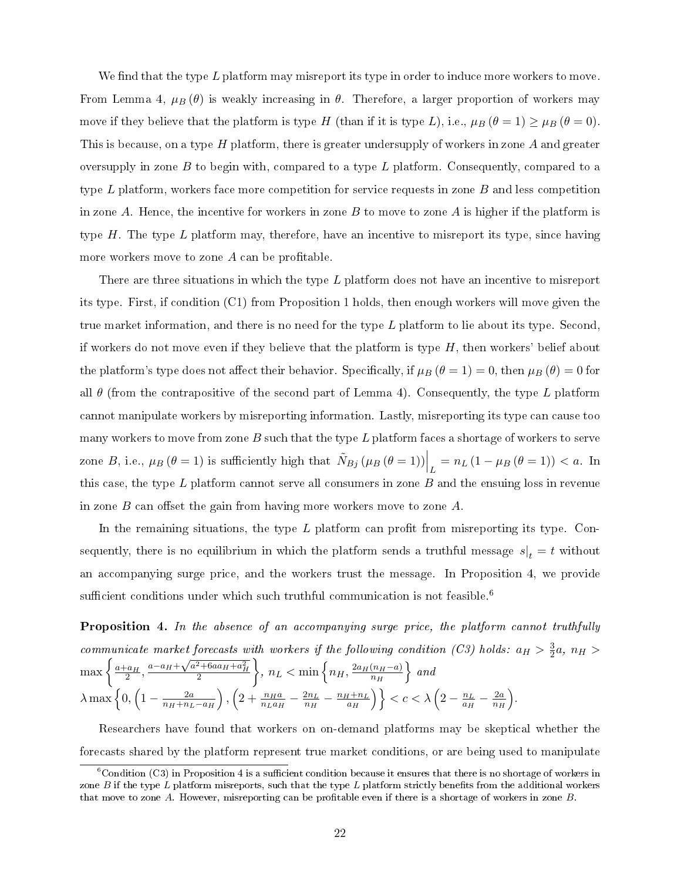We find that the type  $L$  platform may misreport its type in order to induce more workers to move. From Lemma [4,](#page-21-1)  $\mu_B(\theta)$  is weakly increasing in  $\theta$ . Therefore, a larger proportion of workers may move if they believe that the platform is type H (than if it is type L), i.e.,  $\mu_B(\theta = 1) \ge \mu_B(\theta = 0)$ . This is because, on a type  $H$  platform, there is greater undersupply of workers in zone  $A$  and greater oversupply in zone  $B$  to begin with, compared to a type  $L$  platform. Consequently, compared to a type  $L$  platform, workers face more competition for service requests in zone  $B$  and less competition in zone A. Hence, the incentive for workers in zone B to move to zone A is higher if the platform is type  $H$ . The type  $L$  platform may, therefore, have an incentive to misreport its type, since having more workers move to zone  $A$  can be profitable.

There are three situations in which the type  $L$  platform does not have an incentive to misreport its type. First, if condition (C1) from Proposition [1](#page-13-0) holds, then enough workers will move given the true market information, and there is no need for the type L platform to lie about its type. Second, if workers do not move even if they believe that the platform is type  $H$ , then workers' belief about the platform's type does not affect their behavior. Specifically, if  $\mu_B(\theta = 1) = 0$ , then  $\mu_B(\theta) = 0$  for all  $\theta$  (from the contrapositive of the second part of Lemma [4\)](#page-21-1). Consequently, the type L platform cannot manipulate workers by misreporting information. Lastly, misreporting its type can cause too many workers to move from zone  $B$  such that the type  $L$  platform faces a shortage of workers to serve zone B, i.e.,  $\mu_B(\theta = 1)$  is sufficiently high that  $\tilde{N}_{Bj}(\mu_B(\theta = 1))\Big|_L = n_L(1 - \mu_B(\theta = 1)) < a$ . In this case, the type  $L$  platform cannot serve all consumers in zone  $B$  and the ensuing loss in revenue in zone  $B$  can offset the gain from having more workers move to zone  $A$ .

In the remaining situations, the type  $L$  platform can profit from misreporting its type. Consequently, there is no equilibrium in which the platform sends a truthful message  $s|_t = t$  without an accompanying surge price, and the workers trust the message. In Proposition [4,](#page-22-0) we provide sufficient conditions under which such truthful communication is not feasible.<sup>6</sup>

<span id="page-22-0"></span>Proposition 4. In the absence of an accompanying surge price, the platform cannot truthfully communicate market forecasts with workers if the following condition (C3) holds:  $a_H > \frac{3}{2}$ et forecasts with workers if the following condition (C3) holds:  $a_H > \frac{3}{2}a$ ,  $n_H > \frac{3}{2}a$  $\max\left\{\frac{a+a_{H}}{2},\frac{a-a_{H}+\sqrt{a^{2}+6aa_{H}+a_{H}^{2}}}{2}\right\}$  $\left\{ n, n_L < \min\left\{ n_H, \frac{2a_H(n_H-a)}{n_H}\right\} \right\}$  $\overline{n_H}$  $\}$  and  $\lambda$  max  $\left\{0, \left(1 - \frac{2a}{n_H + n_L - a_H}\right)\right\}$  $\left( 2+\frac{n_{H}a}{n_{L}a_{H}}-\frac{2n_{L}}{n_{H}}\right)$  $\frac{2n_L}{n_H} - \frac{n_H+n_L}{a_H}$  $\left\{\frac{a_{H}+n_{L}}{a_{H}}\right\}\right\} < c < \lambda\left(2-\frac{n_{L}}{a_{H}}\right)$  $\frac{n_L}{a_H} - \frac{2a}{n_H}$  $n_H$ .

Researchers have found that workers on on-demand platforms may be skeptical whether the forecasts shared by the platform represent true market conditions, or are being used to manipulate

 ${}^6$ Condition (C3) in Proposition [4](#page-22-0) is a sufficient condition because it ensures that there is no shortage of workers in zone B if the type L platform misreports, such that the type L platform strictly benefits from the additional workers that move to zone A. However, misreporting can be profitable even if there is a shortage of workers in zone B.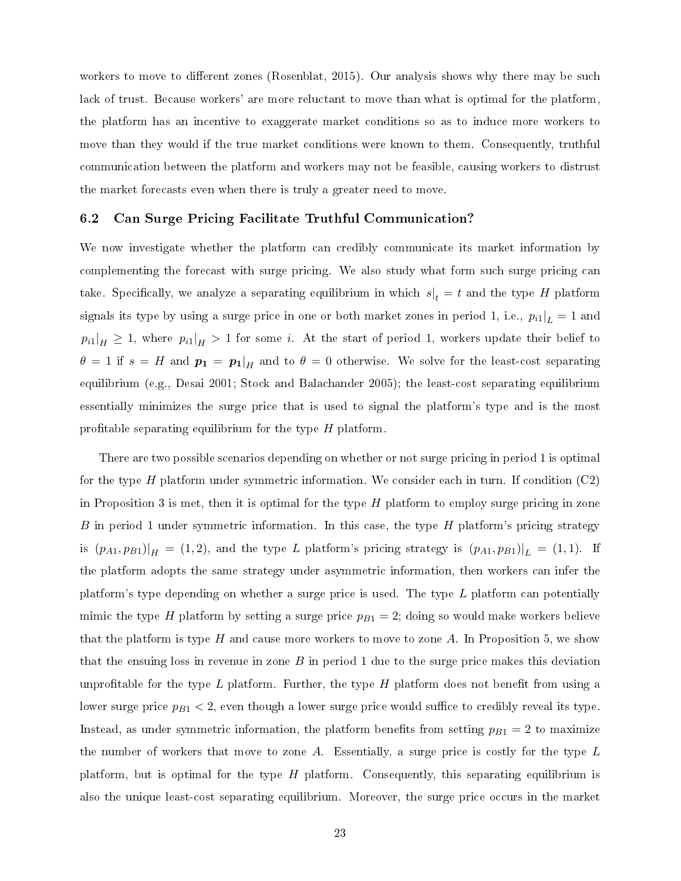workers to move to different zones [\(Rosenblat, 2015\)](#page-31-4). Our analysis shows why there may be such lack of trust. Because workers' are more reluctant to move than what is optimal for the platform, the platform has an incentive to exaggerate market conditions so as to induce more workers to move than they would if the true market conditions were known to them. Consequently, truthful communication between the platform and workers may not be feasible, causing workers to distrust the market forecasts even when there is truly a greater need to move.

#### 6.2 Can Surge Pricing Facilitate Truthful Communication?

We now investigate whether the platform can credibly communicate its market information by complementing the forecast with surge pricing. We also study what form such surge pricing can take. Specifically, we analyze a separating equilibrium in which  $s|_t = t$  and the type  $H$  platform signals its type by using a surge price in one or both market zones in period 1, i.e.,  $p_{i1}|_{L} = 1$  and  $p_{i1}|_{H} \geq 1$ , where  $p_{i1}|_{H} > 1$  for some i. At the start of period 1, workers update their belief to  $\theta = 1$  if  $s = H$  and  $p_1 = p_1|_H$  and to  $\theta = 0$  otherwise. We solve for the least-cost separating equilibrium (e.g., [Desai 2001;](#page-29-14) [Stock and Balachander 2005\)](#page-31-14); the least-cost separating equilibrium essentially minimizes the surge price that is used to signal the platform's type and is the most profitable separating equilibrium for the type  $H$  platform.

There are two possible scenarios depending on whether or not surge pricing in period 1 is optimal for the type H platform under symmetric information. We consider each in turn. If condition  $(C2)$ in Proposition [3](#page-17-0) is met, then it is optimal for the type  $H$  platform to employ surge pricing in zone B in period 1 under symmetric information. In this case, the type  $H$  platform's pricing strategy is  $(p_{A1}, p_{B1})|_{H} = (1, 2)$ , and the type L platform's pricing strategy is  $(p_{A1}, p_{B1})|_{L} = (1, 1)$ . If the platform adopts the same strategy under asymmetric information, then workers can infer the platform's type depending on whether a surge price is used. The type  $L$  platform can potentially mimic the type H platform by setting a surge price  $p_{B1} = 2$ ; doing so would make workers believe that the platform is type H and cause more workers to move to zone A. In Proposition [5,](#page-25-1) we show that the ensuing loss in revenue in zone  $B$  in period 1 due to the surge price makes this deviation unprofitable for the type  $L$  platform. Further, the type  $H$  platform does not benefit from using a lower surge price  $p_{B1} < 2$ , even though a lower surge price would suffice to credibly reveal its type. Instead, as under symmetric information, the platform benefits from setting  $p_{B1} = 2$  to maximize the number of workers that move to zone  $A$ . Essentially, a surge price is costly for the type  $L$ platform, but is optimal for the type  $H$  platform. Consequently, this separating equilibrium is also the unique least-cost separating equilibrium. Moreover, the surge price occurs in the market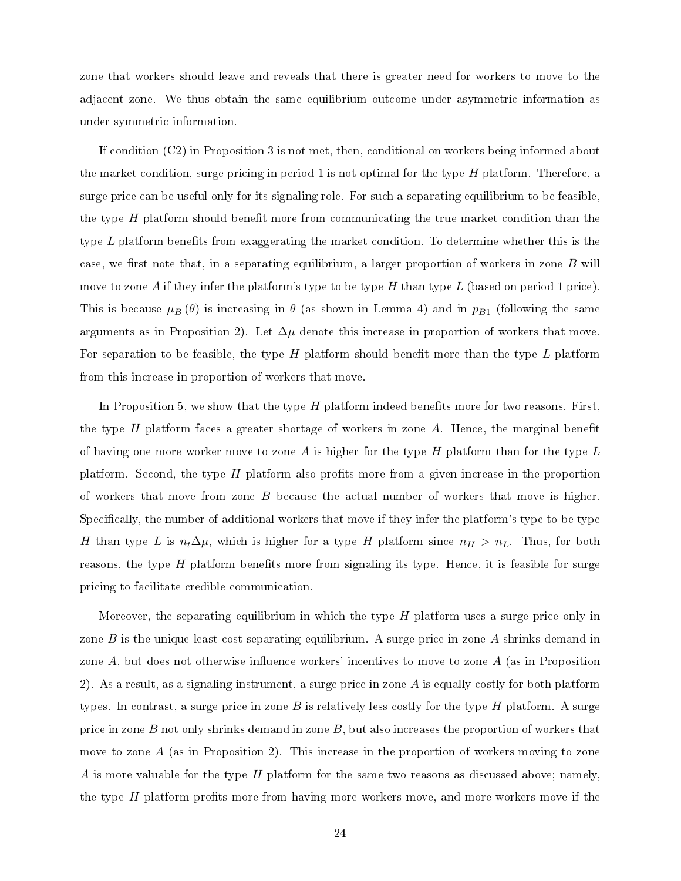zone that workers should leave and reveals that there is greater need for workers to move to the adjacent zone. We thus obtain the same equilibrium outcome under asymmetric information as under symmetric information.

If condition (C2) in Proposition [3](#page-17-0) is not met, then, conditional on workers being informed about the market condition, surge pricing in period 1 is not optimal for the type  $H$  platform. Therefore, a surge price can be useful only for its signaling role. For such a separating equilibrium to be feasible, the type  $H$  platform should benefit more from communicating the true market condition than the type  $L$  platform benefits from exaggerating the market condition. To determine whether this is the case, we first note that, in a separating equilibrium, a larger proportion of workers in zone  $B$  will move to zone A if they infer the platform's type to be type H than type L (based on period 1 price). This is because  $\mu_B(\theta)$  is increasing in  $\theta$  (as shown in Lemma [4\)](#page-21-1) and in  $p_{B1}$  (following the same arguments as in Proposition [2\)](#page-16-1). Let  $\Delta\mu$  denote this increase in proportion of workers that move. For separation to be feasible, the type  $H$  platform should benefit more than the type  $L$  platform from this increase in proportion of workers that move.

In Proposition [5,](#page-25-1) we show that the type  $H$  platform indeed benefits more for two reasons. First, the type H platform faces a greater shortage of workers in zone  $A$ . Hence, the marginal benefit of having one more worker move to zone A is higher for the type H platform than for the type L platform. Second, the type  $H$  platform also profits more from a given increase in the proportion of workers that move from zone  $B$  because the actual number of workers that move is higher. Specifically, the number of additional workers that move if they infer the platform's type to be type H than type L is  $n_t\Delta\mu$ , which is higher for a type H platform since  $n_H > n_L$ . Thus, for both reasons, the type  $H$  platform benefits more from signaling its type. Hence, it is feasible for surge pricing to facilitate credible communication.

Moreover, the separating equilibrium in which the type H platform uses a surge price only in zone  $B$  is the unique least-cost separating equilibrium. A surge price in zone  $A$  shrinks demand in zone  $A$ , but does not otherwise influence workers' incentives to move to zone  $A$  (as in Proposition [2\)](#page-16-1). As a result, as a signaling instrument, a surge price in zone A is equally costly for both platform types. In contrast, a surge price in zone  $B$  is relatively less costly for the type  $H$  platform. A surge price in zone  $B$  not only shrinks demand in zone  $B$ , but also increases the proportion of workers that move to zone  $A$  (as in Proposition [2\)](#page-16-1). This increase in the proportion of workers moving to zone A is more valuable for the type  $H$  platform for the same two reasons as discussed above; namely, the type  $H$  platform profits more from having more workers move, and more workers move if the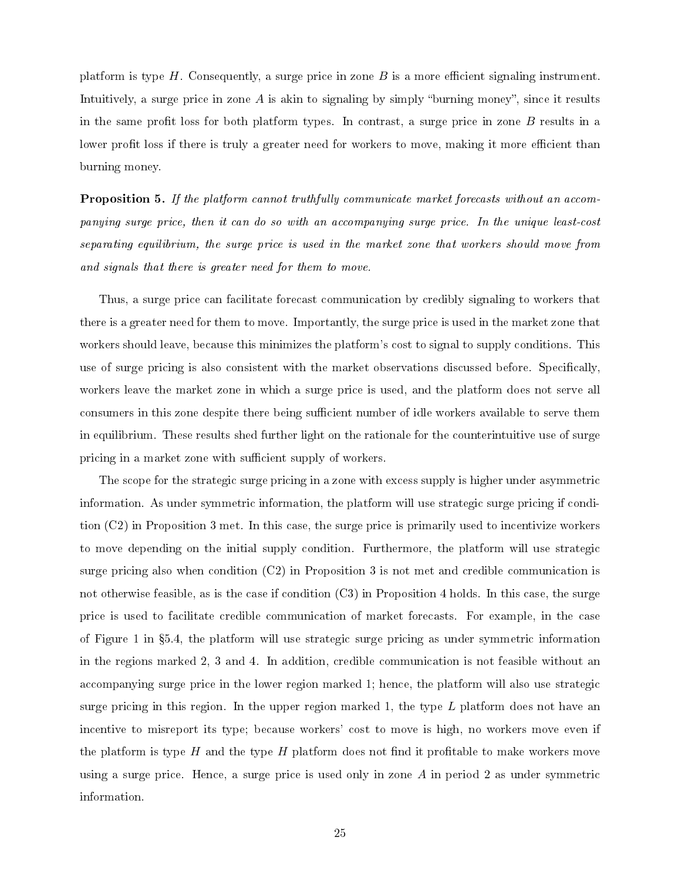platform is type  $H$ . Consequently, a surge price in zone  $B$  is a more efficient signaling instrument. Intuitively, a surge price in zone A is akin to signaling by simply "burning money", since it results in the same profit loss for both platform types. In contrast, a surge price in zone  $B$  results in a lower profit loss if there is truly a greater need for workers to move, making it more efficient than burning money.

<span id="page-25-1"></span>**Proposition 5.** If the platform cannot truthfully communicate market forecasts without an accompanying surge price, then it can do so with an accompanying surge price. In the unique least-cost separating equilibrium, the surge price is used in the market zone that workers should move from and signals that there is greater need for them to move.

Thus, a surge price can facilitate forecast communication by credibly signaling to workers that there is a greater need for them to move. Importantly, the surge price is used in the market zone that workers should leave, because this minimizes the platform's cost to signal to supply conditions. This use of surge pricing is also consistent with the market observations discussed before. Specifically, workers leave the market zone in which a surge price is used, and the platform does not serve all consumers in this zone despite there being sufficient number of idle workers available to serve them in equilibrium. These results shed further light on the rationale for the counterintuitive use of surge pricing in a market zone with sufficient supply of workers.

<span id="page-25-0"></span>The scope for the strategic surge pricing in a zone with excess supply is higher under asymmetric information. As under symmetric information, the platform will use strategic surge pricing if condition (C2) in Proposition [3](#page-17-0) met. In this case, the surge price is primarily used to incentivize workers to move depending on the initial supply condition. Furthermore, the platform will use strategic surge pricing also when condition (C2) in Proposition [3](#page-17-0) is not met and credible communication is not otherwise feasible, as is the case if condition (C3) in Proposition [4](#page-22-0) holds. In this case, the surge price is used to facilitate credible communication of market forecasts. For example, in the case of Figure [1](#page-20-1) in [5.4,](#page-19-0) the platform will use strategic surge pricing as under symmetric information in the regions marked 2, 3 and 4. In addition, credible communication is not feasible without an accompanying surge price in the lower region marked 1; hence, the platform will also use strategic surge pricing in this region. In the upper region marked 1, the type  $L$  platform does not have an incentive to misreport its type; because workers' cost to move is high, no workers move even if the platform is type  $H$  and the type  $H$  platform does not find it profitable to make workers move using a surge price. Hence, a surge price is used only in zone  $A$  in period 2 as under symmetric information.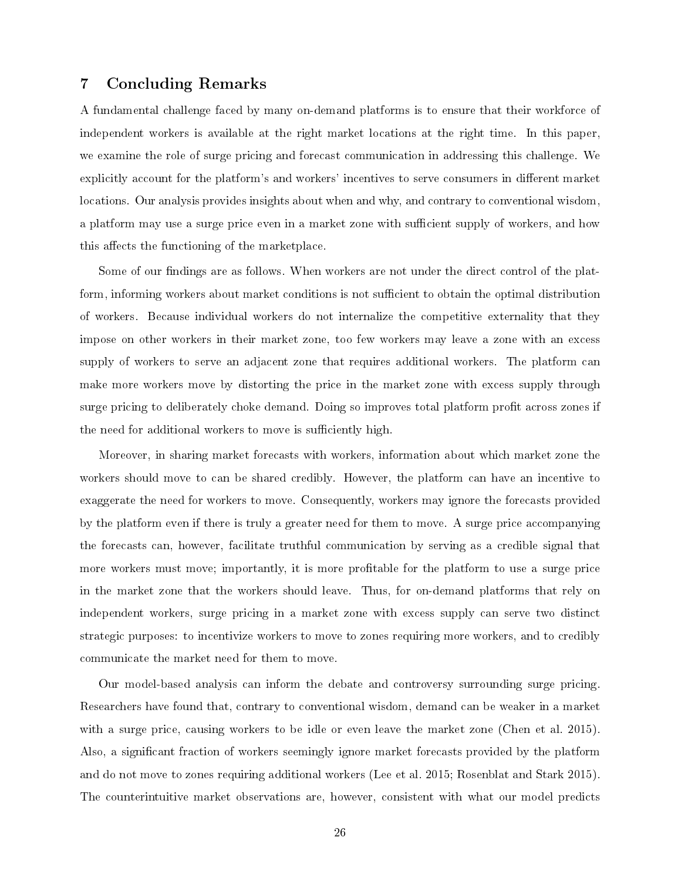# 7 Concluding Remarks

A fundamental challenge faced by many on-demand platforms is to ensure that their workforce of independent workers is available at the right market locations at the right time. In this paper, we examine the role of surge pricing and forecast communication in addressing this challenge. We explicitly account for the platform's and workers' incentives to serve consumers in different market locations. Our analysis provides insights about when and why, and contrary to conventional wisdom, a platform may use a surge price even in a market zone with sufficient supply of workers, and how this affects the functioning of the marketplace.

Some of our findings are as follows. When workers are not under the direct control of the platform, informing workers about market conditions is not sufficient to obtain the optimal distribution of workers. Because individual workers do not internalize the competitive externality that they impose on other workers in their market zone, too few workers may leave a zone with an excess supply of workers to serve an adjacent zone that requires additional workers. The platform can make more workers move by distorting the price in the market zone with excess supply through surge pricing to deliberately choke demand. Doing so improves total platform profit across zones if the need for additional workers to move is sufficiently high.

Moreover, in sharing market forecasts with workers, information about which market zone the workers should move to can be shared credibly. However, the platform can have an incentive to exaggerate the need for workers to move. Consequently, workers may ignore the forecasts provided by the platform even if there is truly a greater need for them to move. A surge price accompanying the forecasts can, however, facilitate truthful communication by serving as a credible signal that more workers must move; importantly, it is more profitable for the platform to use a surge price in the market zone that the workers should leave. Thus, for on-demand platforms that rely on independent workers, surge pricing in a market zone with excess supply can serve two distinct strategic purposes: to incentivize workers to move to zones requiring more workers, and to credibly communicate the market need for them to move.

Our model-based analysis can inform the debate and controversy surrounding surge pricing. Researchers have found that, contrary to conventional wisdom, demand can be weaker in a market with a surge price, causing workers to be idle or even leave the market zone [\(Chen et al. 2015\)](#page-29-0). Also, a significant fraction of workers seemingly ignore market forecasts provided by the platform and do not move to zones requiring additional workers [\(Lee et al. 2015;](#page-30-4) [Rosenblat and Stark 2015\)](#page-31-3). The counterintuitive market observations are, however, consistent with what our model predicts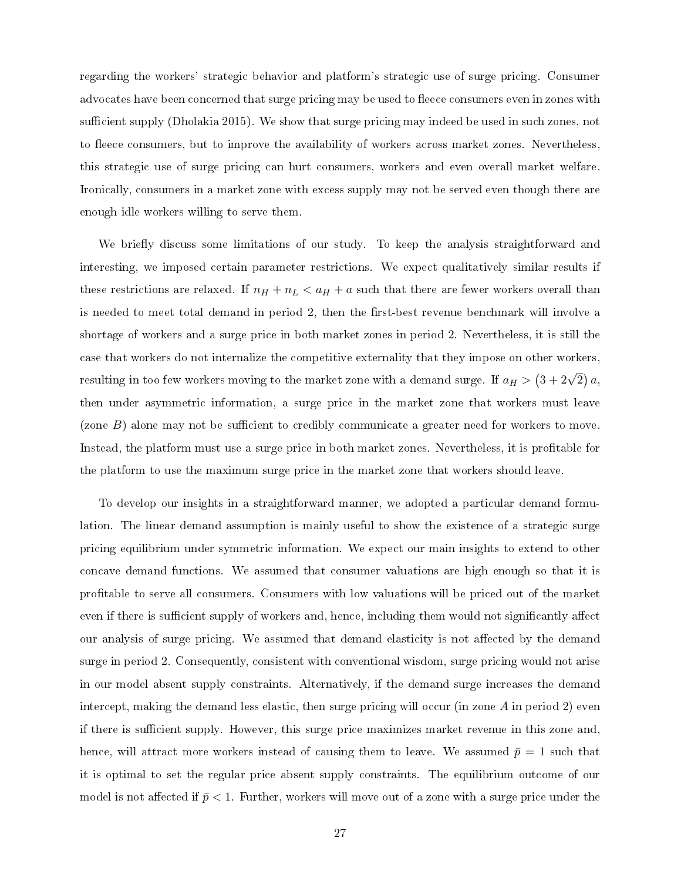regarding the workers' strategic behavior and platform's strategic use of surge pricing. Consumer advocates have been concerned that surge pricing may be used to fleece consumers even in zones with sufficient supply [\(Dholakia 2015\)](#page-29-5). We show that surge pricing may indeed be used in such zones, not to fleece consumers, but to improve the availability of workers across market zones. Nevertheless, this strategic use of surge pricing can hurt consumers, workers and even overall market welfare. Ironically, consumers in a market zone with excess supply may not be served even though there are enough idle workers willing to serve them.

We briefly discuss some limitations of our study. To keep the analysis straightforward and interesting, we imposed certain parameter restrictions. We expect qualitatively similar results if these restrictions are relaxed. If  $n_H + n_L < a_H + a$  such that there are fewer workers overall than is needed to meet total demand in period 2, then the first-best revenue benchmark will involve a shortage of workers and a surge price in both market zones in period 2. Nevertheless, it is still the case that workers do not internalize the competitive externality that they impose on other workers, resulting in too few workers moving to the market zone with a demand surge. If  $a_H > \left(3+2\sqrt{2}\right) a,$ then under asymmetric information, a surge price in the market zone that workers must leave (zone  $B$ ) alone may not be sufficient to credibly communicate a greater need for workers to move. Instead, the platform must use a surge price in both market zones. Nevertheless, it is profitable for the platform to use the maximum surge price in the market zone that workers should leave.

To develop our insights in a straightforward manner, we adopted a particular demand formulation. The linear demand assumption is mainly useful to show the existence of a strategic surge pricing equilibrium under symmetric information. We expect our main insights to extend to other concave demand functions. We assumed that consumer valuations are high enough so that it is protable to serve all consumers. Consumers with low valuations will be priced out of the market even if there is sufficient supply of workers and, hence, including them would not significantly affect our analysis of surge pricing. We assumed that demand elasticity is not affected by the demand surge in period 2. Consequently, consistent with conventional wisdom, surge pricing would not arise in our model absent supply constraints. Alternatively, if the demand surge increases the demand intercept, making the demand less elastic, then surge pricing will occur (in zone A in period 2) even if there is sufficient supply. However, this surge price maximizes market revenue in this zone and. hence, will attract more workers instead of causing them to leave. We assumed  $\bar{p}=1$  such that it is optimal to set the regular price absent supply constraints. The equilibrium outcome of our model is not affected if  $\bar{p}$  < 1. Further, workers will move out of a zone with a surge price under the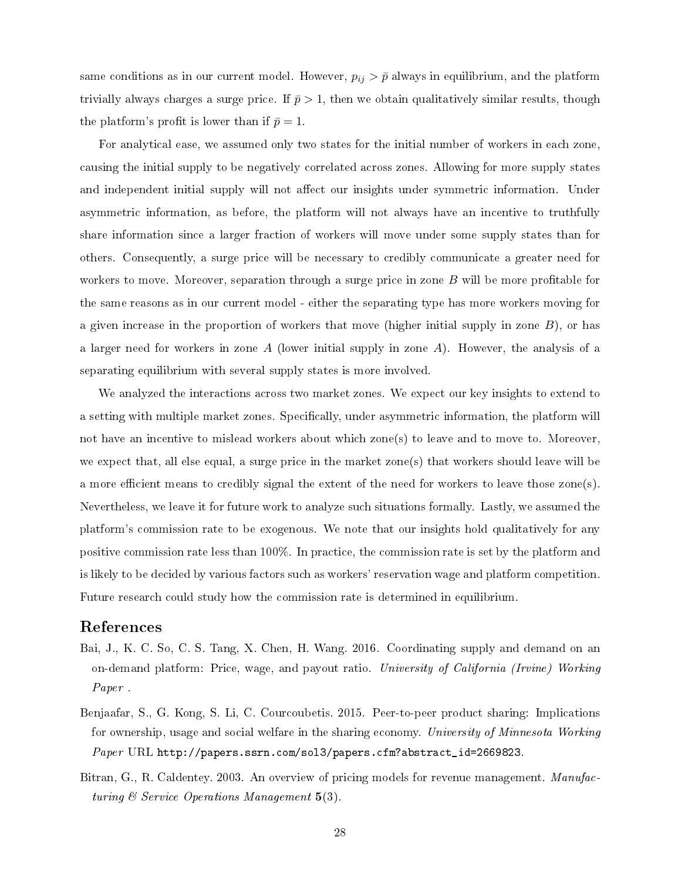same conditions as in our current model. However,  $p_{ij} > \bar{p}$  always in equilibrium, and the platform trivially always charges a surge price. If  $\bar{p} > 1$ , then we obtain qualitatively similar results, though the platform's profit is lower than if  $\bar{p} = 1$ .

For analytical ease, we assumed only two states for the initial number of workers in each zone, causing the initial supply to be negatively correlated across zones. Allowing for more supply states and independent initial supply will not affect our insights under symmetric information. Under asymmetric information, as before, the platform will not always have an incentive to truthfully share information since a larger fraction of workers will move under some supply states than for others. Consequently, a surge price will be necessary to credibly communicate a greater need for workers to move. Moreover, separation through a surge price in zone  $B$  will be more profitable for the same reasons as in our current model - either the separating type has more workers moving for a given increase in the proportion of workers that move (higher initial supply in zone  $B$ ), or has a larger need for workers in zone  $A$  (lower initial supply in zone  $A$ ). However, the analysis of a separating equilibrium with several supply states is more involved.

We analyzed the interactions across two market zones. We expect our key insights to extend to a setting with multiple market zones. Specifically, under asymmetric information, the platform will not have an incentive to mislead workers about which zone(s) to leave and to move to. Moreover, we expect that, all else equal, a surge price in the market zone(s) that workers should leave will be a more efficient means to credibly signal the extent of the need for workers to leave those zone(s). Nevertheless, we leave it for future work to analyze such situations formally. Lastly, we assumed the platform's commission rate to be exogenous. We note that our insights hold qualitatively for any positive commission rate less than 100%. In practice, the commission rate is set by the platform and is likely to be decided by various factors such as workers' reservation wage and platform competition. Future research could study how the commission rate is determined in equilibrium.

### References

- <span id="page-28-0"></span>Bai, J., K. C. So, C. S. Tang, X. Chen, H. Wang. 2016. Coordinating supply and demand on an on-demand platform: Price, wage, and payout ratio. University of California (Irvine) Working Paper .
- <span id="page-28-1"></span>Benjaafar, S., G. Kong, S. Li, C. Courcoubetis. 2015. Peer-to-peer product sharing: Implications for ownership, usage and social welfare in the sharing economy. University of Minnesota Working Paper URL [http://papers.ssrn.com/sol3/papers.cfm?abstract\\_id=2669823.](http://papers.ssrn.com/sol3/papers.cfm?abstract_id=2669823)
- <span id="page-28-2"></span>Bitran, G., R. Caldentey. 2003. An overview of pricing models for revenue management. Manufacturing  $\mathcal B$  Service Operations Management 5(3).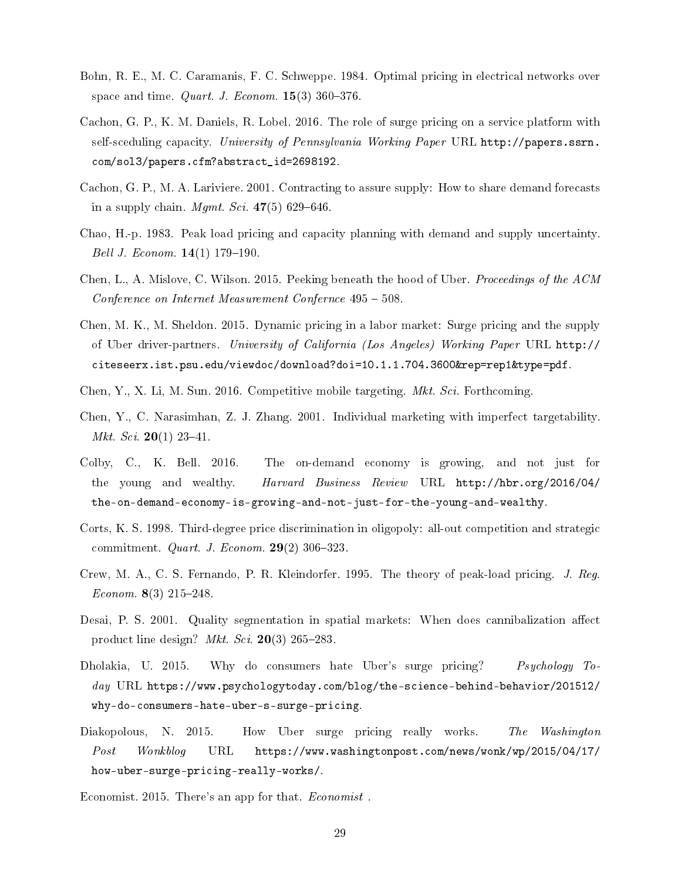- <span id="page-29-9"></span>Bohn, R. E., M. C. Caramanis, F. C. Schweppe. 1984. Optimal pricing in electrical networks over space and time. *Quart. J. Econom.*  $15(3)$  360-376.
- <span id="page-29-6"></span>Cachon, G. P., K. M. Daniels, R. Lobel. 2016. The role of surge pricing on a service platform with self-sceduling capacity. University of Pennsylvania Working Paper URL [http://papers.ssrn.](http://papers.ssrn.com/sol3/papers.cfm?abstract_id=2698192) [com/sol3/papers.cfm?abstract\\_id=2698192.](http://papers.ssrn.com/sol3/papers.cfm?abstract_id=2698192)
- <span id="page-29-13"></span>Cachon, G. P., M. A. Lariviere. 2001. Contracting to assure supply: How to share demand forecasts in a supply chain. *Mgmt. Sci.*  $47(5)$  629-646.
- <span id="page-29-7"></span>Chao, H.-p. 1983. Peak load pricing and capacity planning with demand and supply uncertainty. Bell J. Econom.  $14(1)$  179-190.
- <span id="page-29-0"></span>Chen, L., A. Mislove, C. Wilson. 2015. Peeking beneath the hood of Uber. Proceedings of the ACM Conference on Internet Measurement Confernce 495 - 508.
- <span id="page-29-3"></span>Chen, M. K., M. Sheldon. 2015. Dynamic pricing in a labor market: Surge pricing and the supply of Uber driver-partners. University of California (Los Angeles) Working Paper URL [http://](http://citeseerx.ist.psu.edu/viewdoc/download?doi=10.1.1.704.3600&rep=rep1&type=pdf) [citeseerx.ist.psu.edu/viewdoc/download?doi=10.1.1.704.3600&rep=rep1&type=pdf.](http://citeseerx.ist.psu.edu/viewdoc/download?doi=10.1.1.704.3600&rep=rep1&type=pdf)
- <span id="page-29-12"></span>Chen, Y., X. Li, M. Sun. 2016. Competitive mobile targeting. Mkt. Sci. Forthcoming.
- <span id="page-29-11"></span>Chen, Y., C. Narasimhan, Z. J. Zhang. 2001. Individual marketing with imperfect targetability. *Mkt. Sci.* **20**(1) 23-41.
- <span id="page-29-2"></span>Colby, C., K. Bell. 2016. The on-demand economy is growing, and not just for the young and wealthy. Harvard Business Review URL [http://hbr.org/2016/04/](http://hbr.org/2016/04/the-on-demand-economy-is-growing-and-not-just-for-the-young-and-wealthy) [the-on-demand-economy-is-growing-and-not-just-for-the-young-and-wealthy.](http://hbr.org/2016/04/the-on-demand-economy-is-growing-and-not-just-for-the-young-and-wealthy)
- <span id="page-29-10"></span>Corts, K. S. 1998. Third-degree price discrimination in oligopoly: all-out competition and strategic commitment. *Quart. J. Econom.*  $29(2)$  306-323.
- <span id="page-29-8"></span>Crew, M. A., C. S. Fernando, P. R. Kleindorfer. 1995. The theory of peak-load pricing. J. Reg. Econom.  $8(3)$  215-248.
- <span id="page-29-14"></span>Desai, P. S. 2001. Quality segmentation in spatial markets: When does cannibalization affect product line design? Mkt. Sci.  $20(3)$  265-283.
- <span id="page-29-5"></span>Dholakia, U. 2015. Why do consumers hate Uber's surge pricing? Psychology Today URL [https://www.psychologytoday.com/blog/the-science-behind-behavior/201512/](https://www.psychologytoday.com/blog/the-science-behind-behavior/201512/why-do-consumers-hate-uber-s-surge-pricing) [why-do-consumers-hate-uber-s-surge-pricing.](https://www.psychologytoday.com/blog/the-science-behind-behavior/201512/why-do-consumers-hate-uber-s-surge-pricing)
- <span id="page-29-4"></span>Diakopolous, N. 2015. How Uber surge pricing really works. The Washington Post Wonkblog URL [https://www.washingtonpost.com/news/wonk/wp/2015/04/17/](https://www.washingtonpost.com/news/wonk/wp/2015/04/17/how-uber-surge-pricing-really-works/) [how-uber-surge-pricing-really-works/.](https://www.washingtonpost.com/news/wonk/wp/2015/04/17/how-uber-surge-pricing-really-works/)
- <span id="page-29-1"></span>Economist. 2015. There's an app for that. Economist .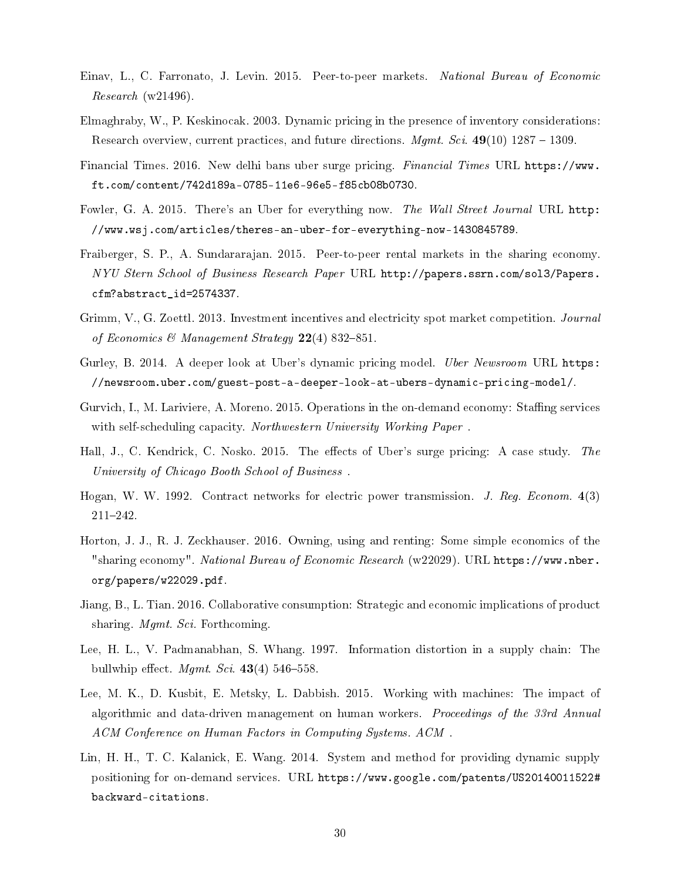- <span id="page-30-7"></span>Einav, L., C. Farronato, J. Levin. 2015. Peer-to-peer markets. National Bureau of Economic Research (w21496).
- <span id="page-30-13"></span>Elmaghraby, W., P. Keskinocak. 2003. Dynamic pricing in the presence of inventory considerations: Research overview, current practices, and future directions.  $Mgmt.$  Sci. 49(10) 1287 – 1309.
- <span id="page-30-5"></span>Financial Times. 2016. New delhi bans uber surge pricing. Financial Times URL [https://www.](https://www.ft.com/content/742d189a-0785-11e6-96e5-f85cb08b0730) [ft.com/content/742d189a-0785-11e6-96e5-f85cb08b0730.](https://www.ft.com/content/742d189a-0785-11e6-96e5-f85cb08b0730)
- <span id="page-30-0"></span>Fowler, G. A. 2015. There's an Uber for everything now. The Wall Street Journal URL [http:](http://www.wsj.com/articles/theres-an-uber-for-everything-now-1430845789) [//www.wsj.com/articles/theres-an-uber-for-everything-now-1430845789.](http://www.wsj.com/articles/theres-an-uber-for-everything-now-1430845789)
- <span id="page-30-8"></span>Fraiberger, S. P., A. Sundararajan. 2015. Peer-to-peer rental markets in the sharing economy. NYU Stern School of Business Research Paper URL [http://papers.ssrn.com/sol3/Papers.](http://papers.ssrn.com/sol3/Papers.cfm?abstract_id=2574337) [cfm?abstract\\_id=2574337.](http://papers.ssrn.com/sol3/Papers.cfm?abstract_id=2574337)
- <span id="page-30-12"></span>Grimm, V., G. Zoettl. 2013. Investment incentives and electricity spot market competition. Journal of Economics & Management Strategy  $22(4)$  832-851.
- <span id="page-30-2"></span>Gurley, B. 2014. A deeper look at Uber's dynamic pricing model. Uber Newsroom URL [https:](https://newsroom.uber.com/guest-post-a-deeper-look-at-ubers-dynamic-pricing-model/) [//newsroom.uber.com/guest-post-a-deeper-look-at-ubers-dynamic-pricing-model/.](https://newsroom.uber.com/guest-post-a-deeper-look-at-ubers-dynamic-pricing-model/)
- <span id="page-30-6"></span>Gurvich, I., M. Lariviere, A. Moreno. 2015. Operations in the on-demand economy: Staffing services with self-scheduling capacity. Northwestern University Working Paper.
- <span id="page-30-3"></span>Hall, J., C. Kendrick, C. Nosko. 2015. The effects of Uber's surge pricing: A case study. The University of Chicago Booth School of Business .
- <span id="page-30-11"></span>Hogan, W. W. 1992. Contract networks for electric power transmission. J. Reg. Econom. 4(3) 211242.
- <span id="page-30-10"></span>Horton, J. J., R. J. Zeckhauser. 2016. Owning, using and renting: Some simple economics of the "sharing economy". National Bureau of Economic Research (w22029). URL [https://www.nber.](https://www.nber.org/papers/w22029.pdf) [org/papers/w22029.pdf.](https://www.nber.org/papers/w22029.pdf)
- <span id="page-30-9"></span>Jiang, B., L. Tian. 2016. Collaborative consumption: Strategic and economic implications of product sharing. *Mgmt. Sci.* Forthcoming.
- <span id="page-30-14"></span>Lee, H. L., V. Padmanabhan, S. Whang. 1997. Information distortion in a supply chain: The bullwhip effect. Mgmt. Sci.  $43(4)$  546-558.
- <span id="page-30-4"></span>Lee, M. K., D. Kusbit, E. Metsky, L. Dabbish. 2015. Working with machines: The impact of algorithmic and data-driven management on human workers. Proceedings of the 33rd Annual ACM Conference on Human Factors in Computing Systems. ACM .
- <span id="page-30-1"></span>Lin, H. H., T. C. Kalanick, E. Wang. 2014. System and method for providing dynamic supply positioning for on-demand services. URL [https://www.google.com/patents/US20140011522#](https://www.google.com/patents/US20140011522#backward-citations) [backward-citations.](https://www.google.com/patents/US20140011522#backward-citations)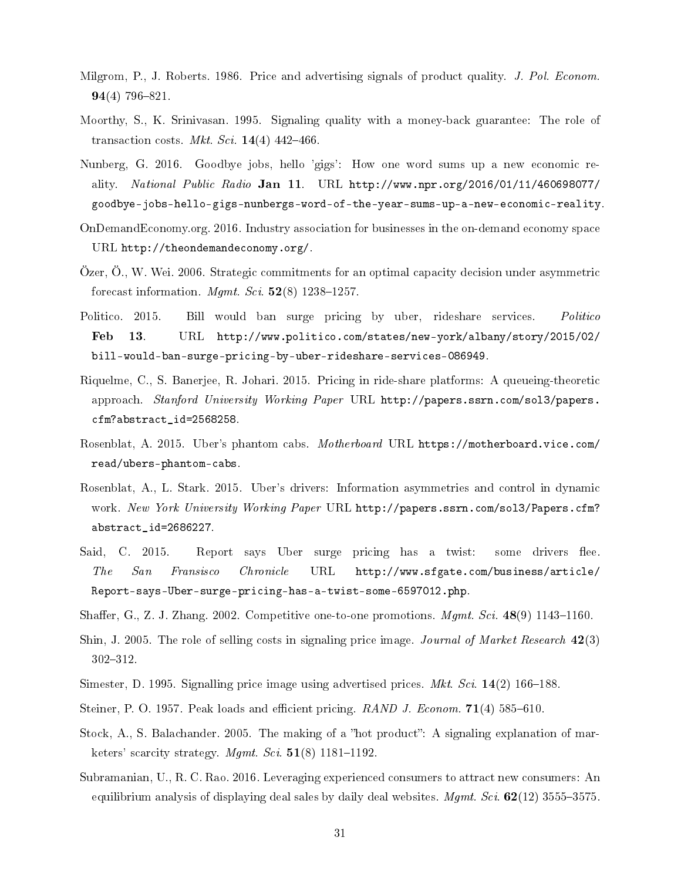- <span id="page-31-9"></span>Milgrom, P., J. Roberts. 1986. Price and advertising signals of product quality. J. Pol. Econom. **94**(4) 796-821.
- <span id="page-31-10"></span>Moorthy, S., K. Srinivasan. 1995. Signaling quality with a money-back guarantee: The role of transaction costs. Mkt. Sci. 14(4) 442-466.
- <span id="page-31-2"></span>Nunberg, G. 2016. Goodbye jobs, hello 'gigs': How one word sums up a new economic reality. National Public Radio Jan 11. URL [http://www.npr.org/2016/01/11/460698077/](http://www.npr.org/2016/01/11/460698077/goodbye-jobs-hello-gigs-nunbergs-word-of-the-year-sums-up-a-new-economic-reality) [goodbye-jobs-hello-gigs-nunbergs-word-of-the-year-sums-up-a-new-economic-reality.](http://www.npr.org/2016/01/11/460698077/goodbye-jobs-hello-gigs-nunbergs-word-of-the-year-sums-up-a-new-economic-reality)
- <span id="page-31-1"></span>OnDemandEconomy.org. 2016. Industry association for businesses in the on-demand economy space URL [http://theondemandeconomy.org/.](http://theondemandeconomy.org/)
- <span id="page-31-15"></span>Özer, Ö., W. Wei. 2006. Strategic commitments for an optimal capacity decision under asymmetric forecast information. Mgmt. Sci.  $52(8)$  1238-1257.
- <span id="page-31-5"></span>Politico. 2015. Bill would ban surge pricing by uber, rideshare services. Politico Feb 13. URL [http://www.politico.com/states/new-york/albany/story/2015/02/](http://www.politico.com/states/new-york/albany/story/2015/02/bill-would-ban-surge-pricing-by-uber-rideshare-services-086949) [bill-would-ban-surge-pricing-by-uber-rideshare-services-086949.](http://www.politico.com/states/new-york/albany/story/2015/02/bill-would-ban-surge-pricing-by-uber-rideshare-services-086949)
- <span id="page-31-6"></span>Riquelme, C., S. Banerjee, R. Johari. 2015. Pricing in ride-share platforms: A queueing-theoretic approach. Stanford University Working Paper URL [http://papers.ssrn.com/sol3/papers.](http://papers.ssrn.com/sol3/papers.cfm?abstract_id=2568258) [cfm?abstract\\_id=2568258.](http://papers.ssrn.com/sol3/papers.cfm?abstract_id=2568258)
- <span id="page-31-4"></span>Rosenblat, A. 2015. Uber's phantom cabs. Motherboard URL [https://motherboard.vice.com/](https://motherboard.vice.com/read/ubers-phantom-cabs) [read/ubers-phantom-cabs.](https://motherboard.vice.com/read/ubers-phantom-cabs)
- <span id="page-31-3"></span>Rosenblat, A., L. Stark. 2015. Uber's drivers: Information asymmetries and control in dynamic work. New York University Working Paper URL [http://papers.ssrn.com/sol3/Papers.cfm?](http://papers.ssrn.com/sol3/Papers.cfm?abstract_id=2686227) [abstract\\_id=2686227.](http://papers.ssrn.com/sol3/Papers.cfm?abstract_id=2686227)
- <span id="page-31-0"></span>Said, C. 2015. Report says Uber surge pricing has a twist: some drivers flee. The San Fransisco Chronicle URL [http://www.sfgate.com/business/article/](http://www.sfgate.com/business/article/Report-says-Uber-surge-pricing-has-a-twist-some-6597012.php) [Report-says-Uber-surge-pricing-has-a-twist-some-6597012.php.](http://www.sfgate.com/business/article/Report-says-Uber-surge-pricing-has-a-twist-some-6597012.php)

<span id="page-31-8"></span>Shaffer, G., Z. J. Zhang. 2002. Competitive one-to-one promotions.  $Mgmt.$  Sci. 48(9) 1143-1160.

- <span id="page-31-12"></span>Shin, J. 2005. The role of selling costs in signaling price image. Journal of Market Research 42(3) 302-312.
- <span id="page-31-11"></span>Simester, D. 1995. Signalling price image using advertised prices.  $Mkt.$  Sci. 14(2) 166–188.
- <span id="page-31-7"></span>Steiner, P. O. 1957. Peak loads and efficient pricing. RAND J. Econom.  $71(4)$  585–610.
- <span id="page-31-14"></span>Stock, A., S. Balachander. 2005. The making of a "hot product": A signaling explanation of marketers' scarcity strategy. Mgmt. Sci.  $51(8)$  1181-1192.
- <span id="page-31-13"></span>Subramanian, U., R. C. Rao. 2016. Leveraging experienced consumers to attract new consumers: An equilibrium analysis of displaying deal sales by daily deal websites.  $Mgmt$ . Sci. 62(12) 3555-3575.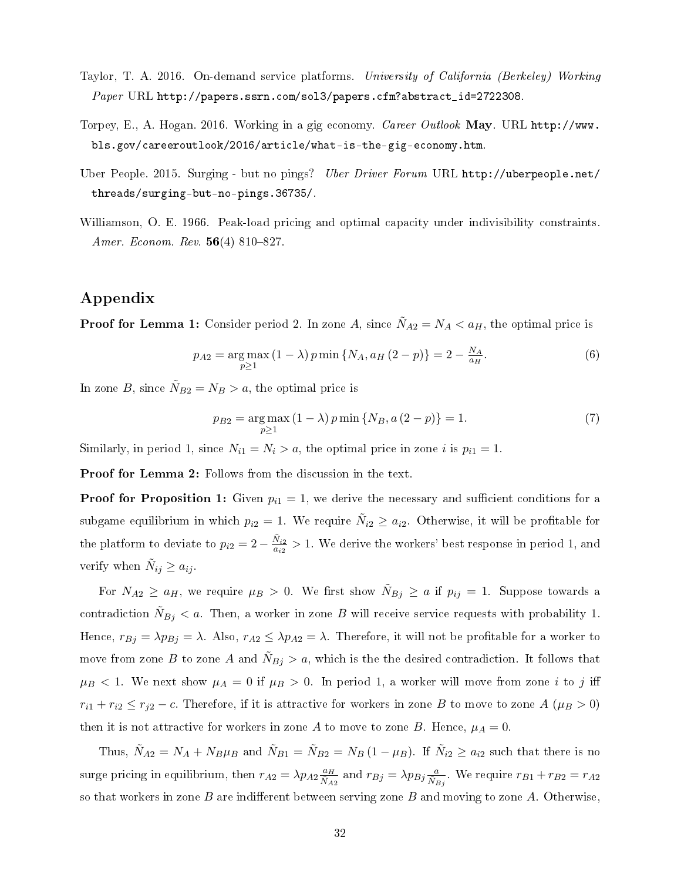- <span id="page-32-2"></span>Taylor, T. A. 2016. On-demand service platforms. University of California (Berkeley) Working Paper URL [http://papers.ssrn.com/sol3/papers.cfm?abstract\\_id=2722308.](http://papers.ssrn.com/sol3/papers.cfm?abstract_id=2722308)
- <span id="page-32-1"></span>Torpey, E., A. Hogan. 2016. Working in a gig economy. Career Outlook May. URL [http://www.](http://www.bls.gov/careeroutlook/2016/article/what-is-the-gig-economy.htm) [bls.gov/careeroutlook/2016/article/what-is-the-gig-economy.htm.](http://www.bls.gov/careeroutlook/2016/article/what-is-the-gig-economy.htm)
- <span id="page-32-0"></span>Uber People. 2015. Surging - but no pings? Uber Driver Forum URL [http://uberpeople.net/](http://uberpeople.net/threads/surging-but-no-pings.36735/) [threads/surging-but-no-pings.36735/.](http://uberpeople.net/threads/surging-but-no-pings.36735/)
- <span id="page-32-3"></span>Williamson, O. E. 1966. Peak-load pricing and optimal capacity under indivisibility constraints. Amer. Econom. Rev.  $56(4)$  810-827.

## Appendix

**Proof for Lemma [1:](#page-11-1)** Consider period 2. In zone A, since  $\tilde{N}_{A2} = N_A < a_H$ , the optimal price is

$$
p_{A2} = \underset{p \ge 1}{\arg \max} (1 - \lambda) p \min \{ N_A, a_H (2 - p) \} = 2 - \frac{N_A}{a_H}.
$$
 (6)

In zone B, since  $\tilde{N}_{B2} = N_B > a$ , the optimal price is

$$
p_{B2} = \underset{p \ge 1}{\arg \max} (1 - \lambda) p \min \{ N_B, a (2 - p) \} = 1.
$$
 (7)

Similarly, in period 1, since  $N_{i1} = N_i > a$ , the optimal price in zone *i* is  $p_{i1} = 1$ .

Proof for Lemma [2:](#page-12-1) Follows from the discussion in the text.

**Proof for Proposition [1:](#page-13-0)** Given  $p_{i1} = 1$ , we derive the necessary and sufficient conditions for a subgame equilibrium in which  $p_{i2}=1$ . We require  $\tilde{N}_{i2}\ge a_{i2}$ . Otherwise, it will be profitable for the platform to deviate to  $p_{i2} = 2 - \frac{\tilde{N}_{i2}}{a_{i2}} > 1$ . We derive the workers' best response in period 1, and verify when  $\tilde{N}_{ij} \ge a_{ij}$ .

For  $N_{A2} \ge a_H$ , we require  $\mu_B > 0$ . We first show  $\tilde{N}_{Bj} \ge a$  if  $p_{ij} = 1$ . Suppose towards a contradiction  $\tilde{N}_{Bj} < a$ . Then, a worker in zone B will receive service requests with probability 1. Hence,  $r_{Bj} = \lambda p_{Bj} = \lambda$ . Also,  $r_{A2} \leq \lambda p_{A2} = \lambda$ . Therefore, it will not be profitable for a worker to move from zone B to zone A and  $\tilde{N}_{Bj} > a$ , which is the the desired contradiction. It follows that  $\mu_B < 1$ . We next show  $\mu_A = 0$  if  $\mu_B > 0$ . In period 1, a worker will move from zone i to j iff  $r_{i1} + r_{i2} \leq r_{i2} - c$ . Therefore, if it is attractive for workers in zone B to move to zone A ( $\mu_B > 0$ ) then it is not attractive for workers in zone A to move to zone B. Hence,  $\mu_A = 0$ .

Thus,  $\tilde{N}_{A2} = N_A + N_B \mu_B$  and  $\tilde{N}_{B1} = \tilde{N}_{B2} = N_B (1 - \mu_B)$ . If  $\tilde{N}_{i2} \ge a_{i2}$  such that there is no surge pricing in equilibrium, then  $r_{A2} = \lambda p_{A2} \frac{a_H}{\tilde{N}_{A2}}$  and  $r_{Bj} = \lambda p_{Bj} \frac{a}{\tilde{N}_{Bj}}$ . We require  $r_{B1} + r_{B2} = r_{A2}$ so that workers in zone  $B$  are indifferent between serving zone  $B$  and moving to zone  $A$ . Otherwise,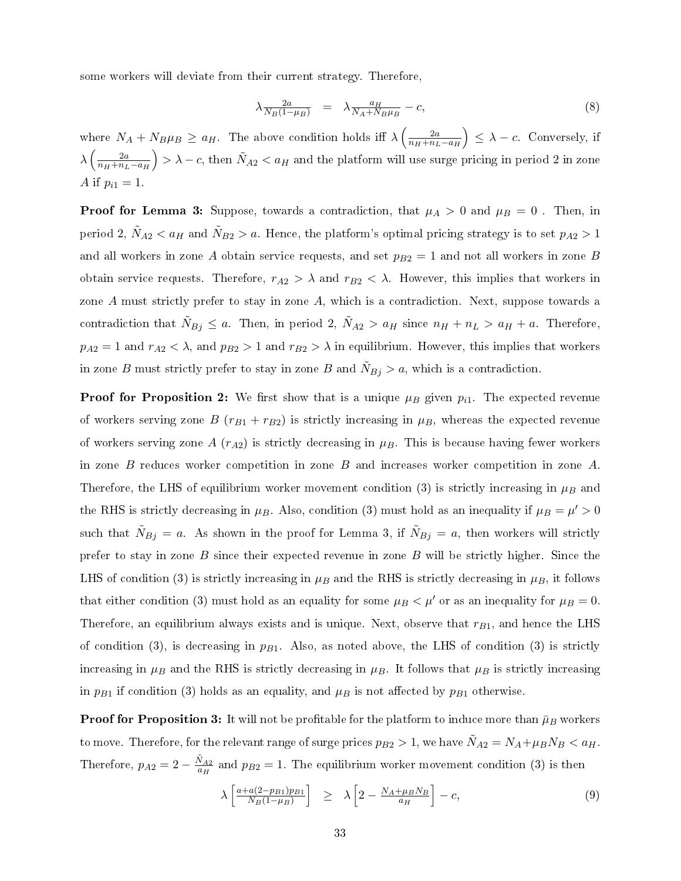some workers will deviate from their current strategy. Therefore,

$$
\lambda \frac{2a}{N_B(1-\mu_B)} = \lambda \frac{a_H}{N_A + N_B \mu_B} - c,\tag{8}
$$

where  $N_A + N_B \mu_B \ge a_H$ . The above condition holds iff  $\lambda \left( \frac{2a}{n_H + n_L - a_H} \right)$  $\Big) \leq \lambda - c$ . Conversely, if  $\lambda\left(\frac{2a}{n_H+n_L-a_H}\right)$  $\big\} > \lambda - c$ , then  $\tilde{N}_{A2} < a_H$  and the platform will use surge pricing in period 2 in zone A if  $p_{i1} = 1$ .

**Proof for Lemma [3:](#page-16-2)** Suppose, towards a contradiction, that  $\mu_A > 0$  and  $\mu_B = 0$ . Then, in period 2,  $\tilde{N}_{A2} < a_H$  and  $\tilde{N}_{B2} > a$ . Hence, the platform's optimal pricing strategy is to set  $p_{A2} > 1$ and all workers in zone A obtain service requests, and set  $p_{B2} = 1$  and not all workers in zone B obtain service requests. Therefore,  $r_{A2} > \lambda$  and  $r_{B2} < \lambda$ . However, this implies that workers in zone A must strictly prefer to stay in zone A, which is a contradiction. Next, suppose towards a contradiction that  $N_{Bj} \le a$ . Then, in period 2,  $N_{A2} > a_H$  since  $n_H + n_L > a_H + a$ . Therefore,  $p_{A2} = 1$  and  $r_{A2} < \lambda$ , and  $p_{B2} > 1$  and  $r_{B2} > \lambda$  in equilibrium. However, this implies that workers in zone B must strictly prefer to stay in zone B and  $\tilde{N}_{Bj} > a$ , which is a contradiction.

**Proof for Proposition [2:](#page-16-1)** We first show that is a unique  $\mu_B$  given  $p_{i1}$ . The expected revenue of workers serving zone B  $(r_{B1} + r_{B2})$  is strictly increasing in  $\mu_B$ , whereas the expected revenue of workers serving zone A  $(r_{A2})$  is strictly decreasing in  $\mu_B$ . This is because having fewer workers in zone  $B$  reduces worker competition in zone  $B$  and increases worker competition in zone  $A$ . Therefore, the LHS of equilibrium worker movement condition [\(3\)](#page-16-0) is strictly increasing in  $\mu_B$  and the RHS is strictly decreasing in  $\mu_B$ . Also, condition [\(3\)](#page-16-0) must hold as an inequality if  $\mu_B = \mu' > 0$ such that  $\tilde{N}_{Bj} = a$ . As shown in the proof for Lemma [3,](#page-16-2) if  $\tilde{N}_{Bj} = a$ , then workers will strictly prefer to stay in zone  $B$  since their expected revenue in zone  $B$  will be strictly higher. Since the LHS of condition [\(3\)](#page-16-0) is strictly increasing in  $\mu_B$  and the RHS is strictly decreasing in  $\mu_B$ , it follows that either condition [\(3\)](#page-16-0) must hold as an equality for some  $\mu_B < \mu'$  or as an inequality for  $\mu_B = 0$ . Therefore, an equilibrium always exists and is unique. Next, observe that  $r_{B1}$ , and hence the LHS of condition [\(3\)](#page-16-0), is decreasing in  $p_{B1}$ . Also, as noted above, the LHS of condition (3) is strictly increasing in  $\mu_B$  and the RHS is strictly decreasing in  $\mu_B$ . It follows that  $\mu_B$  is strictly increasing in  $p_{B1}$  if condition [\(3\)](#page-16-0) holds as an equality, and  $\mu_B$  is not affected by  $p_{B1}$  otherwise.

**Proof for Proposition [3:](#page-17-0)** It will not be profitable for the platform to induce more than  $\bar{\mu}_B$  workers to move. Therefore, for the relevant range of surge prices  $p_{B2} > 1$ , we have  $\ddot{N}_{A2} = N_A + \mu_B N_B < a_H$ . Therefore,  $p_{A2} = 2 - \frac{\tilde{N}_{A2}}{aH}$  $\frac{N_{A2}}{a_H}$  and  $p_{B2} = 1$ . The equilibrium worker movement condition [\(3\)](#page-16-0) is then

<span id="page-33-0"></span>
$$
\lambda \left[ \frac{a + a(2 - p_{B1})p_{B1}}{N_B(1 - \mu_B)} \right] \geq \lambda \left[ 2 - \frac{N_A + \mu_B N_B}{a_H} \right] - c,\tag{9}
$$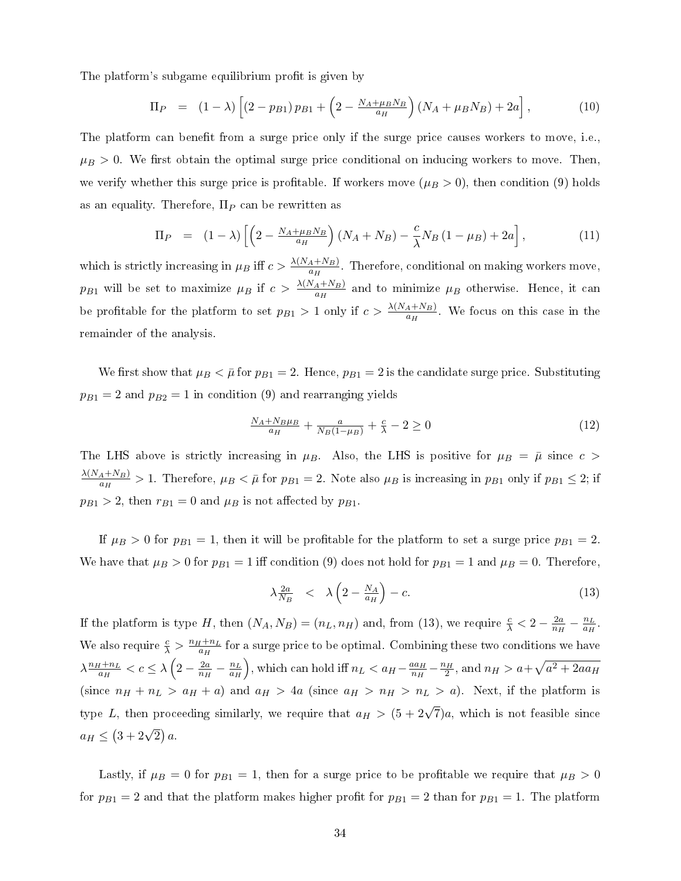The platform's subgame equilibrium profit is given by

$$
\Pi_P = (1 - \lambda) \left[ (2 - p_{B1}) p_{B1} + \left( 2 - \frac{N_A + \mu_B N_B}{a_H} \right) (N_A + \mu_B N_B) + 2a \right],
$$
 (10)

The platform can benefit from a surge price only if the surge price causes workers to move, i.e.,  $\mu_B > 0$ . We first obtain the optimal surge price conditional on inducing workers to move. Then, we verify whether this surge price is profitable. If workers move  $(\mu_B > 0)$ , then condition [\(9\)](#page-33-0) holds as an equality. Therefore,  $\Pi_P$  can be rewritten as

<span id="page-34-1"></span>
$$
\Pi_P = (1 - \lambda) \left[ \left( 2 - \frac{N_A + \mu_B N_B}{a_H} \right) (N_A + N_B) - \frac{c}{\lambda} N_B (1 - \mu_B) + 2a \right],\tag{11}
$$

which is strictly increasing in  $\mu_B$  iff  $c > \frac{\lambda(N_A + N_B)}{a_H}$ . Therefore, conditional on making workers move,  $p_{B1}$  will be set to maximize  $\mu_B$  if  $c > \frac{\lambda(N_A+N_B)}{a_H}$  and to minimize  $\mu_B$  otherwise. Hence, it can be profitable for the platform to set  $p_{B1} > 1$  only if  $c > \frac{\lambda(N_A + N_B)}{a_H}$ . We focus on this case in the remainder of the analysis.

We first show that  $\mu_B < \bar{\mu}$  for  $p_{B1} = 2$ . Hence,  $p_{B1} = 2$  is the candidate surge price. Substituting  $p_{B1} = 2$  and  $p_{B2} = 1$  in condition [\(9\)](#page-33-0) and rearranging yields

$$
\frac{N_A + N_B \mu_B}{a_H} + \frac{a}{N_B (1 - \mu_B)} + \frac{c}{\lambda} - 2 \ge 0
$$
\n(12)

The LHS above is strictly increasing in  $\mu_B$ . Also, the LHS is positive for  $\mu_B = \bar{\mu}$  since  $c >$  $\lambda(N_A+N_B)$  $\frac{A+N_B}{a_H} > 1$ . Therefore,  $\mu_B < \bar{\mu}$  for  $p_{B1} = 2$ . Note also  $\mu_B$  is increasing in  $p_{B1}$  only if  $p_{B1} \leq 2$ ; if  $p_{B1} > 2$ , then  $r_{B1} = 0$  and  $\mu_B$  is not affected by  $p_{B1}$ .

If  $\mu_B > 0$  for  $p_{B1} = 1$ , then it will be profitable for the platform to set a surge price  $p_{B1} = 2$ . We have that  $\mu_B > 0$  for  $p_{B1} = 1$  iff condition [\(9\)](#page-33-0) does not hold for  $p_{B1} = 1$  and  $\mu_B = 0$ . Therefore,

<span id="page-34-0"></span>
$$
\lambda \frac{2a}{N_B} < \lambda \left( 2 - \frac{N_A}{a_H} \right) - c. \tag{13}
$$

If the platform is type H, then  $(N_A, N_B) = (n_L, n_H)$  and, from [\(13\)](#page-34-0), we require  $\frac{c}{\lambda} < 2 - \frac{2a}{n_H}$  $\frac{2a}{n_H} - \frac{n_L}{a_H}$  $\frac{n_L}{a_H}$  . We also require  $\frac{c}{\lambda} > \frac{n_H + n_L}{a_H}$  $\frac{H^{+n}L}{a_H}$  for a surge price to be optimal. Combining these two conditions we have  $\lambda \frac{n_H+n_L}{a_H}$  $\frac{d_I+n_L}{a_H} < c \leq \lambda \left(2 - \frac{2a}{n_H}\right)$  $\frac{2a}{n_H} - \frac{n_L}{a_H}$  $a_H$ ), which can hold iff  $n_L < a_H - \frac{aa_H}{n_H}$  $\frac{na_H}{n_H} - \frac{n_H}{2}$ , and  $n_H > a + \sqrt{a^2 + 2aa_H}$ (since  $n_H + n_L > a_H + a$ ) and  $a_H > 4a$  (since  $a_H > n_H > n_L > a$ ). Next, if the platform is type L, then proceeding similarly, we require that  $a_H > (5 + 2\sqrt{7})a$ , which is not feasible since  $a_H \le (3 + 2\sqrt{2}) a$ .

Lastly, if  $\mu_B = 0$  for  $p_{B1} = 1$ , then for a surge price to be profitable we require that  $\mu_B > 0$ for  $p_{B1} = 2$  and that the platform makes higher profit for  $p_{B1} = 2$  than for  $p_{B1} = 1$ . The platform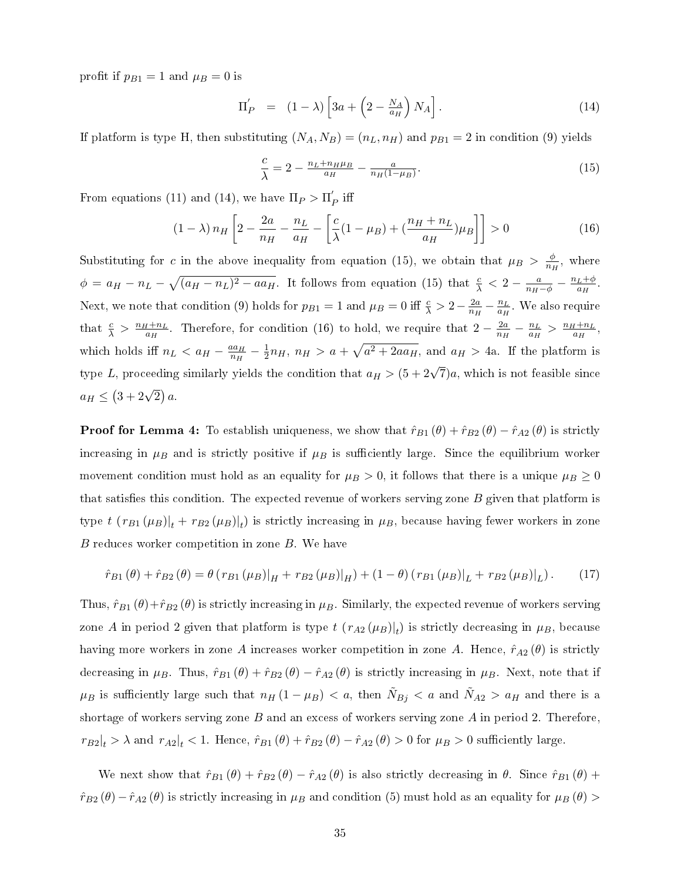profit if  $p_{B1} = 1$  and  $\mu_B = 0$  is

<span id="page-35-0"></span>
$$
\Pi_P' = (1 - \lambda) \left[ 3a + \left( 2 - \frac{N_A}{a_H} \right) N_A \right]. \tag{14}
$$

If platform is type H, then substituting  $(N_A, N_B) = (n_L, n_H)$  and  $p_{B1} = 2$  in condition [\(9\)](#page-33-0) yields

<span id="page-35-1"></span>
$$
\frac{c}{\lambda} = 2 - \frac{n_L + n_H \mu_B}{a_H} - \frac{a}{n_H (1 - \mu_B)}.
$$
\n(15)

From equations [\(11\)](#page-34-1) and [\(14\)](#page-35-0), we have  $\Pi_P > \Pi'_P$  $_{P}^{\prime}$  iff

<span id="page-35-2"></span>
$$
(1 - \lambda) n_H \left[ 2 - \frac{2a}{n_H} - \frac{n_L}{a_H} - \left[ \frac{c}{\lambda} (1 - \mu_B) + \left( \frac{n_H + n_L}{a_H} \right) \mu_B \right] \right] > 0 \tag{16}
$$

Substituting for c in the above inequality from equation [\(15\)](#page-35-1), we obtain that  $\mu_B > \frac{\phi}{n_B}$  $\frac{\varphi}{n_H}$ , where  $\phi = a_H - n_L - \sqrt{(a_H - n_L)^2 - a a_H}$ . It follows from equation [\(15\)](#page-35-1) that  $\frac{c}{\lambda} < 2 - \frac{a}{n_H - \phi} - \frac{n_L + \phi}{a_H}$  $\frac{L+\varphi}{a_H}$ . Next, we note that condition [\(9\)](#page-33-0) holds for  $p_{B1} = 1$  and  $\mu_B = 0$  iff  $\frac{c}{\lambda} > 2 - \frac{2a}{n_B}$  $\frac{2a}{n_H}-\frac{n_L}{a_H}$  $\frac{n_L}{a_H}$ . We also require that  $\frac{c}{\lambda} > \frac{n_H+n_L}{a_H}$  $\frac{H^{+n}L}{a_H}$ . Therefore, for condition [\(16\)](#page-35-2) to hold, we require that  $2-\frac{2a}{n_H}$  $\frac{2a}{n_H} - \frac{n_L}{a_H}$  $\frac{n_L}{a_H}$  >  $\frac{n_H+n_L}{a_H}$  $\frac{H+1}{a_H},$ which holds iff  $n_L < a_H - \frac{aa_H}{n_H}$  $\frac{na_H}{n_H} - \frac{1}{2}$  $\frac{1}{2}n_H$ ,  $n_H > a + \sqrt{a^2 + 2aa_H}$ , and  $a_H > 4$ a. If the platform is type L, proceeding similarly yields the condition that  $a_H > (5 + 2\sqrt{7})a$ , which is not feasible since  $a_H \le (3 + 2\sqrt{2}) a$ .

**Proof for Lemma [4:](#page-21-1)** To establish uniqueness, we show that  $\hat{r}_{B1}(\theta) + \hat{r}_{B2}(\theta) - \hat{r}_{A2}(\theta)$  is strictly increasing in  $\mu_B$  and is strictly positive if  $\mu_B$  is sufficiently large. Since the equilibrium worker movement condition must hold as an equality for  $\mu_B > 0$ , it follows that there is a unique  $\mu_B \geq 0$ that satisfies this condition. The expected revenue of workers serving zone  $B$  given that platform is type  $t$   $(r_{B1}(\mu_B)|_t + r_{B2}(\mu_B)|_t)$  is strictly increasing in  $\mu_B$ , because having fewer workers in zone  $B$  reduces worker competition in zone  $B$ . We have

<span id="page-35-3"></span>
$$
\hat{r}_{B1}(\theta) + \hat{r}_{B2}(\theta) = \theta (r_{B1}(\mu_B)|_H + r_{B2}(\mu_B)|_H) + (1 - \theta) (r_{B1}(\mu_B)|_L + r_{B2}(\mu_B)|_L). \tag{17}
$$

Thus,  $\hat{r}_{B1}(\theta) + \hat{r}_{B2}(\theta)$  is strictly increasing in  $\mu_B$ . Similarly, the expected revenue of workers serving zone A in period 2 given that platform is type  $t$   $(r_{A2}(\mu_B)|_t)$  is strictly decreasing in  $\mu_B$ , because having more workers in zone A increases worker competition in zone A. Hence,  $\hat{r}_{A2}(\theta)$  is strictly decreasing in  $\mu_B$ . Thus,  $\hat{r}_{B1}(\theta) + \hat{r}_{B2}(\theta) - \hat{r}_{A2}(\theta)$  is strictly increasing in  $\mu_B$ . Next, note that if  $\mu_B$  is sufficiently large such that  $n_H (1 - \mu_B) < a$ , then  $\tilde{N}_{Bj} < a$  and  $\tilde{N}_{A2} > a_H$  and there is a shortage of workers serving zone  $B$  and an excess of workers serving zone  $A$  in period 2. Therefore,  $r_{B2}|_t > \lambda$  and  $r_{A2}|_t < 1$ . Hence,  $\hat{r}_{B1}(\theta) + \hat{r}_{B2}(\theta) - \hat{r}_{A2}(\theta) > 0$  for  $\mu_B > 0$  sufficiently large.

We next show that  $\hat{r}_{B1} (\theta) + \hat{r}_{B2} (\theta) - \hat{r}_{A2} (\theta)$  is also strictly decreasing in  $\theta$ . Since  $\hat{r}_{B1} (\theta)$  +  $\hat{r}_{B2} (\theta) - \hat{r}_{A2} (\theta)$  is strictly increasing in  $\mu_B$  and condition [\(5\)](#page-21-0) must hold as an equality for  $\mu_B (\theta)$  >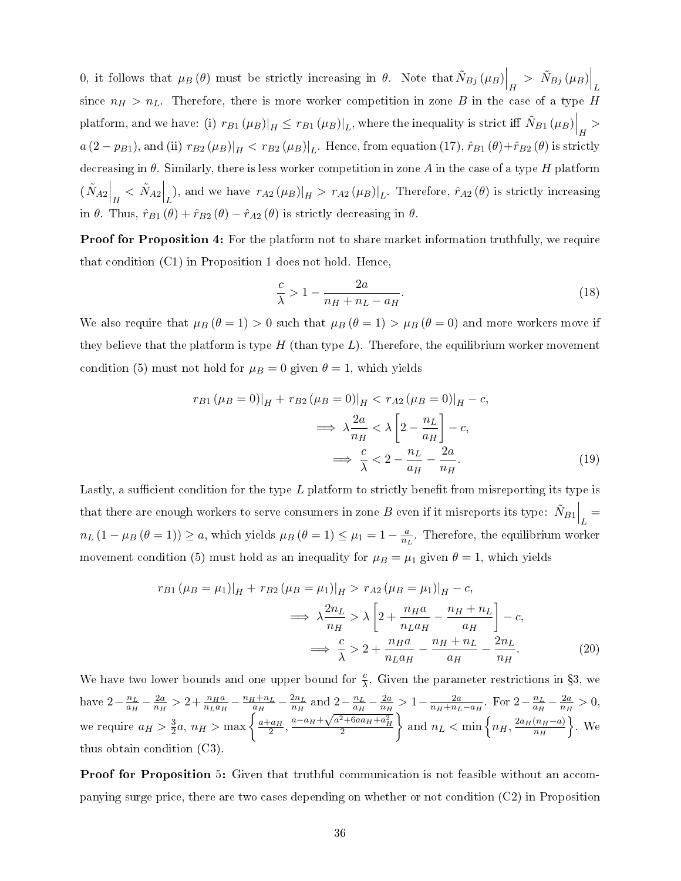0, it follows that  $\mu_B(\theta)$  must be strictly increasing in  $\theta$ . Note that  $\tilde{N}_{Bj}(\mu_B)\Big|_H > \tilde{N}_{Bj}(\mu_B)\Big|_L$ since  $n_H > n_L$ . Therefore, there is more worker competition in zone B in the case of a type H platform, and we have: (i)  $r_{B1}(\mu_B)|_H \le r_{B1}(\mu_B)|_L$ , where the inequality is strict iff  $\tilde{N}_{B1}(\mu_B)|_H >$  $a\left(2-p_{B1}\right)$ , and (ii)  $r_{B2}\left(\mu_B\right)|_H < r_{B2}\left(\mu_B\right)|_L$ . Hence, from equation  $(17)$ ,  $\hat{r}_{B1}\left(\theta\right) + \hat{r}_{B2}\left(\theta\right)$  is strictly decreasing in  $\theta$ . Similarly, there is less worker competition in zone A in the case of a type H platform  $\left. (\tilde{N}_{A2} \Big|_H < \tilde{N}_{A2} \Big|_L)$ , and we have  $r_{A2}(\mu_B)|_H > r_{A2}(\mu_B)|_L$ . Therefore,  $\hat{r}_{A2}(\theta)$  is strictly increasing in  $\theta$ . Thus,  $\hat{r}_{B1}(\theta) + \hat{r}_{B2}(\theta) - \hat{r}_{A2}(\theta)$  is strictly decreasing in  $\theta$ .

Proof for Proposition [4:](#page-22-0) For the platform not to share market information truthfully, we require that condition (C1) in Proposition [1](#page-13-0) does not hold. Hence,

$$
\frac{c}{\lambda} > 1 - \frac{2a}{n_H + n_L - a_H}.\tag{18}
$$

We also require that  $\mu_B(\theta = 1) > 0$  such that  $\mu_B(\theta = 1) > \mu_B(\theta = 0)$  and more workers move if they believe that the platform is type  $H$  (than type  $L$ ). Therefore, the equilibrium worker movement condition [\(5\)](#page-21-0) must not hold for  $\mu_B = 0$  given  $\theta = 1$ , which yields

$$
r_{B1} \left(\mu_B = 0\right)|_H + r_{B2} \left(\mu_B = 0\right)|_H < r_{A2} \left(\mu_B = 0\right)|_H - c,
$$
  

$$
\implies \lambda \frac{2a}{n_H} < \lambda \left[2 - \frac{n_L}{a_H}\right] - c,
$$
  

$$
\implies \frac{c}{\lambda} < 2 - \frac{n_L}{a_H} - \frac{2a}{n_H}.
$$
 (19)

Lastly, a sufficient condition for the type  $L$  platform to strictly benefit from misreporting its type is that there are enough workers to serve consumers in zone  $B$  even if it misreports its type:  $\left.\tilde{N}_{B1}\right|_{L}=$  $n_L (1 - \mu_B (\theta = 1)) \ge a$ , which yields  $\mu_B (\theta = 1) \le \mu_1 = 1 - \frac{a}{n_L}$  $\frac{a}{n_L}$ . Therefore, the equilibrium worker movement condition [\(5\)](#page-21-0) must hold as an inequality for  $\mu_B = \mu_1$  given  $\theta = 1$ , which yields

$$
r_{B1} (\mu_B = \mu_1)|_H + r_{B2} (\mu_B = \mu_1)|_H > r_{A2} (\mu_B = \mu_1)|_H - c,
$$
  

$$
\implies \lambda \frac{2n_L}{n_H} > \lambda \left[ 2 + \frac{n_H a}{n_L a_H} - \frac{n_H + n_L}{a_H} \right] - c,
$$
  

$$
\implies \frac{c}{\lambda} > 2 + \frac{n_H a}{n_L a_H} - \frac{n_H + n_L}{a_H} - \frac{2n_L}{n_H}.
$$
 (20)

We have two lower bounds and one upper bound for  $\frac{c}{\lambda}$ . Given the parameter restrictions in §[3,](#page-7-0) we have  $2-\frac{n_L}{a_H}$  $\frac{n_L}{a_H} - \frac{2a}{n_H}$  $\frac{2a}{n_H} > 2 + \frac{n_H a}{n_L a_H} - \frac{n_H + n_L}{a_H}$  $\frac{H + n_L}{a_H} - \frac{2n_L}{n_H}$  $\frac{2n_L}{n_H}$  and  $2-\frac{n_L}{a_H}$  $\frac{n_L}{a_H} - \frac{2a}{n_H}$  $\frac{2a}{n_H} > 1 - \frac{2a}{n_H + n_L - a_H}$ . For  $2 - \frac{n_L}{a_H}$  $\frac{n_L}{a_H} - \frac{2a}{n_H}$  $\frac{2a}{n_H}>0,$ we require  $a_H > \frac{3}{2}$  $\frac{3}{2}a, n_H > \max\left\{\frac{a_H}{2}, \frac{n_H}{2}, \frac{a-a_H+\sqrt{a^2+6aa_H+a_H^2}}{2}\right\}$ } and  $n_L < \min\left\{n_H, \frac{2a_H(n_H-a)}{n_H}\right\}$  $\overline{n_H}$  $\}$ . We thus obtain condition (C3).

Proof for Proposition [5:](#page-25-1) Given that truthful communication is not feasible without an accompanying surge price, there are two cases depending on whether or not condition (C2) in Proposition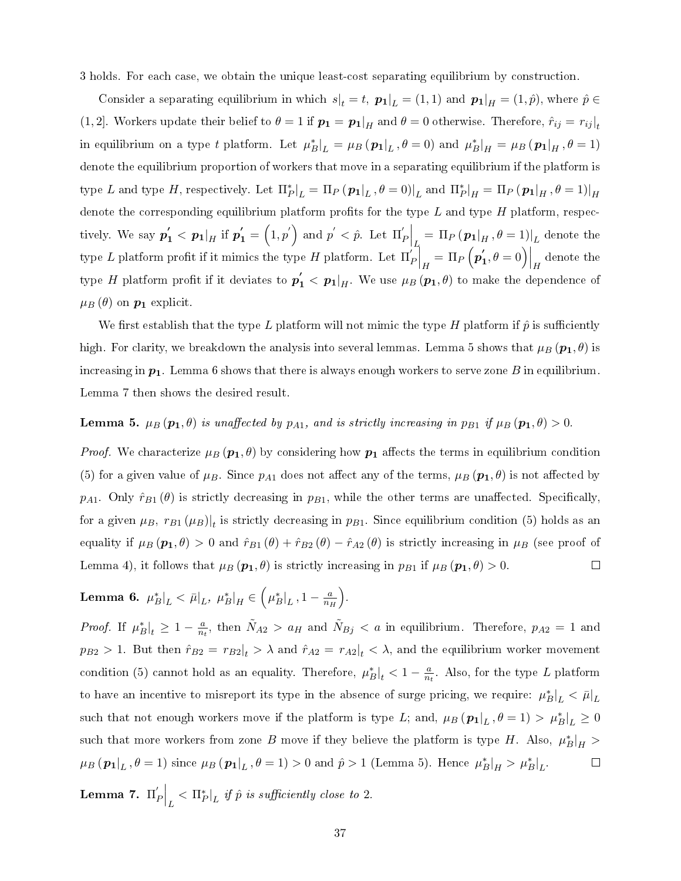[3](#page-17-0) holds. For each case, we obtain the unique least-cost separating equilibrium by construction.

Consider a separating equilibrium in which  $s|_t = t$ ,  $p_1|_L = (1, 1)$  and  $p_1|_H = (1, \hat{p})$ , where  $\hat{p} \in$ (1,2]. Workers update their belief to  $\theta = 1$  if  $p_1 = p_1|_H$  and  $\theta = 0$  otherwise. Therefore,  $\hat{r}_{ij} = r_{ij}|_t$ in equilibrium on a type t platform. Let  $\mu_B^*|_L = \mu_B(p_1|_L, \theta = 0)$  and  $\mu_B^*|_H = \mu_B(p_1|_H, \theta = 1)$ denote the equilibrium proportion of workers that move in a separating equilibrium if the platform is type L and type H, respectively. Let  $\Pi_P^*|_L = \Pi_P(p_1|_L, \theta = 0)|_L$  and  $\Pi_P^*|_H = \Pi_P(p_1|_H, \theta = 1)|_H$ denote the corresponding equilibrium platform profits for the type  $L$  and type  $H$  platform, respectively. We say  $\boldsymbol{p'_1}<\boldsymbol{p_1}|_H$  if  $\boldsymbol{p'_1}=\left(1,p^{'}\right)$  and  $p^{'}<\hat{p}$ . Let  $\Pi_1^{'}$  $\mathbb{E}_{P}\Big|_{L_i} = \Pi_P \left( \boldsymbol{p_1} |_{H}, \theta = 1 \right) \Big|_{L}$  denote the type  $L$  platform profit if it mimics the type  $H$  platform. Let  $\Pi_1'$  $\left. \begin{array}{l} \boldsymbol{\gamma} \ \boldsymbol{\rho} \end{array} \right|_{H} = \, \Pi_{P} \left( \boldsymbol{p}_{1}^{\prime} \right)$  $\left. \begin{array}{l} \mathbf{1},\theta=0 \end{array} \right) \Big|_H$  denote the type  $H$  platform profit if it deviates to  $p'_1 < p_1|_H$ . We use  $\mu_B(p_1, \theta)$  to make the dependence of  $\mu_B(\theta)$  on  $p_1$  explicit.

We first establish that the type L platform will not mimic the type H platform if  $\hat{p}$  is sufficiently high. For clarity, we breakdown the analysis into several lemmas. Lemma [5](#page-37-0) shows that  $\mu_B(\mathbf{p_1}, \theta)$  is increasing in  $p_1$ . Lemma [6](#page-37-1) shows that there is always enough workers to serve zone B in equilibrium. Lemma [7](#page-37-2) then shows the desired result.

#### <span id="page-37-0"></span>**Lemma 5.**  $\mu_B(\mathbf{p_1}, \theta)$  is unaffected by  $p_{A1}$ , and is strictly increasing in  $p_{B1}$  if  $\mu_B(\mathbf{p_1}, \theta) > 0$ .

*Proof.* We characterize  $\mu_B(\mathbf{p_1}, \theta)$  by considering how  $\mathbf{p_1}$  affects the terms in equilibrium condition [\(5\)](#page-21-0) for a given value of  $\mu_B$ . Since  $p_{A1}$  does not affect any of the terms,  $\mu_B(p_1, \theta)$  is not affected by  $p_{A1}$ . Only  $\hat{r}_{B1}(\theta)$  is strictly decreasing in  $p_{B1}$ , while the other terms are unaffected. Specifically, for a given  $\mu_B,~r_{B1} \left(\mu_B\right)\vert_t$  is strictly decreasing in  $p_{B1}$ . Since equilibrium condition [\(5\)](#page-21-0) holds as an equality if  $\mu_B(p_1, \theta) > 0$  and  $\hat{r}_{B1}(\theta) + \hat{r}_{B2}(\theta) - \hat{r}_{A2}(\theta)$  is strictly increasing in  $\mu_B$  (see proof of Lemma [4\)](#page-21-1), it follows that  $\mu_B(p_1, \theta)$  is strictly increasing in  $p_{B1}$  if  $\mu_B(p_1, \theta) > 0$ .  $\Box$ 

<span id="page-37-1"></span>**Lemma 6.** 
$$
\mu_B^*|_L < \bar{\mu}|_L, \ \mu_B^*|_H \in \left(\mu_B^*|_L, 1 - \frac{a}{n_H}\right).
$$

*Proof.* If  $\mu^*_{B}|_t \geq 1 - \frac{a}{n}$  $\frac{a}{n_t}$ , then  $\tilde{N}_{A2} > a_H$  and  $\tilde{N}_{Bj} < a$  in equilibrium. Therefore,  $p_{A2} = 1$  and  $p_{B2} > 1$ . But then  $\hat{r}_{B2} = r_{B2}|_{t} > \lambda$  and  $\hat{r}_{A2} = r_{A2}|_{t} < \lambda$ , and the equilibrium worker movement condition [\(5\)](#page-21-0) cannot hold as an equality. Therefore,  $\mu_B^*|_t < 1 - \frac{a}{n_0}$  $\frac{a}{n_t}$ . Also, for the type L platform to have an incentive to misreport its type in the absence of surge pricing, we require:  $\mu_B^*|_L < \bar{\mu}|_L$ such that not enough workers move if the platform is type L; and,  $\mu_B(p_1|_L, \theta = 1) > \mu_B^*|_L \geq 0$ such that more workers from zone B move if they believe the platform is type H. Also,  $\mu_B^*|_H >$  $\mu_B(p_1|_L, \theta = 1)$  since  $\mu_B(p_1|_L, \theta = 1) > 0$  and  $\hat{p} > 1$  (Lemma [5\)](#page-37-0). Hence  $\mu_B^*|_H > \mu_B^*|_L$ .  $\Box$ 

<span id="page-37-2"></span> ${\bf L}$ emma 7.  $\Pi_1^{'}$  $\left. \frac{d}{dP} \right|_L \leq \left. \prod_{P}^{*} \right|_L \textit{ if } \hat{p} \textit{ is sufficiently close to } 2.$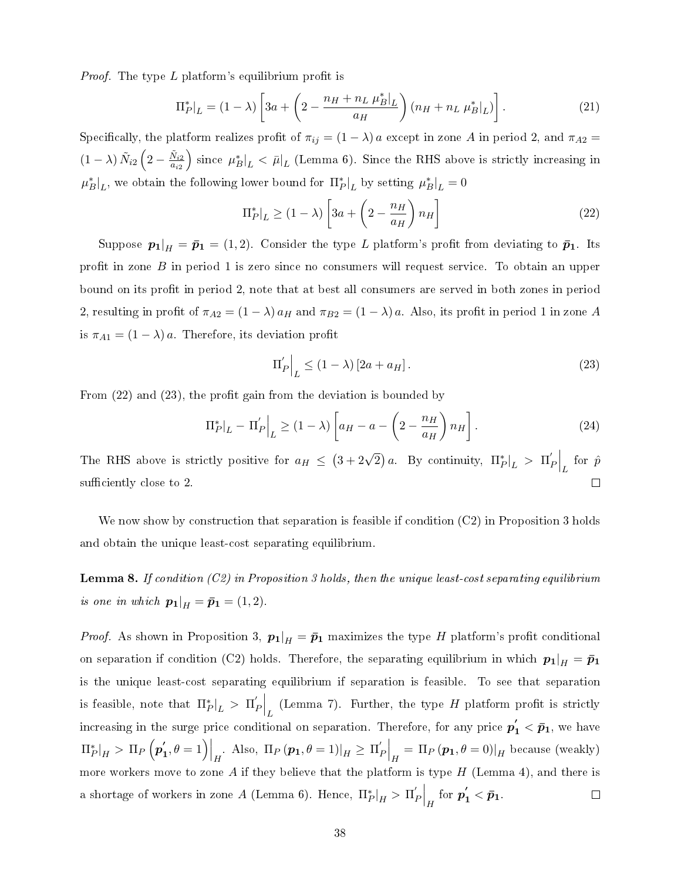*Proof.* The type L platform's equilibrium profit is

$$
\Pi_P^*|_L = (1 - \lambda) \left[ 3a + \left( 2 - \frac{n_H + n_L \mu_B^*|_L}{a_H} \right) (n_H + n_L \mu_B^*|_L) \right].
$$
 (21)

Specifically, the platform realizes profit of  $\pi_{ij} = (1 - \lambda) a$  except in zone A in period 2, and  $\pi_{A2} =$  $\left(1-\lambda\right)\tilde{N}_{i2}\left(2-\frac{\tilde{N}_{i2}}{a_{i2}}\right)$ ) since  $\mu_B^*|_L < \bar{\mu}|_L$  (Lemma [6\)](#page-37-1). Since the RHS above is strictly increasing in  $\mu_B^*|_L$ , we obtain the following lower bound for  $\Pi_P^*|_L$  by setting  $\mu_B^*|_L = 0$ 

<span id="page-38-0"></span>
$$
\Pi_P^*|_L \ge (1 - \lambda) \left[ 3a + \left( 2 - \frac{n_H}{a_H} \right) n_H \right] \tag{22}
$$

Suppose  $p_1|_H = \bar{p}_1 = (1, 2)$ . Consider the type L platform's profit from deviating to  $\bar{p}_1$ . Its profit in zone  $B$  in period 1 is zero since no consumers will request service. To obtain an upper bound on its profit in period 2, note that at best all consumers are served in both zones in period 2, resulting in profit of  $\pi_{A2} = (1 - \lambda) a_H$  and  $\pi_{B2} = (1 - \lambda) a$ . Also, its profit in period 1 in zone A is  $\pi_{A1} = (1 - \lambda) a$ . Therefore, its deviation profit

<span id="page-38-1"></span>
$$
\Pi_P' \Big|_L \le (1 - \lambda) \left[ 2a + a_H \right]. \tag{23}
$$

From  $(22)$  and  $(23)$ , the profit gain from the deviation is bounded by

$$
\Pi_P^*|_L - \Pi_P'|_L \ge (1 - \lambda) \left[ a_H - a - \left( 2 - \frac{n_H}{a_H} \right) n_H \right]. \tag{24}
$$

The RHS above is strictly positive for  $a_H \leq (3 + 2\sqrt{2}) a$ . By continuity,  $\Pi_P^*|_L > \Pi_P^*$  $\hat{P}\Big|_L$  for  $\hat{p}$ sufficiently close to 2.  $\Box$ 

We now show by construction that separation is feasible if condition (C2) in Proposition [3](#page-17-0) holds and obtain the unique least-cost separating equilibrium.

**Lemma 8.** If condition  $(C2)$  in Proposition [3](#page-17-0) holds, then the unique least-cost separating equilibrium is one in which  $p_1|_H = \bar{p}_1 = (1, 2)$ .

*Proof.* As shown in Proposition [3,](#page-17-0)  $p_1|_H = \bar{p}_1$  maximizes the type H platform's profit conditional on separation if condition (C2) holds. Therefore, the separating equilibrium in which  $p_1|_H = \bar{p}_1$ is the unique least-cost separating equilibrium if separation is feasible. To see that separation  $\mathbb{E}_{P}\Big|_L$  (Lemma [7\)](#page-37-2). Further, the type H platform profit is strictly is feasible, note that  $\left.\Pi_P^*\right|_L > \left.\Pi_P^{\prime}\right|$ increasing in the surge price conditional on separation. Therefore, for any price  $p'_1 < \bar{p}_1$ , we have  $\left\{ \mathbf{I}_{1}, \theta=1 \right\} \big|_{H}$ . Also,  $\Pi_{P}(\boldsymbol{p_{1}}, \theta=1)|_{H} \geq \Pi_{H}^{\prime}$  $\mathbb{E}_{P}^{'}\Big|_{H} = \Pi_{P}\left(p_{1}, \theta=0\right)\Big|_{H}$  because (weakly)  $\left.\Pi_P^*\right|_H > \, \Pi_P\left(\bm{p}_1'\right)$ more workers move to zone A if they believe that the platform is type  $H$  (Lemma [4\)](#page-21-1), and there is  $\mathbb{E}_{P}^{'}\Big|_{H}$  for  $p_{1}' < \bar{p}_{1}.$ a shortage of workers in zone A (Lemma [6\)](#page-37-1). Hence,  $\Pi_P^*|_H > \Pi_P^{\prime}$  $\Box$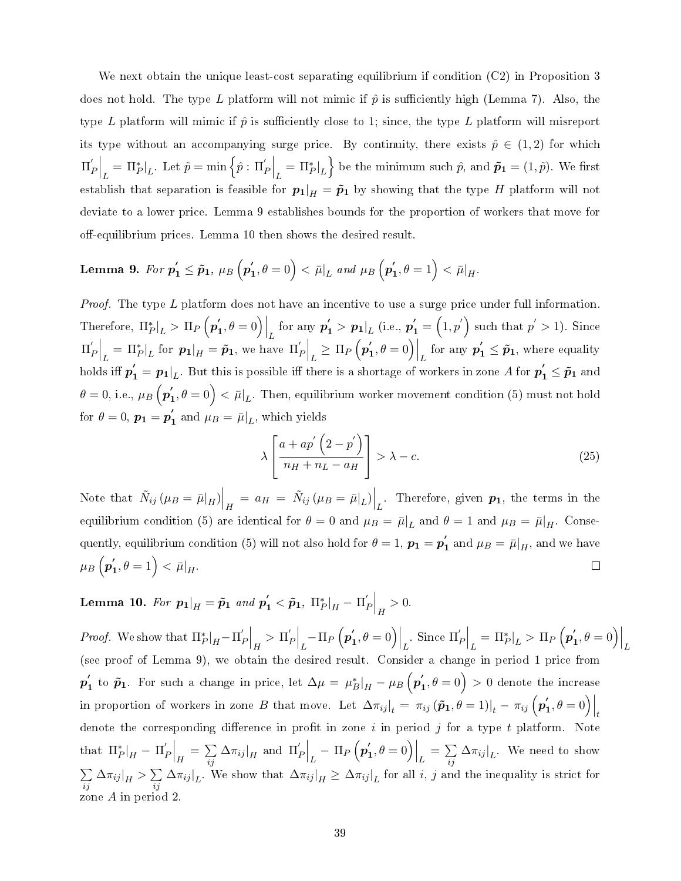We next obtain the unique least-cost separating equilibrium if condition (C2) in Proposition [3](#page-17-0) does not hold. The type L platform will not mimic if  $\hat{p}$  is sufficiently high (Lemma [7\)](#page-37-2). Also, the type L platform will mimic if  $\hat{p}$  is sufficiently close to 1; since, the type L platform will misreport its type without an accompanying surge price. By continuity, there exists  $\hat{p} \in (1,2)$  for which  $\Pi_0'$  $\mathbb{E}_{P}^{'}\Big|_{L} = \Pi_P^*\big|_{L}$ . Let  $\tilde{p} = \min\left\{\hat{p} : \Pi_P^{'}\Big|_{L} = \Pi_P^*\big|_{L}\right\}$  be the minimum such  $\hat{p}$ , and  $\tilde{p}_1 = (1, \tilde{p})$ . We first establish that separation is feasible for  $p_1|_H = \tilde{p}_1$  by showing that the type H platform will not deviate to a lower price. Lemma [9](#page-39-0) establishes bounds for the proportion of workers that move for off-equilibrium prices. Lemma [10](#page-39-1) then shows the desired result.

<span id="page-39-0"></span>**Lemma 9.** For 
$$
p'_1 \leq \tilde{p}_1
$$
,  $\mu_B(p'_1, \theta = 0) < \bar{\mu}|_L$  and  $\mu_B(p'_1, \theta = 1) < \bar{\mu}|_H$ .

*Proof.* The type  $L$  platform does not have an incentive to use a surge price under full information. Therefore,  $\left.\Pi^*_P\right|_L > \Pi_P\left(\boldsymbol{p}_1'\right)$  $\mathbf{p}_1', \theta = 0$   $\Big|_L$  for any  $\mathbf{p}_1' > \mathbf{p}_1|_L$  (i.e.,  $\mathbf{p}_1' = (1, p')$  such that  $p' > 1$ ). Since  $\Pi_0'$  $\left\{P\right|_L = \prod_P^* \left| \prod_P \text{for } p_1 \right|_H = \tilde{p}_1, \text{ we have } \prod_P^*$  $\mathbb{E}_{P}\Big|_L \geq \Pi_P\left(\boldsymbol{p}_1^\prime\right)$  $\left\{ \mathbf{y} \, , \theta = 0 \right\} \bigg|_L$  for any  $\boldsymbol{p'_1} \leq \boldsymbol{\tilde{p}_1},$  where equality holds iff  $p'_1=p_1|_L$ . But this is possible iff there is a shortage of workers in zone  $A$  for  $p'_1\leq\tilde{p}_1$  and  $\theta=0,$  i.e.,  $\mu_B\left(\boldsymbol{p'_1}\right)$  $\tilde{\mu}_1, \theta = 0 \Big) < \bar{\mu}|_L$ . Then, equilibrium worker movement condition [\(5\)](#page-21-0) must not hold for  $\theta=0, \, {\boldsymbol p_1}={\boldsymbol p}_1'$  $\mathbf{I}_1$  and  $\mu_B = \bar{\mu}|_L$ , which yields

$$
\lambda \left[ \frac{a + ap'\left(2 - p'\right)}{n_H + n_L - a_H} \right] > \lambda - c. \tag{25}
$$

Note that  $\tilde{N}_{ij}(\mu_B = \bar{\mu}|_H) \Big|_H = a_H = \tilde{N}_{ij}(\mu_B = \bar{\mu}|_L) \Big|_L$ . Therefore, given  $p_1$ , the terms in the equilibrium condition [\(5\)](#page-21-0) are identical for  $\theta = 0$  and  $\mu_B = \bar{\mu}|_L$  and  $\theta = 1$  and  $\mu_B = \bar{\mu}|_H$ . Conse-quently, equilibrium condition [\(5\)](#page-21-0) will not also hold for  $\theta = 1$ ,  $\boldsymbol{p_1} = \boldsymbol{p_1'}$  $\mathbf{I}_1$  and  $\mu_B = \bar{\mu}|_H$ , and we have  $\mu_B\left(\boldsymbol{p}_1^\prime\right)$  $\left( \mathbf{1}, \theta = 1 \right) < \bar{\mu}|_H.$  $\Box$ 

### <span id="page-39-1"></span>Lemma 10. For  $p_1|_H = \tilde{p}_1$  and  $p_1^{'} < \tilde{p}_1, \; \Pi_P^*|_H - \Pi_P^{'}$  $P|_H > 0.$

*Proof.* We show that  $\prod_{P}^{*}$  $\prod_{H}$  $\prod_{I}^{I}$  $\left.\frac{1}{P}\right|_{H} > \Pi'_{H}$  $\left. \begin{matrix} I_P \ \end{matrix} \right|_L - \Pi_P \left( \stackrel{}{\boldsymbol{p}}_1' \end{matrix}$  $\left. \begin{array}{l} \mathbf{1},\theta=0 \end{array} \right) \Big|_L.$  Since  $\Pi_L^{'}$  $\mathbb{E}_{P}\Big|_L = \left. \Pi_P^* \right|_L > \left. \Pi_P \left( \boldsymbol{p}'_1 \right) \right|_L$  $\left\langle \mathbf{1},\theta=0\right)\right|_L$ (see proof of Lemma [9\)](#page-39-0), we obtain the desired result. Consider a change in period 1 price from  $p_{1}^{'}$  $\tilde{\mathbf{n}}_1$  to  $\tilde{\mathbf{p}}_1$ . For such a change in price, let  $\Delta \mu = \mu_B^*|_H - \mu_B \left( \mathbf{p}_1^{\prime} \right)$  $\left( \begin{matrix} \mathbf{1},\theta=0 \end{matrix} \right) > 0$  denote the increase in proportion of workers in zone B that move. Let  $\Delta \pi_{ij}|_t = \pi_{ij} (\tilde{\boldsymbol{p}}_1, \theta = 1)|_t - \pi_{ij} (\tilde{\boldsymbol{p}}_1'$  $\left\{ \begin{matrix} 1 \\ 1 \end{matrix}, \theta = 0 \end{matrix} \right) \Big|_t$ denote the corresponding difference in profit in zone  $i$  in period  $j$  for a type  $t$  platform. Note that  $\left.\Pi_P^*\right|_H - \left.\Pi_P^{\prime}\right|_H$  $\sum_{i=1}^{\prime}$  =  $\sum_{i=1}^{\prime}$  $\sum_{ij} \Delta \pi_{ij} \big|_H$  and  $\Pi_j'$  $\mathbb{E}_{P}{\Big|_L} - \Pi_P\left(\boldsymbol{p}_1^{\prime}\right)$  $\left. \begin{array}{l} \left< \mathbf{1},\theta=0 \right) \end{array} \right|_{L} = \sum\limits_{ij}$  $\sum_{ij} \Delta \pi_{ij} \vert_{L}$ . We need to show  $\sum$  $\sum_{ij} \Delta \pi_{ij} \big|_H > \sum_{ij}$  $\sum_{ij} \Delta \pi_{ij} |_{L}$ . We show that  $\Delta \pi_{ij} |_{H} \geq \Delta \pi_{ij} |_{L}$  for all *i*, *j* and the inequality is strict for zone A in period 2.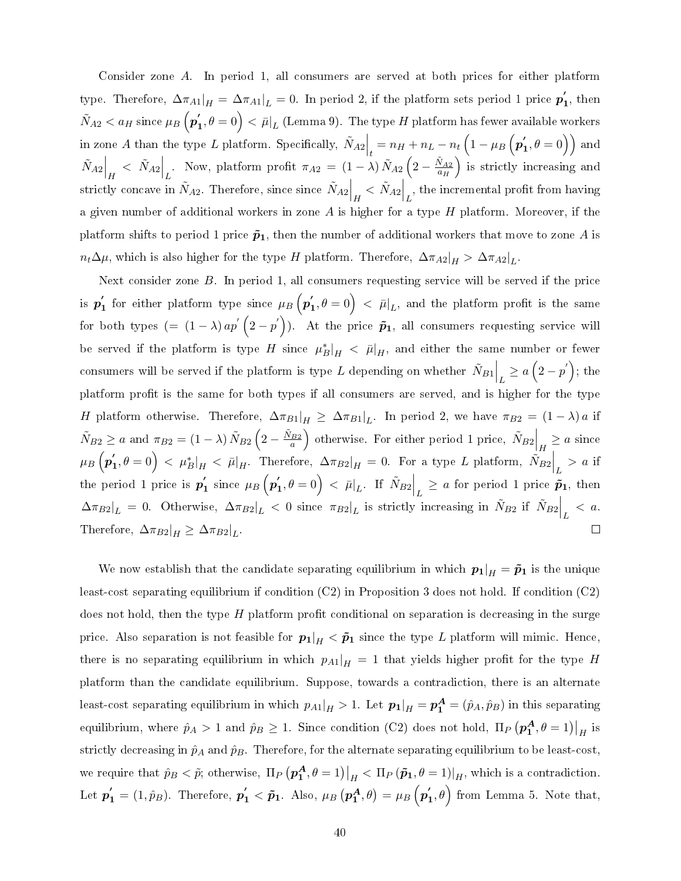Consider zone A. In period 1, all consumers are served at both prices for either platform type. Therefore,  $\Delta \pi_{A1}|_H = \left.\Delta \pi_{A1}\right|_L = 0$ . In period 2, if the platform sets period 1 price  $\bm{p}_1'$  $\mathbf{r}_1^{\prime}$ , then  $\tilde{N}_{A2} < a_{H}$  since  $\mu_{B}\left(\boldsymbol{p_{1}^{\prime}}\right)$  $\tilde{\mu}_1, \theta = 0 \Big) < \bar{\mu}|_L \ ({\rm Lemma \ 9}). \ \hbox{The type $H$ platform has fewer available workers}$ in zone A than the type L platform. Specifically,  $\tilde{N}_{A2}\Big|_{t} = n_H + n_L - n_t \left(1 - \mu_B \left(\boldsymbol{p}_1^{\prime}\right)\right)$  $\left( \begin{matrix} 1 \\ 1 \end{matrix} , \theta = 0 \right)$  and  $\tilde{N}_{A2}\Big|_H \leq \tilde{N}_{A2}\Big|_L$ . Now, platform profit  $\pi_{A2} = (1-\lambda)\tilde{N}_{A2}\left(2-\frac{\tilde{N}_{A2}}{a_H}\right)$  $\overline{a_H}$ ) is strictly increasing and strictly concave in  $\tilde{N}_{A2}$ . Therefore, since since  $\tilde{N}_{A2}\Big|_H < \tilde{N}_{A2}\Big|_L$ , the incremental profit from having a given number of additional workers in zone  $A$  is higher for a type  $H$  platform. Moreover, if the platform shifts to period 1 price  $\tilde{p}_1$ , then the number of additional workers that move to zone A is  $n_t\Delta\mu$ , which is also higher for the type H platform. Therefore,  $\Delta\pi_{A2}|_H > \Delta\pi_{A2}|_L$ .

Next consider zone  $B$ . In period 1, all consumers requesting service will be served if the price  $\frac{\epsilon}{1}$  for either platform type since  $\mu_B\left( \boldsymbol{p}_1^{\prime}\right)$  $\left( \mathbf{1},\theta=0\right) \ <\ \bar{\mu}\vert _{L},\text{ and the platform profit is the same}$ is  $\boldsymbol{p}'_1$ for both types  $(=(1-\lambda) a p' (2-p'))$ . At the price  $\tilde{p}_1$ , all consumers requesting service will be served if the platform is type H since  $\mu_B^*|_H < \bar{\mu}|_H$ , and either the same number or fewer consumers will be served if the platform is type L depending on whether  $\tilde{N}_{B1}\Big|_L \ge a\left(2-p^{'}\right)$ ; the platform profit is the same for both types if all consumers are served, and is higher for the type H platform otherwise. Therefore,  $\Delta \pi_{B1}|_H \geq \Delta \pi_{B1}|_L$ . In period 2, we have  $\pi_{B2} = (1 - \lambda)a$  if  $\tilde{N}_{B2} \ge a$  and  $\pi_{B2} = (1 - \lambda) \tilde{N}_{B2} \left(2 - \frac{\tilde{N}_{B2}}{a}\right)$  otherwise. For either period 1 price,  $\tilde{N}_{B2}\Big|_H \ge a$  since  $\mathcal{L}_1, \theta = 0$   $\langle \mu_B^* |_{H} \leq \bar{\mu} |_{H}$ . Therefore,  $\Delta \pi_{B2}|_{H} = 0$ . For a type L platform,  $\tilde{N}_{B2}|_{L} > a$  if  $\mu_B\left(\boldsymbol{p}_1^\prime\right)$  $\left\{ \hat{\mathbf{p}}_1, \theta = 0 \right\}$   $\langle \overline{\mathbf{p}} | \overline{\mathbf{p}}_L \rangle$ . If  $\left. \tilde{N}_{B2} \right|_L \geq a$  for period 1 price  $\overline{\tilde{\mathbf{p}}}_1$ , then  $_{1}^{\prime}$  since  $\mu_{B}\left( \boldsymbol{p}_{1}^{\prime}\right)$ the period 1 price is  $p_1'$  $\Delta \pi_{B2}|_L = 0$ . Otherwise,  $\Delta \pi_{B2}|_L < 0$  since  $\pi_{B2}|_L$  is strictly increasing in  $\tilde{N}_{B2}$  if  $\tilde{N}_{B2}|_L < a$ . Therefore,  $\Delta \pi_{B2}|_{H} \geq \Delta \pi_{B2}|_{L}$ .  $\Box$ 

We now establish that the candidate separating equilibrium in which  $p_1|_H = \tilde{p}_1$  is the unique least-cost separating equilibrium if condition (C2) in Proposition [3](#page-17-0) does not hold. If condition (C2) does not hold, then the type  $H$  platform profit conditional on separation is decreasing in the surge price. Also separation is not feasible for  $p_1|_H < \tilde{p}_1$  since the type L platform will mimic. Hence, there is no separating equilibrium in which  $p_{A1}|_H = 1$  that yields higher profit for the type H platform than the candidate equilibrium. Suppose, towards a contradiction, there is an alternate least-cost separating equilibrium in which  $p_{A1}|_H > 1$ . Let  $p_1|_H = p_1^A = (\hat{p}_A, \hat{p}_B)$  in this separating equilibrium, where  $\hat{p}_A > 1$  and  $\hat{p}_B \ge 1$ . Since condition (C2) does not hold,  $\Pi_P(p_1^A, \theta = 1)|_H$  is strictly decreasing in  $\hat{p}_A$  and  $\hat{p}_B$ . Therefore, for the alternate separating equilibrium to be least-cost, we require that  $\hat{p}_B < \tilde{p}$ ; otherwise,  $\Pi_P(p_1^A, \theta = 1)|_H < \Pi_P(p_1, \theta = 1)|_H$ , which is a contradiction. Let  $\bm{p'_1}=(1,\hat{p}_B)$ . Therefore,  $\bm{p'_1}<\bm{\tilde{p}_1}$ . Also,  $\mu_B\left(\bm{p'_1},\theta\right)=\mu_B\left(\bm{p'_1},\theta\right)$  $\mathbf{f}_1, \theta\Big)$  from Lemma [5.](#page-37-0) Note that,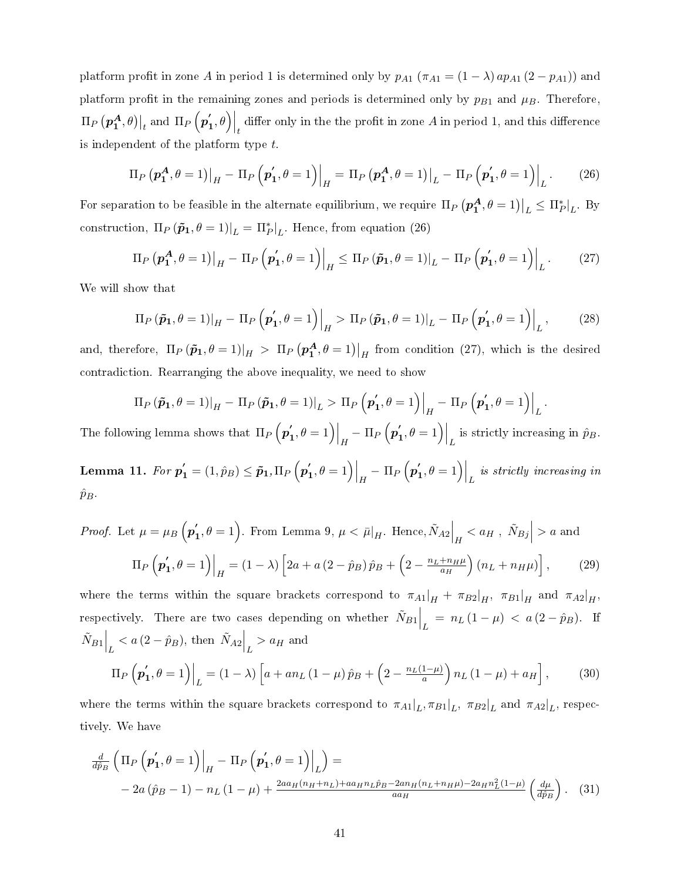platform profit in zone A in period 1 is determined only by  $p_{A1}$  ( $\pi_{A1} = (1 - \lambda) ap_{A1} (2 - p_{A1})$ ) and platform profit in the remaining zones and periods is determined only by  $p_{B1}$  and  $\mu_B$ . Therefore,  $\Pi_P\left(\boldsymbol{p_1^A},\theta\right)\bigr|_t$  and  $\Pi_P\left(\boldsymbol{p_1^{'}}\right)$  $\left\{ \boldsymbol{A},\theta\right\} \bigg|_t$  differ only in the the profit in zone  $A$  in period 1, and this difference is independent of the platform type  $t$ .

<span id="page-41-0"></span>
$$
\Pi_P\left(\boldsymbol{p}_1^A, \theta = 1\right)\big|_H - \Pi_P\left(\boldsymbol{p}_1', \theta = 1\right)\big|_H = \Pi_P\left(\boldsymbol{p}_1^A, \theta = 1\right)\big|_L - \Pi_P\left(\boldsymbol{p}_1', \theta = 1\right)\big|_L. \tag{26}
$$

For separation to be feasible in the alternate equilibrium, we require  $\prod_P(p_1^A,\theta=1)\big|_L\leq \Pi_P^*|_L$ . By construction,  $\Pi_P(\tilde{p}_1, \theta = 1)|_L = \Pi_P^*|_L$ . Hence, from equation [\(26\)](#page-41-0)

<span id="page-41-1"></span>
$$
\Pi_P\left(\boldsymbol{p_1^A}, \theta = 1\right)\big|_H - \Pi_P\left(\boldsymbol{p_1'}, \theta = 1\right)\big|_H \leq \Pi_P\left(\boldsymbol{\tilde{p}_1}, \theta = 1\right)\big|_L - \Pi_P\left(\boldsymbol{p_1'}, \theta = 1\right)\big|_L. \tag{27}
$$

We will show that

$$
\Pi_P\left(\tilde{\boldsymbol{p}}_1,\theta=1\right)|_H - \Pi_P\left(\boldsymbol{p}_1',\theta=1\right)|_H > \Pi_P\left(\tilde{\boldsymbol{p}}_1,\theta=1\right)|_L - \Pi_P\left(\boldsymbol{p}_1',\theta=1\right)|_L,\tag{28}
$$

and, therefore,  $\Pi_P(\tilde{p}_1, \theta = 1)|_H > \Pi_P(p_1^A, \theta = 1)|_H$  from condition [\(27\)](#page-41-1), which is the desired contradiction. Rearranging the above inequality, we need to show

$$
\Pi_P\left(\tilde{\boldsymbol{p}}_1,\theta=1\right)|_H - \Pi_P\left(\tilde{\boldsymbol{p}}_1,\theta=1\right)|_L > \Pi_P\left(\boldsymbol{p}_1',\theta=1\right)\Big|_H - \Pi_P\left(\boldsymbol{p}_1',\theta=1\right)\Big|_L.
$$

The following lemma shows that  $\Pi_P\left( \boldsymbol{p}'_1\right)$  $\mathbf{I}_1^{'},\theta=1\Big)\Big|_H-\Pi_P\left(\boldsymbol{p}_{1}^{'}\right)$  $\left\{ \mathbf{1}, \theta = 1 \right\} \Big|_{L}$  is strictly increasing in  $\hat{p}_B$ .

Lemma 11. For  $\boldsymbol{p'_1} = (1, \hat{p}_B) \le \boldsymbol{\tilde{p}_1}, \Pi_P\left(\boldsymbol{p'_1}\right)$  $\mathbf{I}_1, \theta = 1 \Big) \Big|_H - \Pi_P \left( \overset{}{\boldsymbol{p}}'_{1} \right)$  $\left. \begin{array}{l} \mathbf{1},\theta=1 \end{array} \right) \Big\vert_{L}$  is strictly increasing in  $\hat{p}_B$  .

*Proof.* Let 
$$
\mu = \mu_B \left( \mathbf{p}'_1, \theta = 1 \right)
$$
. From Lemma 9,  $\mu < \bar{\mu}|_H$ . Hence,  $\tilde{N}_{A2} \Big|_H < a_H$ ,  $\tilde{N}_{Bj} \Big|_H > a$  and\n
$$
\Pi_P \left( \mathbf{p}'_1, \theta = 1 \right) \Big|_H = (1 - \lambda) \left[ 2a + a \left( 2 - \hat{p}_B \right) \hat{p}_B + \left( 2 - \frac{n_L + n_H \mu}{a_H} \right) \left( n_L + n_H \mu \right) \right],\tag{29}
$$

where the terms within the square brackets correspond to  $\pi_{A1}|_H + \pi_{B2}|_H$ ,  $\pi_{B1}|_H$  and  $\pi_{A2}|_H$ . respectively. There are two cases depending on whether  $\tilde{N}_{B1}\Big|_L = n_L (1 - \mu) < a (2 - \hat{p}_B)$ . If  $\tilde{N}_{B1}\Big|_L < a\,(2-\hat{p}_B)$ , then  $\tilde{N}_{A2}\Big|_L > a_H$  and

<span id="page-41-2"></span>
$$
\Pi_P\left(\boldsymbol{p_1'}, \theta = 1\right)\Big|_L = (1 - \lambda)\left[a + a n_L\left(1 - \mu\right)\hat{p}_B + \left(2 - \frac{n_L(1 - \mu)}{a}\right)n_L\left(1 - \mu\right) + a_H\right],\tag{30}
$$

where the terms within the square brackets correspond to  $\pi_{A1}|_L$ ,  $\pi_{B1}|_L$ ,  $\pi_{B2}|_L$  and  $\pi_{A2}|_L$ , respectively. We have

$$
\frac{d}{d\hat{p}_B} \left( \Pi_P \left( \mathbf{p}_1', \theta = 1 \right) \Big|_H - \Pi_P \left( \mathbf{p}_1', \theta = 1 \right) \Big|_L \right) =
$$
\n
$$
- 2a \left( \hat{p}_B - 1 \right) - n_L \left( 1 - \mu \right) + \frac{2aa_H (n_H + n_L) + aa_H n_L \hat{p}_B - 2an_H (n_L + n_H \mu) - 2a_H n_L^2 (1 - \mu)}{aa_H} \left( \frac{d\mu}{d\hat{p}_B} \right). \tag{31}
$$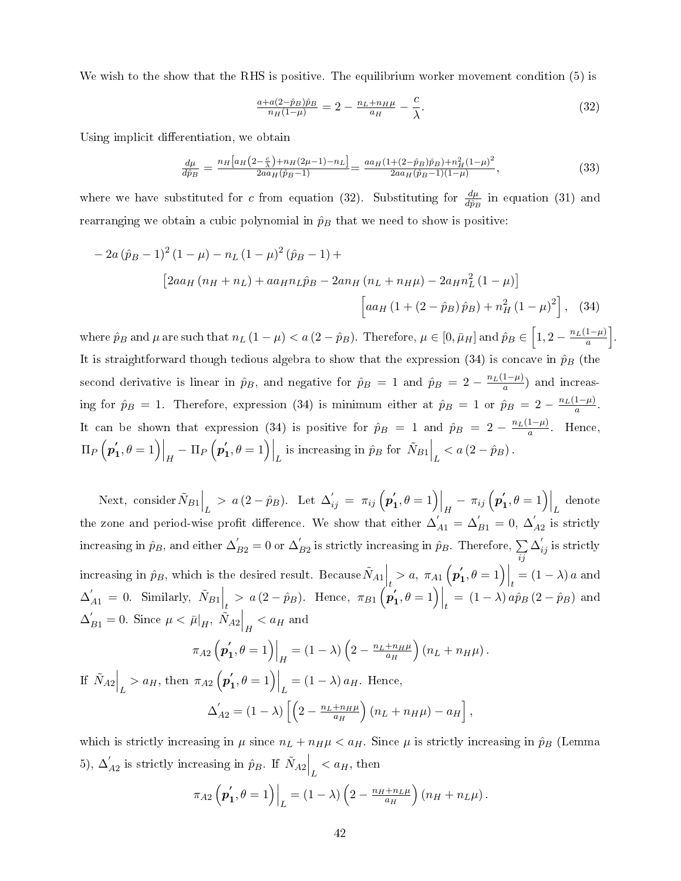We wish to the show that the RHS is positive. The equilibrium worker movement condition [\(5\)](#page-21-0) is

<span id="page-42-1"></span><span id="page-42-0"></span>
$$
\frac{a + a(2 - \hat{p}_B)\hat{p}_B}{n_H(1 - \mu)} = 2 - \frac{n_L + n_H\mu}{a_H} - \frac{c}{\lambda}.
$$
\n(32)

Using implicit differentiation, we obtain

$$
\frac{d\mu}{d\hat{p}_B} = \frac{n_H \left[ a_H \left( 2 - \frac{c}{\lambda} \right) + n_H (2\mu - 1) - n_L \right]}{2aa_H (\hat{p}_B - 1)} = \frac{aa_H (1 + (2 - \hat{p}_B)\hat{p}_B) + n_H^2 (1 - \mu)^2}{2aa_H (\hat{p}_B - 1)(1 - \mu)},\tag{33}
$$

where we have substituted for c from equation [\(32\)](#page-42-0). Substituting for  $\frac{d\mu}{d\hat{p}_B}$  in equation [\(31\)](#page-41-2) and rearranging we obtain a cubic polynomial in  $\hat{p}_B$  that we need to show is positive:

$$
-2a(\hat{p}_B - 1)^2 (1 - \mu) - n_L (1 - \mu)^2 (\hat{p}_B - 1) +
$$
  
\n
$$
[2aa_H (n_H + n_L) + aa_H n_L \hat{p}_B - 2an_H (n_L + n_H \mu) - 2a_H n_L^2 (1 - \mu)]
$$
  
\n
$$
[aa_H (1 + (2 - \hat{p}_B) \hat{p}_B) + n_H^2 (1 - \mu)^2], \quad (34)
$$

where  $\hat{p}_B$  and  $\mu$  are such that  $n_L$   $(1-\mu) < a$   $(2-\hat{p}_B)$ . Therefore,  $\mu \in [0,\bar{\mu}_H]$  and  $\hat{p}_B \in \left[1,2-\frac{n_L(1-\mu)}{a}\right]$  $\frac{1-\mu)}{a}$ . It is straightforward though tedious algebra to show that the expression  $(34)$  is concave in  $\hat{p}_B$  (the second derivative is linear in  $\hat{p}_B$ , and negative for  $\hat{p}_B = 1$  and  $\hat{p}_B = 2 - \frac{n_L(1-\mu)}{a}$  $\frac{1-\mu}{a}$ ) and increasing for  $\hat{p}_B = 1$ . Therefore, expression [\(34\)](#page-42-1) is minimum either at  $\hat{p}_B = 1$  or  $\hat{p}_B = 2 - \frac{n_L(1-\mu)}{a}$  $\frac{1-\mu}{a}$ . It can be shown that expression [\(34\)](#page-42-1) is positive for  $\hat{p}_B = 1$  and  $\hat{p}_B = 2 - \frac{n_L(1-\mu)}{a}$  $\frac{1-\mu}{a}$ . Hence,  $\Pi_P\left( \stackrel{\cdot }{p} \right)$  $\mathbf{I}_1, \theta = 1 \Big) \Big|_H - \Pi_P \left( \boldsymbol{p}_1' \right)$  $\left\{ \hat{p}_B, \theta = 1 \right\} \Big|_L$  is increasing in  $\left. \hat{p}_B$  for  $\left. \tilde{N}_{B1} \right|_L < a \left( 2 - \hat{p}_B \right)$ .

Next, consider  $\tilde{N}_{B1}\Big|_{L}$  >  $a(2-\hat{p}_B)$ . Let  $\Delta'_{ij} = \pi_{ij}(\boldsymbol{p}'_1)$  $\left. \begin{array}{l} \mathbf{Y}_1, \theta = 1 \end{array} \right|_{H} - \left. \pi_{ij} \left( \begin{matrix} \mathbf{p}_1' \end{matrix} \right)$  $\left\{ \mathbf{1},\theta=1\right\} \bigg|_{L}$  denote the zone and period-wise profit difference. We show that either  $\Delta'_{A1} = \Delta'_{B1} = 0, \Delta'_{B1}$  $\chi_{A2}$  is strictly increasing in  $\hat p_B^{},$  and either  $\Delta_{B2}^{'}=0$  or  $\Delta_{1}^{'}$  $\hat{p}_B$  is strictly increasing in  $\hat{p}_B$ . Therefore,  $\sum$ ij  $\Delta'_{ij}$  is strictly increasing in  $\hat{p}_B$ , which is the desired result. Because  $\tilde{N}_{A1} \Big|_t > a, \pi_{A1} \Big( \boldsymbol{p}_1^{\prime}$  $\left\langle \mathbf{1},\theta=1\right)\right\vert_{t}= (1-\lambda)\,a$  and  $\Delta'_{A1} = 0$ . Similarly,  $\tilde{N}_{B1} \Big|_{t} > a (2 - \hat{p}_B)$ . Hence,  $\pi_{B1} (\mathbf{p}'_1)$  $\left. \begin{array}{l} \mathbf{1},\theta=1 \end{array} \right|_{t} \,=\, (1-\lambda)\,a\hat{p}_{B}\,(2-\hat{p}_{B})\,$  and  $\Delta'_{B1} = 0$ . Since  $\mu < \bar{\mu}|_H$ ,  $\tilde{N}_{A2} \Big|_H < a_H$  and  $\pi_{A2} \left( \stackrel{\cdot}{\boldsymbol{p}_1} \right)$  $\left\{ \mathbf{1},\theta=1\right\} \bigg|_H=(1-\lambda)\left(2-\frac{n_L+n_H\mu}{a_H}\right)$  $\overline{a_H}$  $\Big)$   $(n_L + n_H\mu)$ . If  $\left.\tilde{N}_{A2}\right|_{L} > a_{H}, \text{ then } \pi_{A2} \left(\boldsymbol{p}_{1}^{\prime}\right)$  $\left\langle \mathbf{1}, \theta = 1 \right\rangle \Big|_{L} = (1 - \lambda) a_{H}$ . Hence,  $\Delta_{A2}^{'} = (1-\lambda) \left[ \left( 2 - \frac{n_L+n_H\mu}{a_H} \right) \right]$  $\overline{a_H}$  $\Big)$   $(n_L + n_H\mu) - a_H\Big]$ ,

which is strictly increasing in  $\mu$  since  $n_L + n_H\mu < a_H$ . Since  $\mu$  is strictly increasing in  $\hat{p}_B$  (Lemma [5\)](#page-37-0),  $\Delta_1'$  $\left\langle A_2 \right\rangle$  is strictly increasing in  $\left. \hat{p}_B \right\rangle$ . If  $\left. \tilde{N}_{A2} \right|_L < a_H$ , then

$$
\pi_{A2}\left(\boldsymbol{p'_1},\theta=1\right)\Big|_L = (1-\lambda)\left(2 - \frac{n_H + n_L\mu}{a_H}\right)\left(n_H + n_L\mu\right).
$$